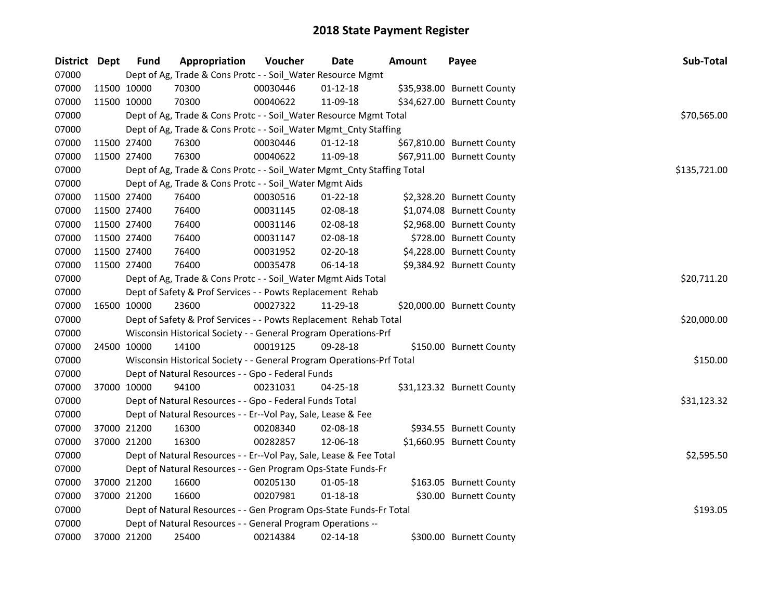| District Dept | <b>Fund</b> | Appropriation                                                          | Voucher  | <b>Date</b>    | <b>Amount</b> | Payee                      | Sub-Total    |  |  |  |
|---------------|-------------|------------------------------------------------------------------------|----------|----------------|---------------|----------------------------|--------------|--|--|--|
| 07000         |             | Dept of Ag, Trade & Cons Protc - - Soil_Water Resource Mgmt            |          |                |               |                            |              |  |  |  |
| 07000         | 11500 10000 | 70300                                                                  | 00030446 | $01 - 12 - 18$ |               | \$35,938.00 Burnett County |              |  |  |  |
| 07000         | 11500 10000 | 70300                                                                  | 00040622 | 11-09-18       |               | \$34,627.00 Burnett County |              |  |  |  |
| 07000         |             | Dept of Ag, Trade & Cons Protc - - Soil_Water Resource Mgmt Total      |          |                |               |                            | \$70,565.00  |  |  |  |
| 07000         |             | Dept of Ag, Trade & Cons Protc - - Soil_Water Mgmt_Cnty Staffing       |          |                |               |                            |              |  |  |  |
| 07000         | 11500 27400 | 76300                                                                  | 00030446 | $01 - 12 - 18$ |               | \$67,810.00 Burnett County |              |  |  |  |
| 07000         | 11500 27400 | 76300                                                                  | 00040622 | 11-09-18       |               | \$67,911.00 Burnett County |              |  |  |  |
| 07000         |             | Dept of Ag, Trade & Cons Protc - - Soil_Water Mgmt_Cnty Staffing Total |          |                |               |                            | \$135,721.00 |  |  |  |
| 07000         |             | Dept of Ag, Trade & Cons Protc - - Soil_Water Mgmt Aids                |          |                |               |                            |              |  |  |  |
| 07000         | 11500 27400 | 76400                                                                  | 00030516 | 01-22-18       |               | \$2,328.20 Burnett County  |              |  |  |  |
| 07000         | 11500 27400 | 76400                                                                  | 00031145 | 02-08-18       |               | \$1,074.08 Burnett County  |              |  |  |  |
| 07000         | 11500 27400 | 76400                                                                  | 00031146 | 02-08-18       |               | \$2,968.00 Burnett County  |              |  |  |  |
| 07000         | 11500 27400 | 76400                                                                  | 00031147 | 02-08-18       |               | \$728.00 Burnett County    |              |  |  |  |
| 07000         | 11500 27400 | 76400                                                                  | 00031952 | 02-20-18       |               | \$4,228.00 Burnett County  |              |  |  |  |
| 07000         | 11500 27400 | 76400                                                                  | 00035478 | 06-14-18       |               | \$9,384.92 Burnett County  |              |  |  |  |
| 07000         |             | Dept of Ag, Trade & Cons Protc - - Soil_Water Mgmt Aids Total          |          |                |               |                            | \$20,711.20  |  |  |  |
| 07000         |             | Dept of Safety & Prof Services - - Powts Replacement Rehab             |          |                |               |                            |              |  |  |  |
| 07000         | 16500 10000 | 23600                                                                  | 00027322 | 11-29-18       |               | \$20,000.00 Burnett County |              |  |  |  |
| 07000         |             | Dept of Safety & Prof Services - - Powts Replacement Rehab Total       |          |                |               |                            | \$20,000.00  |  |  |  |
| 07000         |             | Wisconsin Historical Society - - General Program Operations-Prf        |          |                |               |                            |              |  |  |  |
| 07000         | 24500 10000 | 14100                                                                  | 00019125 | 09-28-18       |               | \$150.00 Burnett County    |              |  |  |  |
| 07000         |             | Wisconsin Historical Society - - General Program Operations-Prf Total  |          |                |               |                            | \$150.00     |  |  |  |
| 07000         |             | Dept of Natural Resources - - Gpo - Federal Funds                      |          |                |               |                            |              |  |  |  |
| 07000         | 37000 10000 | 94100                                                                  | 00231031 | 04-25-18       |               | \$31,123.32 Burnett County |              |  |  |  |
| 07000         |             | Dept of Natural Resources - - Gpo - Federal Funds Total                |          |                |               |                            | \$31,123.32  |  |  |  |
| 07000         |             | Dept of Natural Resources - - Er--Vol Pay, Sale, Lease & Fee           |          |                |               |                            |              |  |  |  |
| 07000         | 37000 21200 | 16300                                                                  | 00208340 | 02-08-18       |               | \$934.55 Burnett County    |              |  |  |  |
| 07000         | 37000 21200 | 16300                                                                  | 00282857 | 12-06-18       |               | \$1,660.95 Burnett County  |              |  |  |  |
| 07000         |             | Dept of Natural Resources - - Er--Vol Pay, Sale, Lease & Fee Total     |          |                |               |                            | \$2,595.50   |  |  |  |
| 07000         |             | Dept of Natural Resources - - Gen Program Ops-State Funds-Fr           |          |                |               |                            |              |  |  |  |
| 07000         | 37000 21200 | 16600                                                                  | 00205130 | 01-05-18       |               | \$163.05 Burnett County    |              |  |  |  |
| 07000         | 37000 21200 | 16600                                                                  | 00207981 | 01-18-18       |               | \$30.00 Burnett County     |              |  |  |  |
| 07000         |             | Dept of Natural Resources - - Gen Program Ops-State Funds-Fr Total     |          |                |               |                            | \$193.05     |  |  |  |
| 07000         |             | Dept of Natural Resources - - General Program Operations --            |          |                |               |                            |              |  |  |  |
| 07000         | 37000 21200 | 25400                                                                  | 00214384 | 02-14-18       |               | \$300.00 Burnett County    |              |  |  |  |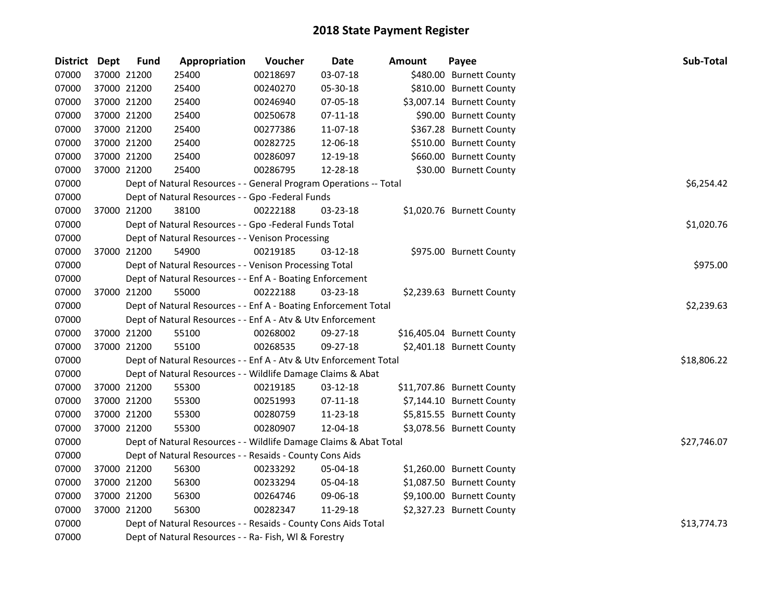| <b>District Dept</b> |             | <b>Fund</b> | Appropriation                                                     | Voucher  | <b>Date</b> | <b>Amount</b> | Payee                      | Sub-Total   |
|----------------------|-------------|-------------|-------------------------------------------------------------------|----------|-------------|---------------|----------------------------|-------------|
| 07000                |             | 37000 21200 | 25400                                                             | 00218697 | 03-07-18    |               | \$480.00 Burnett County    |             |
| 07000                |             | 37000 21200 | 25400                                                             | 00240270 | 05-30-18    |               | \$810.00 Burnett County    |             |
| 07000                | 37000 21200 |             | 25400                                                             | 00246940 | 07-05-18    |               | \$3,007.14 Burnett County  |             |
| 07000                | 37000 21200 |             | 25400                                                             | 00250678 | 07-11-18    |               | \$90.00 Burnett County     |             |
| 07000                | 37000 21200 |             | 25400                                                             | 00277386 | 11-07-18    |               | \$367.28 Burnett County    |             |
| 07000                | 37000 21200 |             | 25400                                                             | 00282725 | 12-06-18    |               | \$510.00 Burnett County    |             |
| 07000                | 37000 21200 |             | 25400                                                             | 00286097 | 12-19-18    |               | \$660.00 Burnett County    |             |
| 07000                | 37000 21200 |             | 25400                                                             | 00286795 | 12-28-18    |               | \$30.00 Burnett County     |             |
| 07000                |             |             | Dept of Natural Resources - - General Program Operations -- Total |          |             |               |                            | \$6,254.42  |
| 07000                |             |             | Dept of Natural Resources - - Gpo -Federal Funds                  |          |             |               |                            |             |
| 07000                |             | 37000 21200 | 38100                                                             | 00222188 | 03-23-18    |               | \$1,020.76 Burnett County  |             |
| 07000                |             |             | Dept of Natural Resources - - Gpo -Federal Funds Total            |          |             |               |                            | \$1,020.76  |
| 07000                |             |             | Dept of Natural Resources - - Venison Processing                  |          |             |               |                            |             |
| 07000                |             | 37000 21200 | 54900                                                             | 00219185 | 03-12-18    |               | \$975.00 Burnett County    |             |
| 07000                |             |             | Dept of Natural Resources - - Venison Processing Total            |          |             |               |                            | \$975.00    |
| 07000                |             |             | Dept of Natural Resources - - Enf A - Boating Enforcement         |          |             |               |                            |             |
| 07000                |             | 37000 21200 | 55000                                                             | 00222188 | 03-23-18    |               | \$2,239.63 Burnett County  |             |
| 07000                |             |             | Dept of Natural Resources - - Enf A - Boating Enforcement Total   |          |             |               |                            | \$2,239.63  |
| 07000                |             |             | Dept of Natural Resources - - Enf A - Atv & Utv Enforcement       |          |             |               |                            |             |
| 07000                |             | 37000 21200 | 55100                                                             | 00268002 | 09-27-18    |               | \$16,405.04 Burnett County |             |
| 07000                | 37000 21200 |             | 55100                                                             | 00268535 | 09-27-18    |               | \$2,401.18 Burnett County  |             |
| 07000                |             |             | Dept of Natural Resources - - Enf A - Atv & Utv Enforcement Total |          |             |               |                            | \$18,806.22 |
| 07000                |             |             | Dept of Natural Resources - - Wildlife Damage Claims & Abat       |          |             |               |                            |             |
| 07000                | 37000 21200 |             | 55300                                                             | 00219185 | 03-12-18    |               | \$11,707.86 Burnett County |             |
| 07000                | 37000 21200 |             | 55300                                                             | 00251993 | 07-11-18    |               | \$7,144.10 Burnett County  |             |
| 07000                | 37000 21200 |             | 55300                                                             | 00280759 | 11-23-18    |               | \$5,815.55 Burnett County  |             |
| 07000                |             | 37000 21200 | 55300                                                             | 00280907 | 12-04-18    |               | \$3,078.56 Burnett County  |             |
| 07000                |             |             | Dept of Natural Resources - - Wildlife Damage Claims & Abat Total |          |             |               |                            | \$27,746.07 |
| 07000                |             |             | Dept of Natural Resources - - Resaids - County Cons Aids          |          |             |               |                            |             |
| 07000                | 37000 21200 |             | 56300                                                             | 00233292 | 05-04-18    |               | \$1,260.00 Burnett County  |             |
| 07000                | 37000 21200 |             | 56300                                                             | 00233294 | 05-04-18    |               | \$1,087.50 Burnett County  |             |
| 07000                | 37000 21200 |             | 56300                                                             | 00264746 | 09-06-18    |               | \$9,100.00 Burnett County  |             |
| 07000                |             | 37000 21200 | 56300                                                             | 00282347 | 11-29-18    |               | \$2,327.23 Burnett County  |             |
| 07000                |             |             | Dept of Natural Resources - - Resaids - County Cons Aids Total    |          |             |               |                            | \$13,774.73 |
| 07000                |             |             | Dept of Natural Resources - - Ra- Fish, WI & Forestry             |          |             |               |                            |             |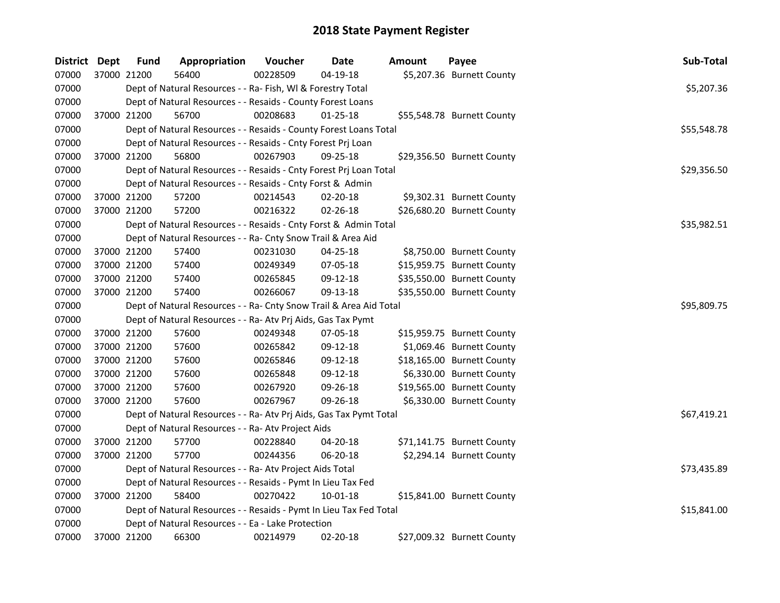| District Dept | <b>Fund</b> | Appropriation                                                      | <b>Voucher</b> | <b>Date</b>    | Amount | Payee                      | Sub-Total   |
|---------------|-------------|--------------------------------------------------------------------|----------------|----------------|--------|----------------------------|-------------|
| 07000         | 37000 21200 | 56400                                                              | 00228509       | $04-19-18$     |        | \$5,207.36 Burnett County  |             |
| 07000         |             | Dept of Natural Resources - - Ra- Fish, WI & Forestry Total        |                |                |        |                            | \$5,207.36  |
| 07000         |             | Dept of Natural Resources - - Resaids - County Forest Loans        |                |                |        |                            |             |
| 07000         | 37000 21200 | 56700                                                              | 00208683       | $01 - 25 - 18$ |        | \$55,548.78 Burnett County |             |
| 07000         |             | Dept of Natural Resources - - Resaids - County Forest Loans Total  |                |                |        |                            | \$55,548.78 |
| 07000         |             | Dept of Natural Resources - - Resaids - Cnty Forest Prj Loan       |                |                |        |                            |             |
| 07000         | 37000 21200 | 56800                                                              | 00267903       | 09-25-18       |        | \$29,356.50 Burnett County |             |
| 07000         |             | Dept of Natural Resources - - Resaids - Cnty Forest Prj Loan Total |                |                |        |                            | \$29,356.50 |
| 07000         |             | Dept of Natural Resources - - Resaids - Cnty Forst & Admin         |                |                |        |                            |             |
| 07000         | 37000 21200 | 57200                                                              | 00214543       | 02-20-18       |        | \$9,302.31 Burnett County  |             |
| 07000         | 37000 21200 | 57200                                                              | 00216322       | 02-26-18       |        | \$26,680.20 Burnett County |             |
| 07000         |             | Dept of Natural Resources - - Resaids - Cnty Forst & Admin Total   |                |                |        |                            | \$35,982.51 |
| 07000         |             | Dept of Natural Resources - - Ra- Cnty Snow Trail & Area Aid       |                |                |        |                            |             |
| 07000         | 37000 21200 | 57400                                                              | 00231030       | 04-25-18       |        | \$8,750.00 Burnett County  |             |
| 07000         | 37000 21200 | 57400                                                              | 00249349       | 07-05-18       |        | \$15,959.75 Burnett County |             |
| 07000         | 37000 21200 | 57400                                                              | 00265845       | 09-12-18       |        | \$35,550.00 Burnett County |             |
| 07000         | 37000 21200 | 57400                                                              | 00266067       | 09-13-18       |        | \$35,550.00 Burnett County |             |
| 07000         |             | Dept of Natural Resources - - Ra- Cnty Snow Trail & Area Aid Total |                |                |        |                            | \$95,809.75 |
| 07000         |             | Dept of Natural Resources - - Ra- Atv Prj Aids, Gas Tax Pymt       |                |                |        |                            |             |
| 07000         | 37000 21200 | 57600                                                              | 00249348       | 07-05-18       |        | \$15,959.75 Burnett County |             |
| 07000         | 37000 21200 | 57600                                                              | 00265842       | 09-12-18       |        | \$1,069.46 Burnett County  |             |
| 07000         | 37000 21200 | 57600                                                              | 00265846       | 09-12-18       |        | \$18,165.00 Burnett County |             |
| 07000         | 37000 21200 | 57600                                                              | 00265848       | 09-12-18       |        | \$6,330.00 Burnett County  |             |
| 07000         | 37000 21200 | 57600                                                              | 00267920       | 09-26-18       |        | \$19,565.00 Burnett County |             |
| 07000         | 37000 21200 | 57600                                                              | 00267967       | 09-26-18       |        | \$6,330.00 Burnett County  |             |
| 07000         |             | Dept of Natural Resources - - Ra- Atv Prj Aids, Gas Tax Pymt Total |                |                |        |                            | \$67,419.21 |
| 07000         |             | Dept of Natural Resources - - Ra- Atv Project Aids                 |                |                |        |                            |             |
| 07000         | 37000 21200 | 57700                                                              | 00228840       | 04-20-18       |        | \$71,141.75 Burnett County |             |
| 07000         | 37000 21200 | 57700                                                              | 00244356       | 06-20-18       |        | \$2,294.14 Burnett County  |             |
| 07000         |             | Dept of Natural Resources - - Ra- Atv Project Aids Total           |                |                |        |                            | \$73,435.89 |
| 07000         |             | Dept of Natural Resources - - Resaids - Pymt In Lieu Tax Fed       |                |                |        |                            |             |
| 07000         | 37000 21200 | 58400                                                              | 00270422       | $10 - 01 - 18$ |        | \$15,841.00 Burnett County |             |
| 07000         |             | Dept of Natural Resources - - Resaids - Pymt In Lieu Tax Fed Total |                |                |        |                            | \$15,841.00 |
| 07000         |             | Dept of Natural Resources - - Ea - Lake Protection                 |                |                |        |                            |             |
| 07000         | 37000 21200 | 66300                                                              | 00214979       | 02-20-18       |        | \$27,009.32 Burnett County |             |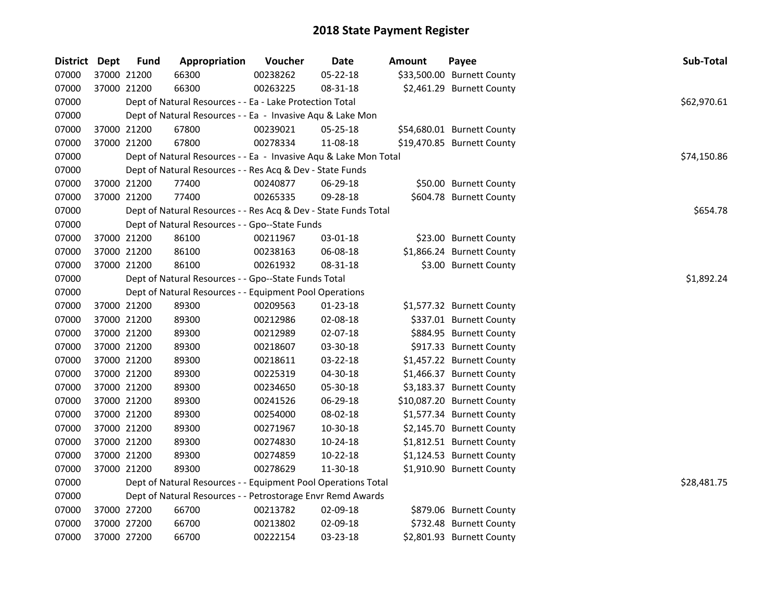| District Dept | <b>Fund</b> | Appropriation                                                    | Voucher  | Date           | Amount | Payee                      | Sub-Total   |
|---------------|-------------|------------------------------------------------------------------|----------|----------------|--------|----------------------------|-------------|
| 07000         | 37000 21200 | 66300                                                            | 00238262 | $05 - 22 - 18$ |        | \$33,500.00 Burnett County |             |
| 07000         | 37000 21200 | 66300                                                            | 00263225 | 08-31-18       |        | \$2,461.29 Burnett County  |             |
| 07000         |             | Dept of Natural Resources - - Ea - Lake Protection Total         |          |                |        |                            | \$62,970.61 |
| 07000         |             | Dept of Natural Resources - - Ea - Invasive Aqu & Lake Mon       |          |                |        |                            |             |
| 07000         | 37000 21200 | 67800                                                            | 00239021 | 05-25-18       |        | \$54,680.01 Burnett County |             |
| 07000         | 37000 21200 | 67800                                                            | 00278334 | 11-08-18       |        | \$19,470.85 Burnett County |             |
| 07000         |             | Dept of Natural Resources - - Ea - Invasive Aqu & Lake Mon Total |          |                |        |                            | \$74,150.86 |
| 07000         |             | Dept of Natural Resources - - Res Acq & Dev - State Funds        |          |                |        |                            |             |
| 07000         | 37000 21200 | 77400                                                            | 00240877 | 06-29-18       |        | \$50.00 Burnett County     |             |
| 07000         | 37000 21200 | 77400                                                            | 00265335 | 09-28-18       |        | \$604.78 Burnett County    |             |
| 07000         |             | Dept of Natural Resources - - Res Acq & Dev - State Funds Total  |          |                |        |                            | \$654.78    |
| 07000         |             | Dept of Natural Resources - - Gpo--State Funds                   |          |                |        |                            |             |
| 07000         | 37000 21200 | 86100                                                            | 00211967 | 03-01-18       |        | \$23.00 Burnett County     |             |
| 07000         | 37000 21200 | 86100                                                            | 00238163 | 06-08-18       |        | \$1,866.24 Burnett County  |             |
| 07000         | 37000 21200 | 86100                                                            | 00261932 | 08-31-18       |        | \$3.00 Burnett County      |             |
| 07000         |             | Dept of Natural Resources - - Gpo--State Funds Total             |          |                |        |                            | \$1,892.24  |
| 07000         |             | Dept of Natural Resources - - Equipment Pool Operations          |          |                |        |                            |             |
| 07000         | 37000 21200 | 89300                                                            | 00209563 | 01-23-18       |        | \$1,577.32 Burnett County  |             |
| 07000         | 37000 21200 | 89300                                                            | 00212986 | 02-08-18       |        | \$337.01 Burnett County    |             |
| 07000         | 37000 21200 | 89300                                                            | 00212989 | 02-07-18       |        | \$884.95 Burnett County    |             |
| 07000         | 37000 21200 | 89300                                                            | 00218607 | 03-30-18       |        | \$917.33 Burnett County    |             |
| 07000         | 37000 21200 | 89300                                                            | 00218611 | 03-22-18       |        | \$1,457.22 Burnett County  |             |
| 07000         | 37000 21200 | 89300                                                            | 00225319 | 04-30-18       |        | \$1,466.37 Burnett County  |             |
| 07000         | 37000 21200 | 89300                                                            | 00234650 | 05-30-18       |        | \$3,183.37 Burnett County  |             |
| 07000         | 37000 21200 | 89300                                                            | 00241526 | 06-29-18       |        | \$10,087.20 Burnett County |             |
| 07000         | 37000 21200 | 89300                                                            | 00254000 | 08-02-18       |        | \$1,577.34 Burnett County  |             |
| 07000         | 37000 21200 | 89300                                                            | 00271967 | 10-30-18       |        | \$2,145.70 Burnett County  |             |
| 07000         | 37000 21200 | 89300                                                            | 00274830 | 10-24-18       |        | \$1,812.51 Burnett County  |             |
| 07000         | 37000 21200 | 89300                                                            | 00274859 | $10 - 22 - 18$ |        | \$1,124.53 Burnett County  |             |
| 07000         | 37000 21200 | 89300                                                            | 00278629 | 11-30-18       |        | \$1,910.90 Burnett County  |             |
| 07000         |             | Dept of Natural Resources - - Equipment Pool Operations Total    |          |                |        |                            | \$28,481.75 |
| 07000         |             | Dept of Natural Resources - - Petrostorage Envr Remd Awards      |          |                |        |                            |             |
| 07000         | 37000 27200 | 66700                                                            | 00213782 | 02-09-18       |        | \$879.06 Burnett County    |             |
| 07000         | 37000 27200 | 66700                                                            | 00213802 | 02-09-18       |        | \$732.48 Burnett County    |             |
| 07000         | 37000 27200 | 66700                                                            | 00222154 | 03-23-18       |        | \$2,801.93 Burnett County  |             |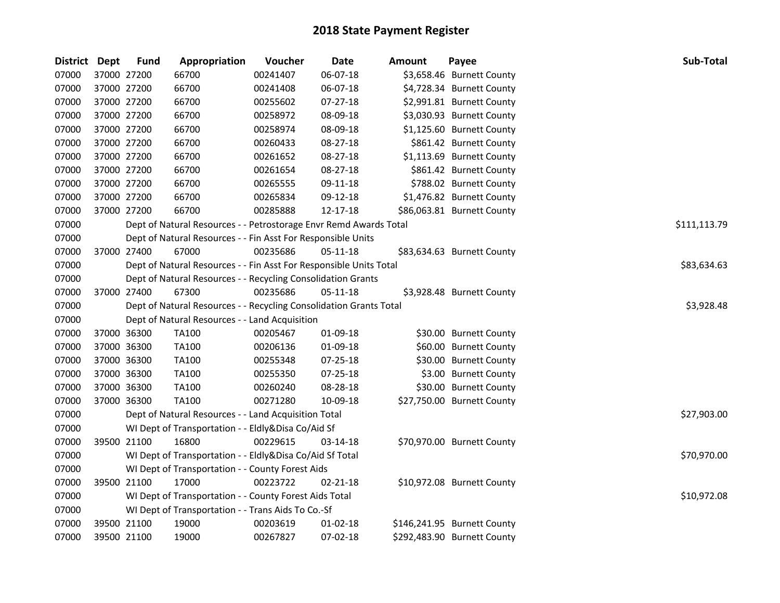| District Dept |             | <b>Fund</b> | Appropriation                                                      | Voucher  | <b>Date</b>    | <b>Amount</b> | Payee                       | Sub-Total    |
|---------------|-------------|-------------|--------------------------------------------------------------------|----------|----------------|---------------|-----------------------------|--------------|
| 07000         | 37000 27200 |             | 66700                                                              | 00241407 | 06-07-18       |               | \$3,658.46 Burnett County   |              |
| 07000         | 37000 27200 |             | 66700                                                              | 00241408 | 06-07-18       |               | \$4,728.34 Burnett County   |              |
| 07000         | 37000 27200 |             | 66700                                                              | 00255602 | 07-27-18       |               | \$2,991.81 Burnett County   |              |
| 07000         | 37000 27200 |             | 66700                                                              | 00258972 | 08-09-18       |               | \$3,030.93 Burnett County   |              |
| 07000         | 37000 27200 |             | 66700                                                              | 00258974 | 08-09-18       |               | \$1,125.60 Burnett County   |              |
| 07000         | 37000 27200 |             | 66700                                                              | 00260433 | 08-27-18       |               | \$861.42 Burnett County     |              |
| 07000         | 37000 27200 |             | 66700                                                              | 00261652 | 08-27-18       |               | \$1,113.69 Burnett County   |              |
| 07000         | 37000 27200 |             | 66700                                                              | 00261654 | 08-27-18       |               | \$861.42 Burnett County     |              |
| 07000         | 37000 27200 |             | 66700                                                              | 00265555 | 09-11-18       |               | \$788.02 Burnett County     |              |
| 07000         | 37000 27200 |             | 66700                                                              | 00265834 | 09-12-18       |               | \$1,476.82 Burnett County   |              |
| 07000         | 37000 27200 |             | 66700                                                              | 00285888 | 12-17-18       |               | \$86,063.81 Burnett County  |              |
| 07000         |             |             | Dept of Natural Resources - - Petrostorage Envr Remd Awards Total  |          |                |               |                             | \$111,113.79 |
| 07000         |             |             | Dept of Natural Resources - - Fin Asst For Responsible Units       |          |                |               |                             |              |
| 07000         | 37000 27400 |             | 67000                                                              | 00235686 | 05-11-18       |               | \$83,634.63 Burnett County  |              |
| 07000         |             |             | Dept of Natural Resources - - Fin Asst For Responsible Units Total |          |                |               |                             | \$83,634.63  |
| 07000         |             |             | Dept of Natural Resources - - Recycling Consolidation Grants       |          |                |               |                             |              |
| 07000         | 37000 27400 |             | 67300                                                              | 00235686 | 05-11-18       |               | \$3,928.48 Burnett County   |              |
| 07000         |             |             | Dept of Natural Resources - - Recycling Consolidation Grants Total |          |                |               |                             | \$3,928.48   |
| 07000         |             |             | Dept of Natural Resources - - Land Acquisition                     |          |                |               |                             |              |
| 07000         | 37000 36300 |             | <b>TA100</b>                                                       | 00205467 | 01-09-18       |               | \$30.00 Burnett County      |              |
| 07000         | 37000 36300 |             | <b>TA100</b>                                                       | 00206136 | 01-09-18       |               | \$60.00 Burnett County      |              |
| 07000         | 37000 36300 |             | <b>TA100</b>                                                       | 00255348 | 07-25-18       |               | \$30.00 Burnett County      |              |
| 07000         | 37000 36300 |             | <b>TA100</b>                                                       | 00255350 | $07 - 25 - 18$ |               | \$3.00 Burnett County       |              |
| 07000         | 37000 36300 |             | <b>TA100</b>                                                       | 00260240 | 08-28-18       |               | \$30.00 Burnett County      |              |
| 07000         | 37000 36300 |             | <b>TA100</b>                                                       | 00271280 | 10-09-18       |               | \$27,750.00 Burnett County  |              |
| 07000         |             |             | Dept of Natural Resources - - Land Acquisition Total               |          |                |               |                             | \$27,903.00  |
| 07000         |             |             | WI Dept of Transportation - - Eldly&Disa Co/Aid Sf                 |          |                |               |                             |              |
| 07000         | 39500 21100 |             | 16800                                                              | 00229615 | 03-14-18       |               | \$70,970.00 Burnett County  |              |
| 07000         |             |             | WI Dept of Transportation - - Eldly&Disa Co/Aid Sf Total           |          |                |               |                             | \$70,970.00  |
| 07000         |             |             | WI Dept of Transportation - - County Forest Aids                   |          |                |               |                             |              |
| 07000         |             | 39500 21100 | 17000                                                              | 00223722 | 02-21-18       |               | \$10,972.08 Burnett County  |              |
| 07000         |             |             | WI Dept of Transportation - - County Forest Aids Total             |          |                |               |                             | \$10,972.08  |
| 07000         |             |             | WI Dept of Transportation - - Trans Aids To Co.-Sf                 |          |                |               |                             |              |
| 07000         | 39500 21100 |             | 19000                                                              | 00203619 | $01 - 02 - 18$ |               | \$146,241.95 Burnett County |              |
| 07000         | 39500 21100 |             | 19000                                                              | 00267827 | 07-02-18       |               | \$292,483.90 Burnett County |              |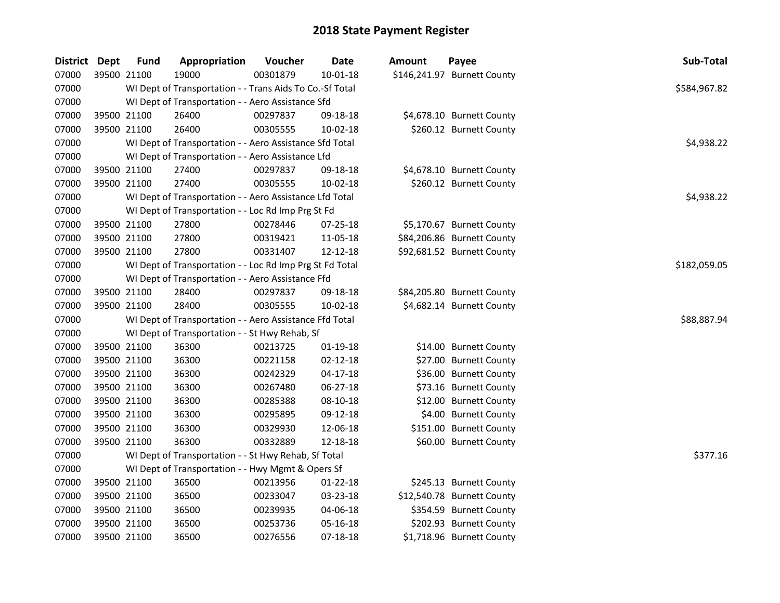| <b>District</b> | <b>Dept</b> | <b>Fund</b> | Appropriation                                            | Voucher  | <b>Date</b>    | <b>Amount</b> | Payee                       | Sub-Total    |
|-----------------|-------------|-------------|----------------------------------------------------------|----------|----------------|---------------|-----------------------------|--------------|
| 07000           | 39500 21100 |             | 19000                                                    | 00301879 | 10-01-18       |               | \$146,241.97 Burnett County |              |
| 07000           |             |             | WI Dept of Transportation - - Trans Aids To Co.-Sf Total |          |                |               |                             | \$584,967.82 |
| 07000           |             |             | WI Dept of Transportation - - Aero Assistance Sfd        |          |                |               |                             |              |
| 07000           | 39500 21100 |             | 26400                                                    | 00297837 | 09-18-18       |               | \$4,678.10 Burnett County   |              |
| 07000           | 39500 21100 |             | 26400                                                    | 00305555 | 10-02-18       |               | \$260.12 Burnett County     |              |
| 07000           |             |             | WI Dept of Transportation - - Aero Assistance Sfd Total  |          |                |               |                             | \$4,938.22   |
| 07000           |             |             | WI Dept of Transportation - - Aero Assistance Lfd        |          |                |               |                             |              |
| 07000           | 39500 21100 |             | 27400                                                    | 00297837 | 09-18-18       |               | \$4,678.10 Burnett County   |              |
| 07000           | 39500 21100 |             | 27400                                                    | 00305555 | 10-02-18       |               | \$260.12 Burnett County     |              |
| 07000           |             |             | WI Dept of Transportation - - Aero Assistance Lfd Total  |          |                |               |                             | \$4,938.22   |
| 07000           |             |             | WI Dept of Transportation - - Loc Rd Imp Prg St Fd       |          |                |               |                             |              |
| 07000           | 39500 21100 |             | 27800                                                    | 00278446 | 07-25-18       |               | \$5,170.67 Burnett County   |              |
| 07000           | 39500 21100 |             | 27800                                                    | 00319421 | 11-05-18       |               | \$84,206.86 Burnett County  |              |
| 07000           | 39500 21100 |             | 27800                                                    | 00331407 | 12-12-18       |               | \$92,681.52 Burnett County  |              |
| 07000           |             |             | WI Dept of Transportation - - Loc Rd Imp Prg St Fd Total |          |                |               |                             | \$182,059.05 |
| 07000           |             |             | WI Dept of Transportation - - Aero Assistance Ffd        |          |                |               |                             |              |
| 07000           | 39500 21100 |             | 28400                                                    | 00297837 | 09-18-18       |               | \$84,205.80 Burnett County  |              |
| 07000           | 39500 21100 |             | 28400                                                    | 00305555 | 10-02-18       |               | \$4,682.14 Burnett County   |              |
| 07000           |             |             | WI Dept of Transportation - - Aero Assistance Ffd Total  |          |                |               |                             | \$88,887.94  |
| 07000           |             |             | WI Dept of Transportation - - St Hwy Rehab, Sf           |          |                |               |                             |              |
| 07000           | 39500 21100 |             | 36300                                                    | 00213725 | $01-19-18$     |               | \$14.00 Burnett County      |              |
| 07000           | 39500 21100 |             | 36300                                                    | 00221158 | $02 - 12 - 18$ |               | \$27.00 Burnett County      |              |
| 07000           | 39500 21100 |             | 36300                                                    | 00242329 | $04 - 17 - 18$ |               | \$36.00 Burnett County      |              |
| 07000           | 39500 21100 |             | 36300                                                    | 00267480 | 06-27-18       |               | \$73.16 Burnett County      |              |
| 07000           | 39500 21100 |             | 36300                                                    | 00285388 | 08-10-18       |               | \$12.00 Burnett County      |              |
| 07000           | 39500 21100 |             | 36300                                                    | 00295895 | 09-12-18       |               | \$4.00 Burnett County       |              |
| 07000           | 39500 21100 |             | 36300                                                    | 00329930 | 12-06-18       |               | \$151.00 Burnett County     |              |
| 07000           | 39500 21100 |             | 36300                                                    | 00332889 | 12-18-18       |               | \$60.00 Burnett County      |              |
| 07000           |             |             | WI Dept of Transportation - - St Hwy Rehab, Sf Total     |          |                |               |                             | \$377.16     |
| 07000           |             |             | WI Dept of Transportation - - Hwy Mgmt & Opers Sf        |          |                |               |                             |              |
| 07000           | 39500 21100 |             | 36500                                                    | 00213956 | $01 - 22 - 18$ |               | \$245.13 Burnett County     |              |
| 07000           | 39500 21100 |             | 36500                                                    | 00233047 | 03-23-18       |               | \$12,540.78 Burnett County  |              |
| 07000           | 39500 21100 |             | 36500                                                    | 00239935 | 04-06-18       |               | \$354.59 Burnett County     |              |
| 07000           | 39500 21100 |             | 36500                                                    | 00253736 | 05-16-18       |               | \$202.93 Burnett County     |              |
| 07000           | 39500 21100 |             | 36500                                                    | 00276556 | 07-18-18       |               | \$1,718.96 Burnett County   |              |
|                 |             |             |                                                          |          |                |               |                             |              |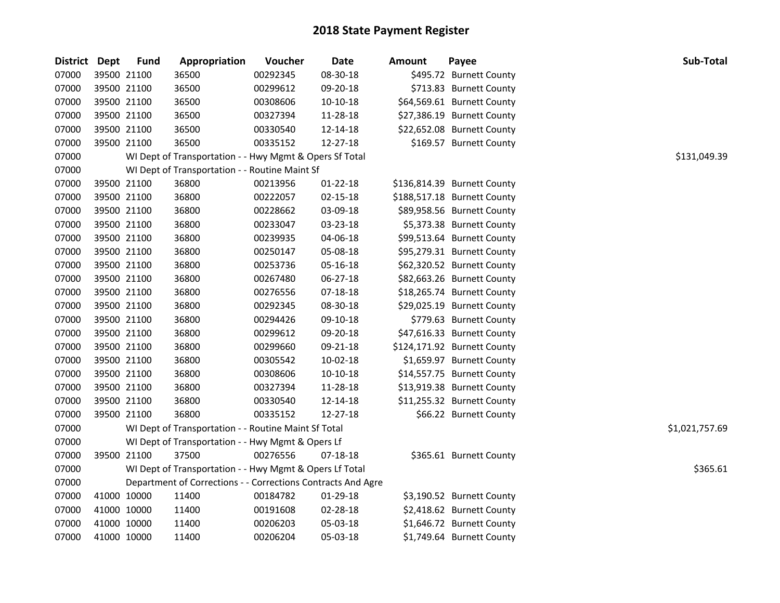| District Dept | <b>Fund</b> | Appropriation                                                | Voucher  | <b>Date</b>    | <b>Amount</b> | Payee                       | Sub-Total      |
|---------------|-------------|--------------------------------------------------------------|----------|----------------|---------------|-----------------------------|----------------|
| 07000         | 39500 21100 | 36500                                                        | 00292345 | 08-30-18       |               | \$495.72 Burnett County     |                |
| 07000         | 39500 21100 | 36500                                                        | 00299612 | 09-20-18       |               | \$713.83 Burnett County     |                |
| 07000         | 39500 21100 | 36500                                                        | 00308606 | 10-10-18       |               | \$64,569.61 Burnett County  |                |
| 07000         | 39500 21100 | 36500                                                        | 00327394 | 11-28-18       |               | \$27,386.19 Burnett County  |                |
| 07000         | 39500 21100 | 36500                                                        | 00330540 | 12-14-18       |               | \$22,652.08 Burnett County  |                |
| 07000         | 39500 21100 | 36500                                                        | 00335152 | 12-27-18       |               | \$169.57 Burnett County     |                |
| 07000         |             | WI Dept of Transportation - - Hwy Mgmt & Opers Sf Total      |          |                |               |                             | \$131,049.39   |
| 07000         |             | WI Dept of Transportation - - Routine Maint Sf               |          |                |               |                             |                |
| 07000         | 39500 21100 | 36800                                                        | 00213956 | $01 - 22 - 18$ |               | \$136,814.39 Burnett County |                |
| 07000         | 39500 21100 | 36800                                                        | 00222057 | 02-15-18       |               | \$188,517.18 Burnett County |                |
| 07000         | 39500 21100 | 36800                                                        | 00228662 | 03-09-18       |               | \$89,958.56 Burnett County  |                |
| 07000         | 39500 21100 | 36800                                                        | 00233047 | 03-23-18       |               | \$5,373.38 Burnett County   |                |
| 07000         | 39500 21100 | 36800                                                        | 00239935 | 04-06-18       |               | \$99,513.64 Burnett County  |                |
| 07000         | 39500 21100 | 36800                                                        | 00250147 | 05-08-18       |               | \$95,279.31 Burnett County  |                |
| 07000         | 39500 21100 | 36800                                                        | 00253736 | 05-16-18       |               | \$62,320.52 Burnett County  |                |
| 07000         | 39500 21100 | 36800                                                        | 00267480 | 06-27-18       |               | \$82,663.26 Burnett County  |                |
| 07000         | 39500 21100 | 36800                                                        | 00276556 | $07 - 18 - 18$ |               | \$18,265.74 Burnett County  |                |
| 07000         | 39500 21100 | 36800                                                        | 00292345 | 08-30-18       |               | \$29,025.19 Burnett County  |                |
| 07000         | 39500 21100 | 36800                                                        | 00294426 | 09-10-18       |               | \$779.63 Burnett County     |                |
| 07000         | 39500 21100 | 36800                                                        | 00299612 | 09-20-18       |               | \$47,616.33 Burnett County  |                |
| 07000         | 39500 21100 | 36800                                                        | 00299660 | 09-21-18       |               | \$124,171.92 Burnett County |                |
| 07000         | 39500 21100 | 36800                                                        | 00305542 | 10-02-18       |               | \$1,659.97 Burnett County   |                |
| 07000         | 39500 21100 | 36800                                                        | 00308606 | 10-10-18       |               | \$14,557.75 Burnett County  |                |
| 07000         | 39500 21100 | 36800                                                        | 00327394 | 11-28-18       |               | \$13,919.38 Burnett County  |                |
| 07000         | 39500 21100 | 36800                                                        | 00330540 | 12-14-18       |               | \$11,255.32 Burnett County  |                |
| 07000         | 39500 21100 | 36800                                                        | 00335152 | 12-27-18       |               | \$66.22 Burnett County      |                |
| 07000         |             | WI Dept of Transportation - - Routine Maint Sf Total         |          |                |               |                             | \$1,021,757.69 |
| 07000         |             | WI Dept of Transportation - - Hwy Mgmt & Opers Lf            |          |                |               |                             |                |
| 07000         | 39500 21100 | 37500                                                        | 00276556 | 07-18-18       |               | \$365.61 Burnett County     |                |
| 07000         |             | WI Dept of Transportation - - Hwy Mgmt & Opers Lf Total      |          |                |               |                             | \$365.61       |
| 07000         |             | Department of Corrections - - Corrections Contracts And Agre |          |                |               |                             |                |
| 07000         | 41000 10000 | 11400                                                        | 00184782 | 01-29-18       |               | \$3,190.52 Burnett County   |                |
| 07000         | 41000 10000 | 11400                                                        | 00191608 | 02-28-18       |               | \$2,418.62 Burnett County   |                |
| 07000         | 41000 10000 | 11400                                                        | 00206203 | 05-03-18       |               | \$1,646.72 Burnett County   |                |
| 07000         | 41000 10000 | 11400                                                        | 00206204 | 05-03-18       |               | \$1,749.64 Burnett County   |                |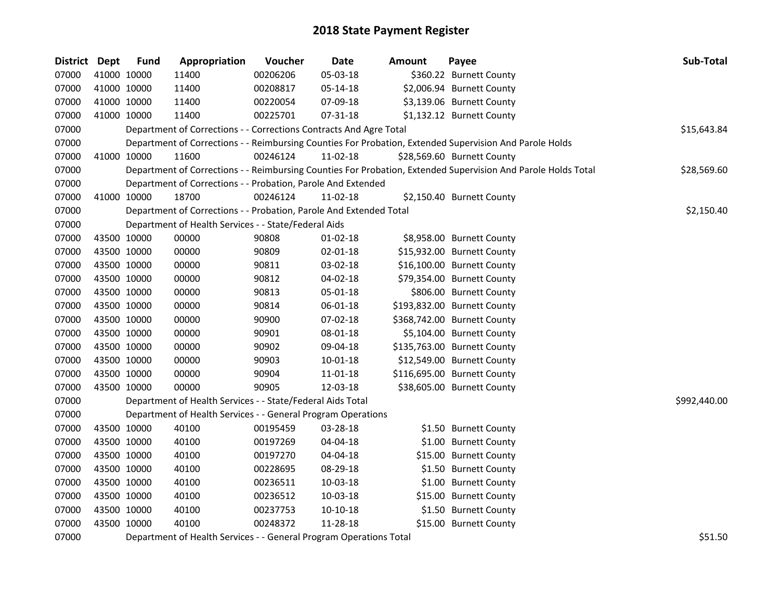| District Dept | <b>Fund</b> | Appropriation                                                      | Voucher  | <b>Date</b> | <b>Amount</b> | Payee                                                                                                         | Sub-Total    |
|---------------|-------------|--------------------------------------------------------------------|----------|-------------|---------------|---------------------------------------------------------------------------------------------------------------|--------------|
| 07000         | 41000 10000 | 11400                                                              | 00206206 | 05-03-18    |               | \$360.22 Burnett County                                                                                       |              |
| 07000         | 41000 10000 | 11400                                                              | 00208817 | 05-14-18    |               | \$2,006.94 Burnett County                                                                                     |              |
| 07000         | 41000 10000 | 11400                                                              | 00220054 | 07-09-18    |               | \$3,139.06 Burnett County                                                                                     |              |
| 07000         | 41000 10000 | 11400                                                              | 00225701 | 07-31-18    |               | \$1,132.12 Burnett County                                                                                     |              |
| 07000         |             | Department of Corrections - - Corrections Contracts And Agre Total |          |             |               |                                                                                                               | \$15,643.84  |
| 07000         |             |                                                                    |          |             |               | Department of Corrections - - Reimbursing Counties For Probation, Extended Supervision And Parole Holds       |              |
| 07000         | 41000 10000 | 11600                                                              | 00246124 | 11-02-18    |               | \$28,569.60 Burnett County                                                                                    |              |
| 07000         |             |                                                                    |          |             |               | Department of Corrections - - Reimbursing Counties For Probation, Extended Supervision And Parole Holds Total | \$28,569.60  |
| 07000         |             | Department of Corrections - - Probation, Parole And Extended       |          |             |               |                                                                                                               |              |
| 07000         | 41000 10000 | 18700                                                              | 00246124 | 11-02-18    |               | \$2,150.40 Burnett County                                                                                     |              |
| 07000         |             | Department of Corrections - - Probation, Parole And Extended Total |          |             |               |                                                                                                               | \$2,150.40   |
| 07000         |             | Department of Health Services - - State/Federal Aids               |          |             |               |                                                                                                               |              |
| 07000         | 43500 10000 | 00000                                                              | 90808    | 01-02-18    |               | \$8,958.00 Burnett County                                                                                     |              |
| 07000         | 43500 10000 | 00000                                                              | 90809    | 02-01-18    |               | \$15,932.00 Burnett County                                                                                    |              |
| 07000         | 43500 10000 | 00000                                                              | 90811    | 03-02-18    |               | \$16,100.00 Burnett County                                                                                    |              |
| 07000         | 43500 10000 | 00000                                                              | 90812    | 04-02-18    |               | \$79,354.00 Burnett County                                                                                    |              |
| 07000         | 43500 10000 | 00000                                                              | 90813    | 05-01-18    |               | \$806.00 Burnett County                                                                                       |              |
| 07000         | 43500 10000 | 00000                                                              | 90814    | 06-01-18    |               | \$193,832.00 Burnett County                                                                                   |              |
| 07000         | 43500 10000 | 00000                                                              | 90900    | 07-02-18    |               | \$368,742.00 Burnett County                                                                                   |              |
| 07000         | 43500 10000 | 00000                                                              | 90901    | 08-01-18    |               | \$5,104.00 Burnett County                                                                                     |              |
| 07000         | 43500 10000 | 00000                                                              | 90902    | 09-04-18    |               | \$135,763.00 Burnett County                                                                                   |              |
| 07000         | 43500 10000 | 00000                                                              | 90903    | 10-01-18    |               | \$12,549.00 Burnett County                                                                                    |              |
| 07000         | 43500 10000 | 00000                                                              | 90904    | 11-01-18    |               | \$116,695.00 Burnett County                                                                                   |              |
| 07000         | 43500 10000 | 00000                                                              | 90905    | 12-03-18    |               | \$38,605.00 Burnett County                                                                                    |              |
| 07000         |             | Department of Health Services - - State/Federal Aids Total         |          |             |               |                                                                                                               | \$992,440.00 |
| 07000         |             | Department of Health Services - - General Program Operations       |          |             |               |                                                                                                               |              |
| 07000         | 43500 10000 | 40100                                                              | 00195459 | 03-28-18    |               | \$1.50 Burnett County                                                                                         |              |
| 07000         | 43500 10000 | 40100                                                              | 00197269 | 04-04-18    |               | \$1.00 Burnett County                                                                                         |              |
| 07000         | 43500 10000 | 40100                                                              | 00197270 | 04-04-18    |               | \$15.00 Burnett County                                                                                        |              |
| 07000         | 43500 10000 | 40100                                                              | 00228695 | 08-29-18    |               | \$1.50 Burnett County                                                                                         |              |
| 07000         | 43500 10000 | 40100                                                              | 00236511 | 10-03-18    |               | \$1.00 Burnett County                                                                                         |              |
| 07000         | 43500 10000 | 40100                                                              | 00236512 | 10-03-18    |               | \$15.00 Burnett County                                                                                        |              |
| 07000         | 43500 10000 | 40100                                                              | 00237753 | 10-10-18    |               | \$1.50 Burnett County                                                                                         |              |
| 07000         | 43500 10000 | 40100                                                              | 00248372 | 11-28-18    |               | \$15.00 Burnett County                                                                                        |              |
| 07000         |             | Department of Health Services - - General Program Operations Total |          |             |               |                                                                                                               | \$51.50      |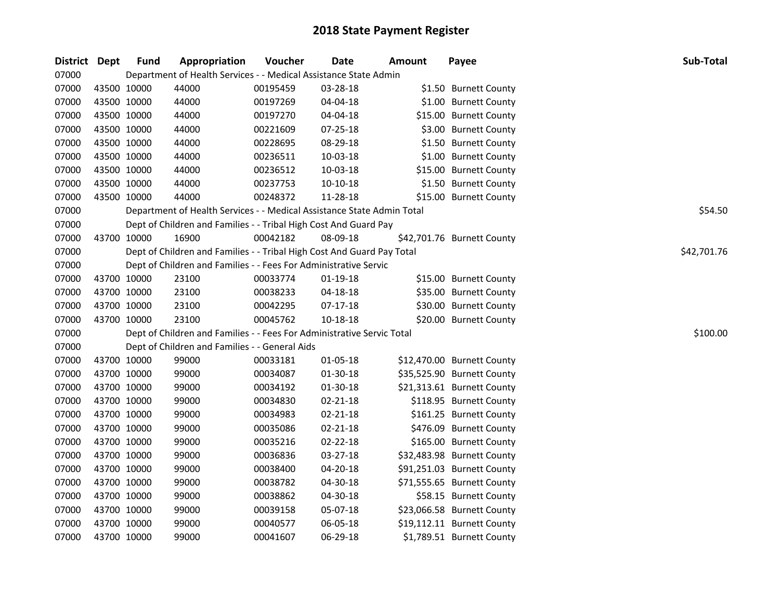| District | Dept        | <b>Fund</b> | Appropriation                                                          | Voucher  | <b>Date</b>    | <b>Amount</b> | Payee                      | Sub-Total   |
|----------|-------------|-------------|------------------------------------------------------------------------|----------|----------------|---------------|----------------------------|-------------|
| 07000    |             |             | Department of Health Services - - Medical Assistance State Admin       |          |                |               |                            |             |
| 07000    | 43500 10000 |             | 44000                                                                  | 00195459 | 03-28-18       |               | \$1.50 Burnett County      |             |
| 07000    | 43500 10000 |             | 44000                                                                  | 00197269 | 04-04-18       |               | \$1.00 Burnett County      |             |
| 07000    | 43500 10000 |             | 44000                                                                  | 00197270 | 04-04-18       |               | \$15.00 Burnett County     |             |
| 07000    | 43500 10000 |             | 44000                                                                  | 00221609 | 07-25-18       |               | \$3.00 Burnett County      |             |
| 07000    | 43500 10000 |             | 44000                                                                  | 00228695 | 08-29-18       |               | \$1.50 Burnett County      |             |
| 07000    | 43500 10000 |             | 44000                                                                  | 00236511 | 10-03-18       |               | \$1.00 Burnett County      |             |
| 07000    | 43500 10000 |             | 44000                                                                  | 00236512 | 10-03-18       |               | \$15.00 Burnett County     |             |
| 07000    | 43500 10000 |             | 44000                                                                  | 00237753 | 10-10-18       |               | \$1.50 Burnett County      |             |
| 07000    | 43500 10000 |             | 44000                                                                  | 00248372 | 11-28-18       |               | \$15.00 Burnett County     |             |
| 07000    |             |             | Department of Health Services - - Medical Assistance State Admin Total |          |                |               |                            | \$54.50     |
| 07000    |             |             | Dept of Children and Families - - Tribal High Cost And Guard Pay       |          |                |               |                            |             |
| 07000    | 43700 10000 |             | 16900                                                                  | 00042182 | 08-09-18       |               | \$42,701.76 Burnett County |             |
| 07000    |             |             | Dept of Children and Families - - Tribal High Cost And Guard Pay Total |          |                |               |                            | \$42,701.76 |
| 07000    |             |             | Dept of Children and Families - - Fees For Administrative Servic       |          |                |               |                            |             |
| 07000    | 43700 10000 |             | 23100                                                                  | 00033774 | 01-19-18       |               | \$15.00 Burnett County     |             |
| 07000    | 43700 10000 |             | 23100                                                                  | 00038233 | 04-18-18       |               | \$35.00 Burnett County     |             |
| 07000    | 43700 10000 |             | 23100                                                                  | 00042295 | 07-17-18       |               | \$30.00 Burnett County     |             |
| 07000    | 43700 10000 |             | 23100                                                                  | 00045762 | 10-18-18       |               | \$20.00 Burnett County     |             |
| 07000    |             |             | Dept of Children and Families - - Fees For Administrative Servic Total |          |                |               |                            | \$100.00    |
| 07000    |             |             | Dept of Children and Families - - General Aids                         |          |                |               |                            |             |
| 07000    | 43700 10000 |             | 99000                                                                  | 00033181 | 01-05-18       |               | \$12,470.00 Burnett County |             |
| 07000    | 43700 10000 |             | 99000                                                                  | 00034087 | $01-30-18$     |               | \$35,525.90 Burnett County |             |
| 07000    | 43700 10000 |             | 99000                                                                  | 00034192 | 01-30-18       |               | \$21,313.61 Burnett County |             |
| 07000    | 43700 10000 |             | 99000                                                                  | 00034830 | $02 - 21 - 18$ |               | \$118.95 Burnett County    |             |
| 07000    | 43700 10000 |             | 99000                                                                  | 00034983 | 02-21-18       |               | \$161.25 Burnett County    |             |
| 07000    | 43700 10000 |             | 99000                                                                  | 00035086 | $02 - 21 - 18$ |               | \$476.09 Burnett County    |             |
| 07000    | 43700 10000 |             | 99000                                                                  | 00035216 | 02-22-18       |               | \$165.00 Burnett County    |             |
| 07000    | 43700 10000 |             | 99000                                                                  | 00036836 | 03-27-18       |               | \$32,483.98 Burnett County |             |
| 07000    | 43700 10000 |             | 99000                                                                  | 00038400 | 04-20-18       |               | \$91,251.03 Burnett County |             |
| 07000    | 43700 10000 |             | 99000                                                                  | 00038782 | 04-30-18       |               | \$71,555.65 Burnett County |             |
| 07000    | 43700 10000 |             | 99000                                                                  | 00038862 | 04-30-18       |               | \$58.15 Burnett County     |             |
| 07000    | 43700 10000 |             | 99000                                                                  | 00039158 | 05-07-18       |               | \$23,066.58 Burnett County |             |
| 07000    | 43700 10000 |             | 99000                                                                  | 00040577 | 06-05-18       |               | \$19,112.11 Burnett County |             |
| 07000    | 43700 10000 |             | 99000                                                                  | 00041607 | 06-29-18       |               | \$1,789.51 Burnett County  |             |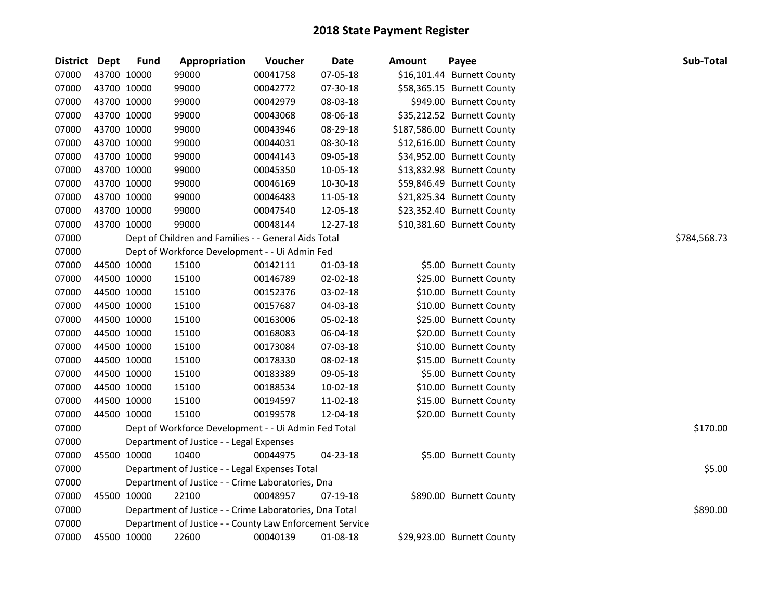| District Dept |             | <b>Fund</b> | Appropriation                                            | Voucher  | Date     | Amount | Payee                       | Sub-Total    |
|---------------|-------------|-------------|----------------------------------------------------------|----------|----------|--------|-----------------------------|--------------|
| 07000         | 43700 10000 |             | 99000                                                    | 00041758 | 07-05-18 |        | \$16,101.44 Burnett County  |              |
| 07000         | 43700 10000 |             | 99000                                                    | 00042772 | 07-30-18 |        | \$58,365.15 Burnett County  |              |
| 07000         | 43700 10000 |             | 99000                                                    | 00042979 | 08-03-18 |        | \$949.00 Burnett County     |              |
| 07000         | 43700 10000 |             | 99000                                                    | 00043068 | 08-06-18 |        | \$35,212.52 Burnett County  |              |
| 07000         | 43700 10000 |             | 99000                                                    | 00043946 | 08-29-18 |        | \$187,586.00 Burnett County |              |
| 07000         | 43700 10000 |             | 99000                                                    | 00044031 | 08-30-18 |        | \$12,616.00 Burnett County  |              |
| 07000         | 43700 10000 |             | 99000                                                    | 00044143 | 09-05-18 |        | \$34,952.00 Burnett County  |              |
| 07000         | 43700 10000 |             | 99000                                                    | 00045350 | 10-05-18 |        | \$13,832.98 Burnett County  |              |
| 07000         | 43700 10000 |             | 99000                                                    | 00046169 | 10-30-18 |        | \$59,846.49 Burnett County  |              |
| 07000         | 43700 10000 |             | 99000                                                    | 00046483 | 11-05-18 |        | \$21,825.34 Burnett County  |              |
| 07000         | 43700 10000 |             | 99000                                                    | 00047540 | 12-05-18 |        | \$23,352.40 Burnett County  |              |
| 07000         | 43700 10000 |             | 99000                                                    | 00048144 | 12-27-18 |        | \$10,381.60 Burnett County  |              |
| 07000         |             |             | Dept of Children and Families - - General Aids Total     |          |          |        |                             | \$784,568.73 |
| 07000         |             |             | Dept of Workforce Development - - Ui Admin Fed           |          |          |        |                             |              |
| 07000         | 44500 10000 |             | 15100                                                    | 00142111 | 01-03-18 |        | \$5.00 Burnett County       |              |
| 07000         | 44500 10000 |             | 15100                                                    | 00146789 | 02-02-18 |        | \$25.00 Burnett County      |              |
| 07000         | 44500 10000 |             | 15100                                                    | 00152376 | 03-02-18 |        | \$10.00 Burnett County      |              |
| 07000         | 44500 10000 |             | 15100                                                    | 00157687 | 04-03-18 |        | \$10.00 Burnett County      |              |
| 07000         | 44500 10000 |             | 15100                                                    | 00163006 | 05-02-18 |        | \$25.00 Burnett County      |              |
| 07000         | 44500 10000 |             | 15100                                                    | 00168083 | 06-04-18 |        | \$20.00 Burnett County      |              |
| 07000         | 44500 10000 |             | 15100                                                    | 00173084 | 07-03-18 |        | \$10.00 Burnett County      |              |
| 07000         | 44500 10000 |             | 15100                                                    | 00178330 | 08-02-18 |        | \$15.00 Burnett County      |              |
| 07000         | 44500 10000 |             | 15100                                                    | 00183389 | 09-05-18 |        | \$5.00 Burnett County       |              |
| 07000         | 44500 10000 |             | 15100                                                    | 00188534 | 10-02-18 |        | \$10.00 Burnett County      |              |
| 07000         | 44500 10000 |             | 15100                                                    | 00194597 | 11-02-18 |        | \$15.00 Burnett County      |              |
| 07000         | 44500 10000 |             | 15100                                                    | 00199578 | 12-04-18 |        | \$20.00 Burnett County      |              |
| 07000         |             |             | Dept of Workforce Development - - Ui Admin Fed Total     |          |          |        |                             | \$170.00     |
| 07000         |             |             | Department of Justice - - Legal Expenses                 |          |          |        |                             |              |
| 07000         | 45500 10000 |             | 10400                                                    | 00044975 | 04-23-18 |        | \$5.00 Burnett County       |              |
| 07000         |             |             | Department of Justice - - Legal Expenses Total           |          |          |        |                             | \$5.00       |
| 07000         |             |             | Department of Justice - - Crime Laboratories, Dna        |          |          |        |                             |              |
| 07000         | 45500 10000 |             | 22100                                                    | 00048957 | 07-19-18 |        | \$890.00 Burnett County     |              |
| 07000         |             |             | Department of Justice - - Crime Laboratories, Dna Total  |          |          |        |                             | \$890.00     |
| 07000         |             |             | Department of Justice - - County Law Enforcement Service |          |          |        |                             |              |
| 07000         | 45500 10000 |             | 22600                                                    | 00040139 | 01-08-18 |        | \$29,923.00 Burnett County  |              |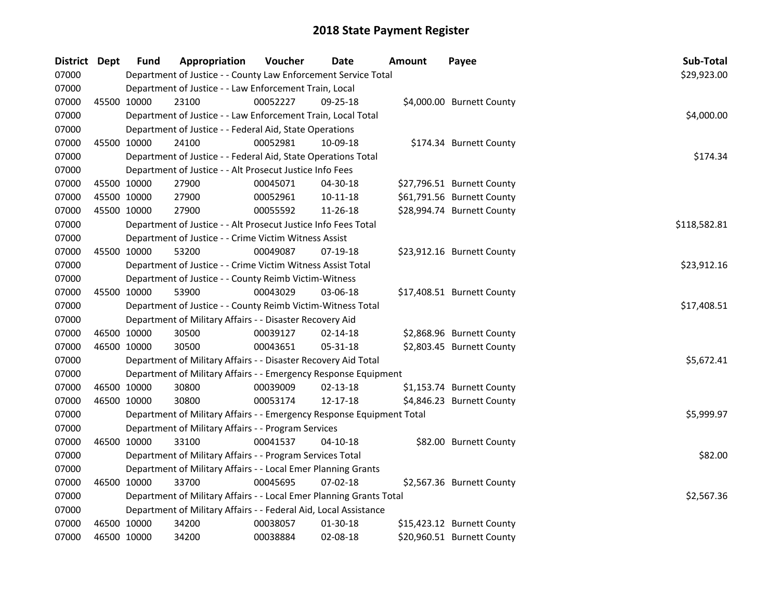| District Dept |             | <b>Fund</b> | Appropriation                                                         | Voucher  | <b>Date</b>    | Amount | Payee                      | Sub-Total    |
|---------------|-------------|-------------|-----------------------------------------------------------------------|----------|----------------|--------|----------------------------|--------------|
| 07000         |             |             | Department of Justice - - County Law Enforcement Service Total        |          |                |        |                            | \$29,923.00  |
| 07000         |             |             | Department of Justice - - Law Enforcement Train, Local                |          |                |        |                            |              |
| 07000         |             | 45500 10000 | 23100                                                                 | 00052227 | $09 - 25 - 18$ |        | \$4,000.00 Burnett County  |              |
| 07000         |             |             | Department of Justice - - Law Enforcement Train, Local Total          |          |                |        |                            | \$4,000.00   |
| 07000         |             |             | Department of Justice - - Federal Aid, State Operations               |          |                |        |                            |              |
| 07000         |             | 45500 10000 | 24100                                                                 | 00052981 | 10-09-18       |        | \$174.34 Burnett County    |              |
| 07000         |             |             | Department of Justice - - Federal Aid, State Operations Total         |          |                |        |                            | \$174.34     |
| 07000         |             |             | Department of Justice - - Alt Prosecut Justice Info Fees              |          |                |        |                            |              |
| 07000         | 45500 10000 |             | 27900                                                                 | 00045071 | 04-30-18       |        | \$27,796.51 Burnett County |              |
| 07000         | 45500 10000 |             | 27900                                                                 | 00052961 | 10-11-18       |        | \$61,791.56 Burnett County |              |
| 07000         | 45500 10000 |             | 27900                                                                 | 00055592 | 11-26-18       |        | \$28,994.74 Burnett County |              |
| 07000         |             |             | Department of Justice - - Alt Prosecut Justice Info Fees Total        |          |                |        |                            | \$118,582.81 |
| 07000         |             |             | Department of Justice - - Crime Victim Witness Assist                 |          |                |        |                            |              |
| 07000         |             | 45500 10000 | 53200                                                                 | 00049087 | 07-19-18       |        | \$23,912.16 Burnett County |              |
| 07000         |             |             | Department of Justice - - Crime Victim Witness Assist Total           |          |                |        |                            | \$23,912.16  |
| 07000         |             |             | Department of Justice - - County Reimb Victim-Witness                 |          |                |        |                            |              |
| 07000         |             | 45500 10000 | 53900                                                                 | 00043029 | 03-06-18       |        | \$17,408.51 Burnett County |              |
| 07000         |             |             | Department of Justice - - County Reimb Victim-Witness Total           |          |                |        |                            | \$17,408.51  |
| 07000         |             |             | Department of Military Affairs - - Disaster Recovery Aid              |          |                |        |                            |              |
| 07000         | 46500 10000 |             | 30500                                                                 | 00039127 | $02 - 14 - 18$ |        | \$2,868.96 Burnett County  |              |
| 07000         | 46500 10000 |             | 30500                                                                 | 00043651 | 05-31-18       |        | \$2,803.45 Burnett County  |              |
| 07000         |             |             | Department of Military Affairs - - Disaster Recovery Aid Total        |          |                |        |                            | \$5,672.41   |
| 07000         |             |             | Department of Military Affairs - - Emergency Response Equipment       |          |                |        |                            |              |
| 07000         | 46500 10000 |             | 30800                                                                 | 00039009 | $02 - 13 - 18$ |        | \$1,153.74 Burnett County  |              |
| 07000         | 46500 10000 |             | 30800                                                                 | 00053174 | 12-17-18       |        | \$4,846.23 Burnett County  |              |
| 07000         |             |             | Department of Military Affairs - - Emergency Response Equipment Total |          |                |        |                            | \$5,999.97   |
| 07000         |             |             | Department of Military Affairs - - Program Services                   |          |                |        |                            |              |
| 07000         |             | 46500 10000 | 33100                                                                 | 00041537 | $04 - 10 - 18$ |        | \$82.00 Burnett County     |              |
| 07000         |             |             | Department of Military Affairs - - Program Services Total             |          |                |        |                            | \$82.00      |
| 07000         |             |             | Department of Military Affairs - - Local Emer Planning Grants         |          |                |        |                            |              |
| 07000         |             | 46500 10000 | 33700                                                                 | 00045695 | $07-02-18$     |        | \$2,567.36 Burnett County  |              |
| 07000         |             |             | Department of Military Affairs - - Local Emer Planning Grants Total   |          |                |        |                            | \$2,567.36   |
| 07000         |             |             | Department of Military Affairs - - Federal Aid, Local Assistance      |          |                |        |                            |              |
| 07000         |             | 46500 10000 | 34200                                                                 | 00038057 | 01-30-18       |        | \$15,423.12 Burnett County |              |
| 07000         | 46500 10000 |             | 34200                                                                 | 00038884 | 02-08-18       |        | \$20,960.51 Burnett County |              |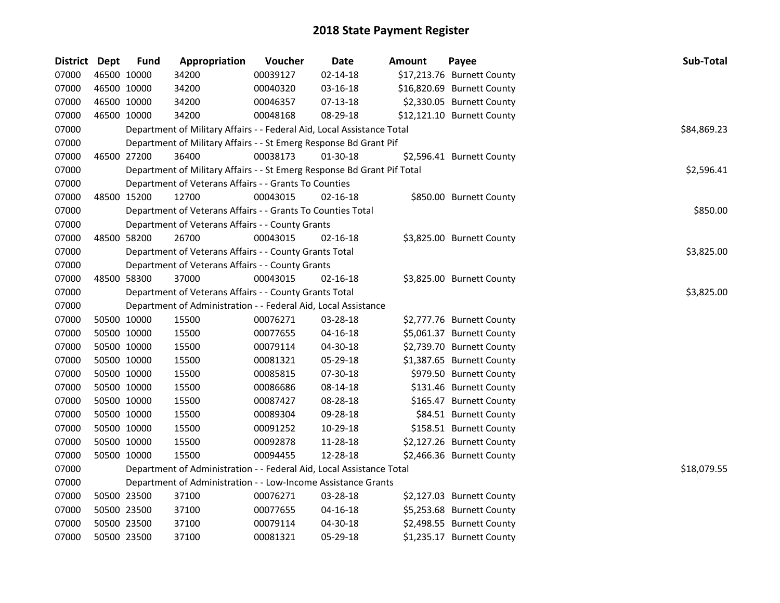| District Dept | <b>Fund</b> | Appropriation                                                           | Voucher  | Date           | <b>Amount</b> | Payee                      | Sub-Total   |
|---------------|-------------|-------------------------------------------------------------------------|----------|----------------|---------------|----------------------------|-------------|
| 07000         | 46500 10000 | 34200                                                                   | 00039127 | $02 - 14 - 18$ |               | \$17,213.76 Burnett County |             |
| 07000         | 46500 10000 | 34200                                                                   | 00040320 | 03-16-18       |               | \$16,820.69 Burnett County |             |
| 07000         | 46500 10000 | 34200                                                                   | 00046357 | $07-13-18$     |               | \$2,330.05 Burnett County  |             |
| 07000         | 46500 10000 | 34200                                                                   | 00048168 | 08-29-18       |               | \$12,121.10 Burnett County |             |
| 07000         |             | Department of Military Affairs - - Federal Aid, Local Assistance Total  |          |                |               |                            | \$84,869.23 |
| 07000         |             | Department of Military Affairs - - St Emerg Response Bd Grant Pif       |          |                |               |                            |             |
| 07000         | 46500 27200 | 36400                                                                   | 00038173 | 01-30-18       |               | \$2,596.41 Burnett County  |             |
| 07000         |             | Department of Military Affairs - - St Emerg Response Bd Grant Pif Total |          |                |               |                            | \$2,596.41  |
| 07000         |             | Department of Veterans Affairs - - Grants To Counties                   |          |                |               |                            |             |
| 07000         | 48500 15200 | 12700                                                                   | 00043015 | 02-16-18       |               | \$850.00 Burnett County    |             |
| 07000         |             | Department of Veterans Affairs - - Grants To Counties Total             |          |                |               |                            | \$850.00    |
| 07000         |             | Department of Veterans Affairs - - County Grants                        |          |                |               |                            |             |
| 07000         | 48500 58200 | 26700                                                                   | 00043015 | 02-16-18       |               | \$3,825.00 Burnett County  |             |
| 07000         |             | Department of Veterans Affairs - - County Grants Total                  |          |                |               |                            | \$3,825.00  |
| 07000         |             | Department of Veterans Affairs - - County Grants                        |          |                |               |                            |             |
| 07000         | 48500 58300 | 37000                                                                   | 00043015 | 02-16-18       |               | \$3,825.00 Burnett County  |             |
| 07000         |             | Department of Veterans Affairs - - County Grants Total                  |          |                |               |                            | \$3,825.00  |
| 07000         |             | Department of Administration - - Federal Aid, Local Assistance          |          |                |               |                            |             |
| 07000         | 50500 10000 | 15500                                                                   | 00076271 | 03-28-18       |               | \$2,777.76 Burnett County  |             |
| 07000         | 50500 10000 | 15500                                                                   | 00077655 | $04 - 16 - 18$ |               | \$5,061.37 Burnett County  |             |
| 07000         | 50500 10000 | 15500                                                                   | 00079114 | 04-30-18       |               | \$2,739.70 Burnett County  |             |
| 07000         | 50500 10000 | 15500                                                                   | 00081321 | 05-29-18       |               | \$1,387.65 Burnett County  |             |
| 07000         | 50500 10000 | 15500                                                                   | 00085815 | 07-30-18       |               | \$979.50 Burnett County    |             |
| 07000         | 50500 10000 | 15500                                                                   | 00086686 | 08-14-18       |               | \$131.46 Burnett County    |             |
| 07000         | 50500 10000 | 15500                                                                   | 00087427 | 08-28-18       |               | \$165.47 Burnett County    |             |
| 07000         | 50500 10000 | 15500                                                                   | 00089304 | 09-28-18       |               | \$84.51 Burnett County     |             |
| 07000         | 50500 10000 | 15500                                                                   | 00091252 | 10-29-18       |               | \$158.51 Burnett County    |             |
| 07000         | 50500 10000 | 15500                                                                   | 00092878 | 11-28-18       |               | \$2,127.26 Burnett County  |             |
| 07000         | 50500 10000 | 15500                                                                   | 00094455 | 12-28-18       |               | \$2,466.36 Burnett County  |             |
| 07000         |             | Department of Administration - - Federal Aid, Local Assistance Total    |          |                |               |                            | \$18,079.55 |
| 07000         |             | Department of Administration - - Low-Income Assistance Grants           |          |                |               |                            |             |
| 07000         | 50500 23500 | 37100                                                                   | 00076271 | 03-28-18       |               | \$2,127.03 Burnett County  |             |
| 07000         | 50500 23500 | 37100                                                                   | 00077655 | 04-16-18       |               | \$5,253.68 Burnett County  |             |
| 07000         | 50500 23500 | 37100                                                                   | 00079114 | 04-30-18       |               | \$2,498.55 Burnett County  |             |
| 07000         | 50500 23500 | 37100                                                                   | 00081321 | 05-29-18       |               | \$1,235.17 Burnett County  |             |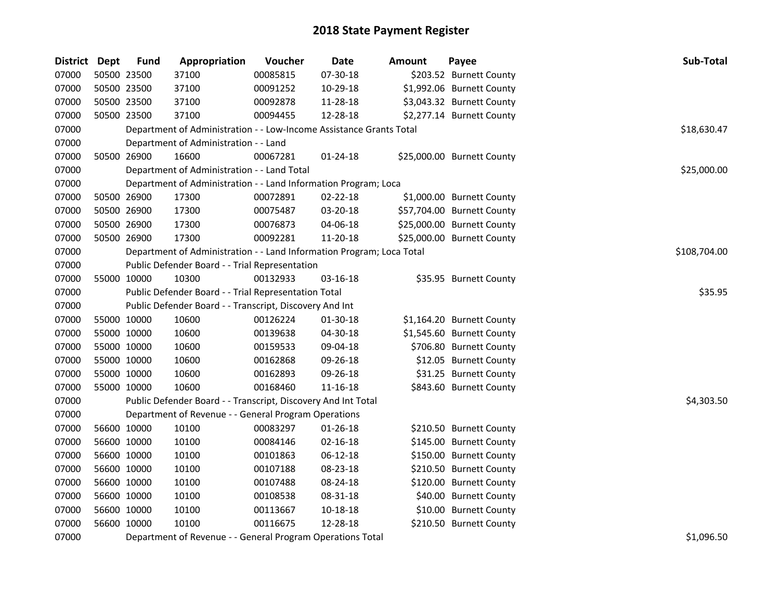| <b>District Dept</b> | <b>Fund</b> | Appropriation                                                         | Voucher  | <b>Date</b>    | Amount | Payee                      | Sub-Total    |  |  |  |
|----------------------|-------------|-----------------------------------------------------------------------|----------|----------------|--------|----------------------------|--------------|--|--|--|
| 07000                | 50500 23500 | 37100                                                                 | 00085815 | 07-30-18       |        | \$203.52 Burnett County    |              |  |  |  |
| 07000                | 50500 23500 | 37100                                                                 | 00091252 | 10-29-18       |        | \$1,992.06 Burnett County  |              |  |  |  |
| 07000                | 50500 23500 | 37100                                                                 | 00092878 | 11-28-18       |        | \$3,043.32 Burnett County  |              |  |  |  |
| 07000                | 50500 23500 | 37100                                                                 | 00094455 | 12-28-18       |        | \$2,277.14 Burnett County  |              |  |  |  |
| 07000                |             | Department of Administration - - Low-Income Assistance Grants Total   |          |                |        |                            | \$18,630.47  |  |  |  |
| 07000                |             | Department of Administration - - Land                                 |          |                |        |                            |              |  |  |  |
| 07000                | 50500 26900 | 16600                                                                 | 00067281 | 01-24-18       |        | \$25,000.00 Burnett County |              |  |  |  |
| 07000                |             | Department of Administration - - Land Total                           |          |                |        |                            | \$25,000.00  |  |  |  |
| 07000                |             | Department of Administration - - Land Information Program; Loca       |          |                |        |                            |              |  |  |  |
| 07000                | 50500 26900 | 17300                                                                 | 00072891 | $02 - 22 - 18$ |        | \$1,000.00 Burnett County  |              |  |  |  |
| 07000                | 50500 26900 | 17300                                                                 | 00075487 | 03-20-18       |        | \$57,704.00 Burnett County |              |  |  |  |
| 07000                | 50500 26900 | 17300                                                                 | 00076873 | 04-06-18       |        | \$25,000.00 Burnett County |              |  |  |  |
| 07000                | 50500 26900 | 17300                                                                 | 00092281 | 11-20-18       |        | \$25,000.00 Burnett County |              |  |  |  |
| 07000                |             | Department of Administration - - Land Information Program; Loca Total |          |                |        |                            | \$108,704.00 |  |  |  |
| 07000                |             | Public Defender Board - - Trial Representation                        |          |                |        |                            |              |  |  |  |
| 07000                | 55000 10000 | 10300                                                                 | 00132933 | 03-16-18       |        | \$35.95 Burnett County     |              |  |  |  |
| 07000                |             | Public Defender Board - - Trial Representation Total                  |          |                |        |                            |              |  |  |  |
| 07000                |             | Public Defender Board - - Transcript, Discovery And Int               |          |                |        |                            |              |  |  |  |
| 07000                | 55000 10000 | 10600                                                                 | 00126224 | 01-30-18       |        | \$1,164.20 Burnett County  |              |  |  |  |
| 07000                | 55000 10000 | 10600                                                                 | 00139638 | 04-30-18       |        | \$1,545.60 Burnett County  |              |  |  |  |
| 07000                | 55000 10000 | 10600                                                                 | 00159533 | 09-04-18       |        | \$706.80 Burnett County    |              |  |  |  |
| 07000                | 55000 10000 | 10600                                                                 | 00162868 | 09-26-18       |        | \$12.05 Burnett County     |              |  |  |  |
| 07000                | 55000 10000 | 10600                                                                 | 00162893 | 09-26-18       |        | \$31.25 Burnett County     |              |  |  |  |
| 07000                | 55000 10000 | 10600                                                                 | 00168460 | 11-16-18       |        | \$843.60 Burnett County    |              |  |  |  |
| 07000                |             | Public Defender Board - - Transcript, Discovery And Int Total         |          |                |        |                            | \$4,303.50   |  |  |  |
| 07000                |             | Department of Revenue - - General Program Operations                  |          |                |        |                            |              |  |  |  |
| 07000                | 56600 10000 | 10100                                                                 | 00083297 | $01 - 26 - 18$ |        | \$210.50 Burnett County    |              |  |  |  |
| 07000                | 56600 10000 | 10100                                                                 | 00084146 | $02 - 16 - 18$ |        | \$145.00 Burnett County    |              |  |  |  |
| 07000                | 56600 10000 | 10100                                                                 | 00101863 | 06-12-18       |        | \$150.00 Burnett County    |              |  |  |  |
| 07000                | 56600 10000 | 10100                                                                 | 00107188 | 08-23-18       |        | \$210.50 Burnett County    |              |  |  |  |
| 07000                | 56600 10000 | 10100                                                                 | 00107488 | 08-24-18       |        | \$120.00 Burnett County    |              |  |  |  |
| 07000                | 56600 10000 | 10100                                                                 | 00108538 | 08-31-18       |        | \$40.00 Burnett County     |              |  |  |  |
| 07000                | 56600 10000 | 10100                                                                 | 00113667 | 10-18-18       |        | \$10.00 Burnett County     |              |  |  |  |
| 07000                | 56600 10000 | 10100                                                                 | 00116675 | 12-28-18       |        | \$210.50 Burnett County    |              |  |  |  |
| 07000                |             | Department of Revenue - - General Program Operations Total            |          |                |        |                            | \$1,096.50   |  |  |  |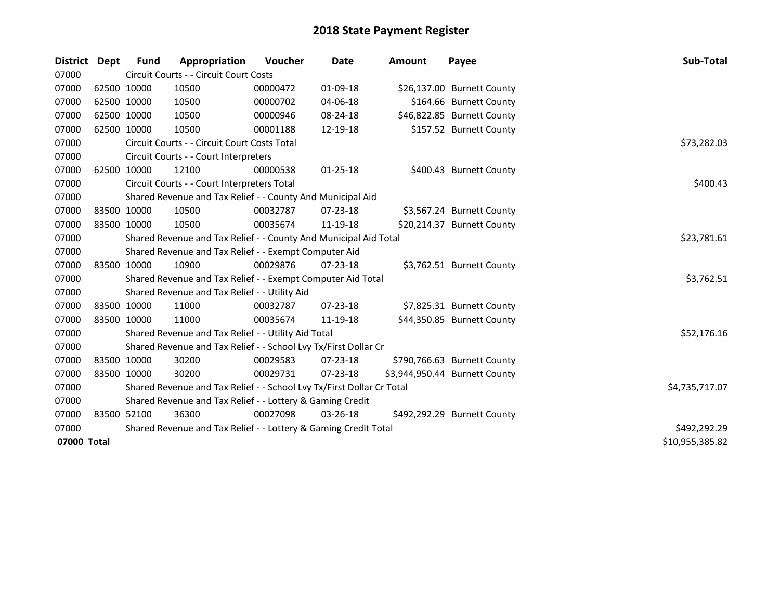| <b>District</b> | <b>Dept</b> | <b>Fund</b> | Appropriation                                                         | <b>Voucher</b> | <b>Date</b>    | <b>Amount</b> | Payee                         | Sub-Total       |
|-----------------|-------------|-------------|-----------------------------------------------------------------------|----------------|----------------|---------------|-------------------------------|-----------------|
| 07000           |             |             | Circuit Courts - - Circuit Court Costs                                |                |                |               |                               |                 |
| 07000           |             | 62500 10000 | 10500                                                                 | 00000472       | 01-09-18       |               | \$26,137.00 Burnett County    |                 |
| 07000           |             | 62500 10000 | 10500                                                                 | 00000702       | 04-06-18       |               | \$164.66 Burnett County       |                 |
| 07000           | 62500 10000 |             | 10500                                                                 | 00000946       | 08-24-18       |               | \$46,822.85 Burnett County    |                 |
| 07000           |             | 62500 10000 | 10500                                                                 | 00001188       | 12-19-18       |               | \$157.52 Burnett County       |                 |
| 07000           |             |             | Circuit Courts - - Circuit Court Costs Total                          |                |                |               |                               | \$73,282.03     |
| 07000           |             |             | Circuit Courts - - Court Interpreters                                 |                |                |               |                               |                 |
| 07000           |             | 62500 10000 | 12100                                                                 | 00000538       | $01 - 25 - 18$ |               | \$400.43 Burnett County       |                 |
| 07000           |             |             | Circuit Courts - - Court Interpreters Total                           |                |                |               |                               | \$400.43        |
| 07000           |             |             | Shared Revenue and Tax Relief - - County And Municipal Aid            |                |                |               |                               |                 |
| 07000           |             | 83500 10000 | 10500                                                                 | 00032787       | 07-23-18       |               | \$3,567.24 Burnett County     |                 |
| 07000           |             | 83500 10000 | 10500                                                                 | 00035674       | 11-19-18       |               | \$20,214.37 Burnett County    |                 |
| 07000           |             |             | Shared Revenue and Tax Relief - - County And Municipal Aid Total      |                |                |               |                               | \$23,781.61     |
| 07000           |             |             | Shared Revenue and Tax Relief - - Exempt Computer Aid                 |                |                |               |                               |                 |
| 07000           |             | 83500 10000 | 10900                                                                 | 00029876       | $07 - 23 - 18$ |               | \$3,762.51 Burnett County     |                 |
| 07000           |             |             | Shared Revenue and Tax Relief - - Exempt Computer Aid Total           |                |                |               |                               | \$3,762.51      |
| 07000           |             |             | Shared Revenue and Tax Relief - - Utility Aid                         |                |                |               |                               |                 |
| 07000           |             | 83500 10000 | 11000                                                                 | 00032787       | 07-23-18       |               | \$7,825.31 Burnett County     |                 |
| 07000           |             | 83500 10000 | 11000                                                                 | 00035674       | 11-19-18       |               | \$44,350.85 Burnett County    |                 |
| 07000           |             |             | Shared Revenue and Tax Relief - - Utility Aid Total                   |                |                |               |                               | \$52,176.16     |
| 07000           |             |             | Shared Revenue and Tax Relief - - School Lvy Tx/First Dollar Cr       |                |                |               |                               |                 |
| 07000           |             | 83500 10000 | 30200                                                                 | 00029583       | $07 - 23 - 18$ |               | \$790,766.63 Burnett County   |                 |
| 07000           |             | 83500 10000 | 30200                                                                 | 00029731       | $07 - 23 - 18$ |               | \$3,944,950.44 Burnett County |                 |
| 07000           |             |             | Shared Revenue and Tax Relief - - School Lvy Tx/First Dollar Cr Total |                |                |               |                               | \$4,735,717.07  |
| 07000           |             |             | Shared Revenue and Tax Relief - - Lottery & Gaming Credit             |                |                |               |                               |                 |
| 07000           |             | 83500 52100 | 36300                                                                 | 00027098       | 03-26-18       |               | \$492,292.29 Burnett County   |                 |
| 07000           |             |             | Shared Revenue and Tax Relief - - Lottery & Gaming Credit Total       | \$492,292.29   |                |               |                               |                 |
| 07000 Total     |             |             |                                                                       |                |                |               |                               | \$10,955,385.82 |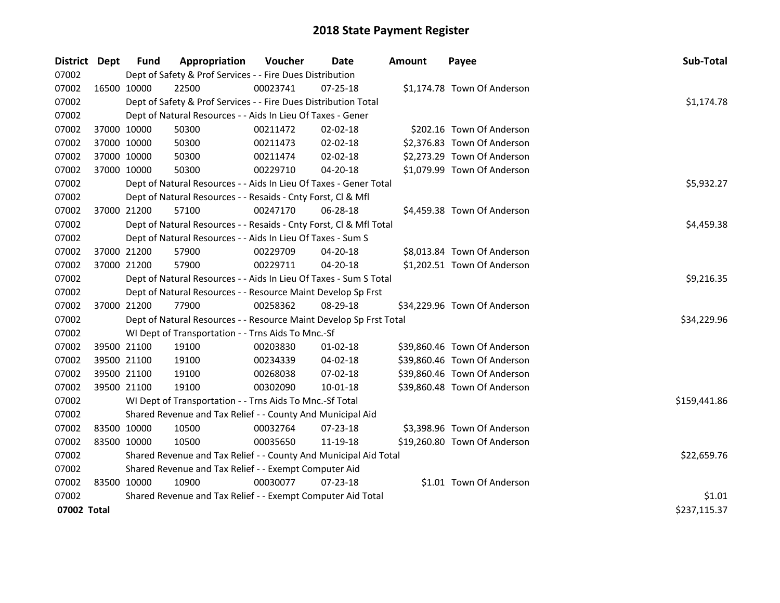| District Dept | Fund                                                  | Appropriation                                                      | Voucher    | <b>Date</b>    | Amount | Payee                        | Sub-Total    |  |  |  |
|---------------|-------------------------------------------------------|--------------------------------------------------------------------|------------|----------------|--------|------------------------------|--------------|--|--|--|
| 07002         |                                                       | Dept of Safety & Prof Services - - Fire Dues Distribution          |            |                |        |                              |              |  |  |  |
| 07002         | 16500 10000                                           | 22500                                                              | 00023741   | 07-25-18       |        | \$1,174.78 Town Of Anderson  |              |  |  |  |
| 07002         |                                                       | Dept of Safety & Prof Services - - Fire Dues Distribution Total    |            |                |        |                              | \$1,174.78   |  |  |  |
| 07002         |                                                       | Dept of Natural Resources - - Aids In Lieu Of Taxes - Gener        |            |                |        |                              |              |  |  |  |
| 07002         | 37000 10000                                           | 50300                                                              | 00211472   | 02-02-18       |        | \$202.16 Town Of Anderson    |              |  |  |  |
| 07002         | 37000 10000                                           | 50300                                                              | 00211473   | 02-02-18       |        | \$2,376.83 Town Of Anderson  |              |  |  |  |
| 07002         | 37000 10000                                           | 50300                                                              | 00211474   | $02 - 02 - 18$ |        | \$2,273.29 Town Of Anderson  |              |  |  |  |
| 07002         | 37000 10000                                           | 50300                                                              | 00229710   | 04-20-18       |        | \$1,079.99 Town Of Anderson  |              |  |  |  |
| 07002         |                                                       | Dept of Natural Resources - - Aids In Lieu Of Taxes - Gener Total  |            |                |        |                              | \$5,932.27   |  |  |  |
| 07002         |                                                       | Dept of Natural Resources - - Resaids - Cnty Forst, Cl & Mfl       |            |                |        |                              |              |  |  |  |
| 07002         | 37000 21200                                           | 57100                                                              | 00247170   | 06-28-18       |        | \$4,459.38 Town Of Anderson  |              |  |  |  |
| 07002         |                                                       | Dept of Natural Resources - - Resaids - Cnty Forst, Cl & Mfl Total |            |                |        |                              | \$4,459.38   |  |  |  |
| 07002         |                                                       | Dept of Natural Resources - - Aids In Lieu Of Taxes - Sum S        |            |                |        |                              |              |  |  |  |
| 07002         | 37000 21200                                           | 57900                                                              | 00229709   | 04-20-18       |        | \$8,013.84 Town Of Anderson  |              |  |  |  |
| 07002         | 37000 21200                                           | 57900                                                              | 00229711   | 04-20-18       |        | \$1,202.51 Town Of Anderson  |              |  |  |  |
| 07002         |                                                       | Dept of Natural Resources - - Aids In Lieu Of Taxes - Sum S Total  | \$9,216.35 |                |        |                              |              |  |  |  |
| 07002         |                                                       | Dept of Natural Resources - - Resource Maint Develop Sp Frst       |            |                |        |                              |              |  |  |  |
| 07002         | 37000 21200                                           | 77900                                                              | 00258362   | 08-29-18       |        | \$34,229.96 Town Of Anderson |              |  |  |  |
| 07002         |                                                       | Dept of Natural Resources - - Resource Maint Develop Sp Frst Total |            |                |        |                              | \$34,229.96  |  |  |  |
| 07002         |                                                       | WI Dept of Transportation - - Trns Aids To Mnc.-Sf                 |            |                |        |                              |              |  |  |  |
| 07002         | 39500 21100                                           | 19100                                                              | 00203830   | 01-02-18       |        | \$39,860.46 Town Of Anderson |              |  |  |  |
| 07002         | 39500 21100                                           | 19100                                                              | 00234339   | 04-02-18       |        | \$39,860.46 Town Of Anderson |              |  |  |  |
| 07002         | 39500 21100                                           | 19100                                                              | 00268038   | 07-02-18       |        | \$39,860.46 Town Of Anderson |              |  |  |  |
| 07002         | 39500 21100                                           | 19100                                                              | 00302090   | 10-01-18       |        | \$39,860.48 Town Of Anderson |              |  |  |  |
| 07002         |                                                       | WI Dept of Transportation - - Trns Aids To Mnc.-Sf Total           |            |                |        |                              | \$159,441.86 |  |  |  |
| 07002         |                                                       | Shared Revenue and Tax Relief - - County And Municipal Aid         |            |                |        |                              |              |  |  |  |
| 07002         | 83500 10000                                           | 10500                                                              | 00032764   | 07-23-18       |        | \$3,398.96 Town Of Anderson  |              |  |  |  |
| 07002         | 83500 10000                                           | 10500                                                              | 00035650   | 11-19-18       |        | \$19,260.80 Town Of Anderson |              |  |  |  |
| 07002         |                                                       | Shared Revenue and Tax Relief - - County And Municipal Aid Total   |            |                |        |                              | \$22,659.76  |  |  |  |
| 07002         | Shared Revenue and Tax Relief - - Exempt Computer Aid |                                                                    |            |                |        |                              |              |  |  |  |
| 07002         | 83500 10000                                           | 10900                                                              | 00030077   | 07-23-18       |        | \$1.01 Town Of Anderson      |              |  |  |  |
| 07002         |                                                       | Shared Revenue and Tax Relief - - Exempt Computer Aid Total        |            |                |        |                              | \$1.01       |  |  |  |
| 07002 Total   |                                                       |                                                                    |            |                |        |                              | \$237,115.37 |  |  |  |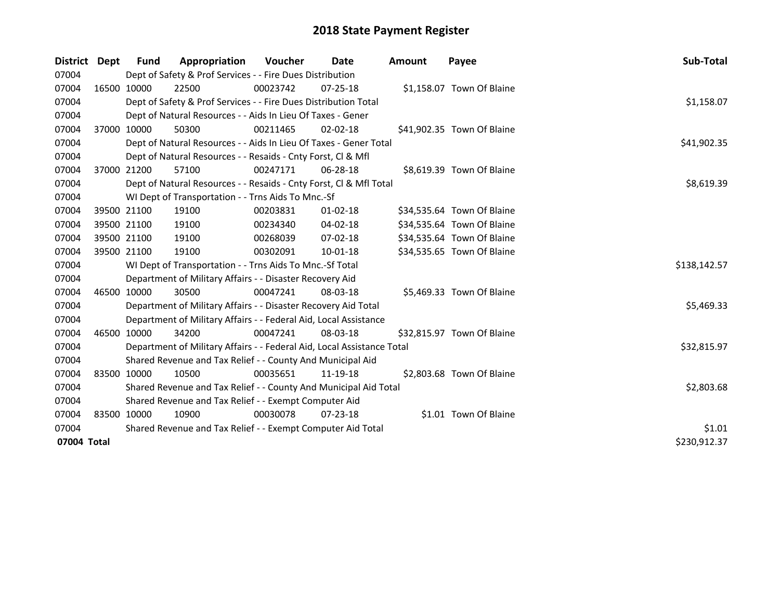| District    | Dept         | Fund                                                        | Appropriation                                                          | <b>Voucher</b> | Date           | <b>Amount</b> | Payee                      | Sub-Total    |  |
|-------------|--------------|-------------------------------------------------------------|------------------------------------------------------------------------|----------------|----------------|---------------|----------------------------|--------------|--|
| 07004       |              |                                                             | Dept of Safety & Prof Services - - Fire Dues Distribution              |                |                |               |                            |              |  |
| 07004       |              | 16500 10000                                                 | 22500                                                                  | 00023742       | $07 - 25 - 18$ |               | \$1,158.07 Town Of Blaine  |              |  |
| 07004       |              |                                                             | Dept of Safety & Prof Services - - Fire Dues Distribution Total        |                |                |               |                            | \$1,158.07   |  |
| 07004       |              |                                                             | Dept of Natural Resources - - Aids In Lieu Of Taxes - Gener            |                |                |               |                            |              |  |
| 07004       |              | 37000 10000                                                 | 50300                                                                  | 00211465       | $02 - 02 - 18$ |               | \$41,902.35 Town Of Blaine |              |  |
| 07004       |              |                                                             | Dept of Natural Resources - - Aids In Lieu Of Taxes - Gener Total      |                |                |               |                            | \$41,902.35  |  |
| 07004       |              |                                                             | Dept of Natural Resources - - Resaids - Cnty Forst, Cl & Mfl           |                |                |               |                            |              |  |
| 07004       |              | 37000 21200                                                 | 57100                                                                  | 00247171       | $06 - 28 - 18$ |               | \$8,619.39 Town Of Blaine  |              |  |
| 07004       |              |                                                             | Dept of Natural Resources - - Resaids - Cnty Forst, Cl & Mfl Total     |                |                |               |                            | \$8,619.39   |  |
| 07004       |              |                                                             | WI Dept of Transportation - - Trns Aids To Mnc.-Sf                     |                |                |               |                            |              |  |
| 07004       |              | 39500 21100                                                 | 19100                                                                  | 00203831       | $01 - 02 - 18$ |               | \$34,535.64 Town Of Blaine |              |  |
| 07004       |              | 39500 21100                                                 | 19100                                                                  | 00234340       | 04-02-18       |               | \$34,535.64 Town Of Blaine |              |  |
| 07004       |              | 39500 21100                                                 | 19100                                                                  | 00268039       | $07 - 02 - 18$ |               | \$34,535.64 Town Of Blaine |              |  |
| 07004       |              | 39500 21100                                                 | 19100                                                                  | 00302091       | 10-01-18       |               | \$34,535.65 Town Of Blaine |              |  |
| 07004       |              |                                                             | WI Dept of Transportation - - Trns Aids To Mnc.-Sf Total               |                |                |               |                            | \$138,142.57 |  |
| 07004       |              |                                                             | Department of Military Affairs - - Disaster Recovery Aid               |                |                |               |                            |              |  |
| 07004       |              | 46500 10000                                                 | 30500                                                                  | 00047241       | 08-03-18       |               | \$5,469.33 Town Of Blaine  |              |  |
| 07004       |              |                                                             | Department of Military Affairs - - Disaster Recovery Aid Total         |                |                |               |                            | \$5,469.33   |  |
| 07004       |              |                                                             | Department of Military Affairs - - Federal Aid, Local Assistance       |                |                |               |                            |              |  |
| 07004       |              | 46500 10000                                                 | 34200                                                                  | 00047241       | 08-03-18       |               | \$32,815.97 Town Of Blaine |              |  |
| 07004       |              |                                                             | Department of Military Affairs - - Federal Aid, Local Assistance Total |                |                |               |                            | \$32,815.97  |  |
| 07004       |              |                                                             | Shared Revenue and Tax Relief - - County And Municipal Aid             |                |                |               |                            |              |  |
| 07004       |              | 83500 10000                                                 | 10500                                                                  | 00035651       | 11-19-18       |               | \$2,803.68 Town Of Blaine  |              |  |
| 07004       |              |                                                             | Shared Revenue and Tax Relief - - County And Municipal Aid Total       |                |                |               |                            | \$2,803.68   |  |
| 07004       |              | Shared Revenue and Tax Relief - - Exempt Computer Aid       |                                                                        |                |                |               |                            |              |  |
| 07004       |              | 83500 10000                                                 | 10900                                                                  | 00030078       | $07 - 23 - 18$ |               | \$1.01 Town Of Blaine      |              |  |
| 07004       |              | Shared Revenue and Tax Relief - - Exempt Computer Aid Total |                                                                        |                |                |               |                            |              |  |
| 07004 Total | \$230,912.37 |                                                             |                                                                        |                |                |               |                            |              |  |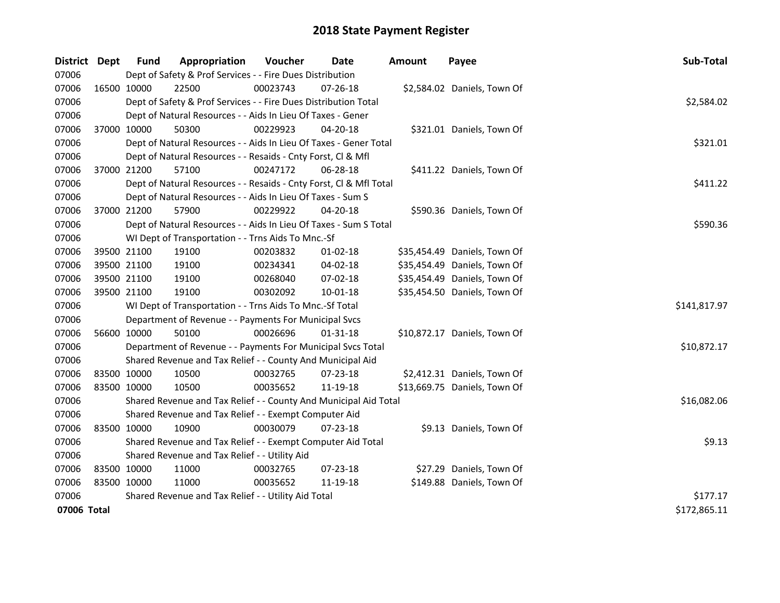| District Dept |             | <b>Fund</b>                                                       | Appropriation                                                      | Voucher  | Date           | <b>Amount</b> | Payee                        | Sub-Total    |  |  |
|---------------|-------------|-------------------------------------------------------------------|--------------------------------------------------------------------|----------|----------------|---------------|------------------------------|--------------|--|--|
| 07006         |             |                                                                   | Dept of Safety & Prof Services - - Fire Dues Distribution          |          |                |               |                              |              |  |  |
| 07006         |             | 16500 10000                                                       | 22500                                                              | 00023743 | 07-26-18       |               | \$2,584.02 Daniels, Town Of  |              |  |  |
| 07006         |             |                                                                   | Dept of Safety & Prof Services - - Fire Dues Distribution Total    |          |                |               |                              | \$2,584.02   |  |  |
| 07006         |             |                                                                   | Dept of Natural Resources - - Aids In Lieu Of Taxes - Gener        |          |                |               |                              |              |  |  |
| 07006         | 37000 10000 |                                                                   | 50300                                                              | 00229923 | 04-20-18       |               | \$321.01 Daniels, Town Of    |              |  |  |
| 07006         |             | Dept of Natural Resources - - Aids In Lieu Of Taxes - Gener Total | \$321.01                                                           |          |                |               |                              |              |  |  |
| 07006         |             | Dept of Natural Resources - - Resaids - Cnty Forst, Cl & Mfl      |                                                                    |          |                |               |                              |              |  |  |
| 07006         | 37000 21200 |                                                                   | 57100                                                              | 00247172 | 06-28-18       |               | \$411.22 Daniels, Town Of    |              |  |  |
| 07006         |             |                                                                   | Dept of Natural Resources - - Resaids - Cnty Forst, Cl & Mfl Total |          |                |               |                              | \$411.22     |  |  |
| 07006         |             |                                                                   | Dept of Natural Resources - - Aids In Lieu Of Taxes - Sum S        |          |                |               |                              |              |  |  |
| 07006         | 37000 21200 |                                                                   | 57900                                                              | 00229922 | 04-20-18       |               | \$590.36 Daniels, Town Of    |              |  |  |
| 07006         |             |                                                                   | Dept of Natural Resources - - Aids In Lieu Of Taxes - Sum S Total  |          |                |               |                              | \$590.36     |  |  |
| 07006         |             |                                                                   | WI Dept of Transportation - - Trns Aids To Mnc.-Sf                 |          |                |               |                              |              |  |  |
| 07006         |             | 39500 21100                                                       | 19100                                                              | 00203832 | $01 - 02 - 18$ |               | \$35,454.49 Daniels, Town Of |              |  |  |
| 07006         |             | 39500 21100                                                       | 19100                                                              | 00234341 | 04-02-18       |               | \$35,454.49 Daniels, Town Of |              |  |  |
| 07006         |             | 39500 21100                                                       | 19100                                                              | 00268040 | $07 - 02 - 18$ |               | \$35,454.49 Daniels, Town Of |              |  |  |
| 07006         |             | 39500 21100                                                       | 19100                                                              | 00302092 | $10 - 01 - 18$ |               | \$35,454.50 Daniels, Town Of |              |  |  |
| 07006         |             |                                                                   | WI Dept of Transportation - - Trns Aids To Mnc.-Sf Total           |          |                |               |                              | \$141,817.97 |  |  |
| 07006         |             |                                                                   | Department of Revenue - - Payments For Municipal Svcs              |          |                |               |                              |              |  |  |
| 07006         | 56600 10000 |                                                                   | 50100                                                              | 00026696 | $01 - 31 - 18$ |               | \$10,872.17 Daniels, Town Of |              |  |  |
| 07006         |             |                                                                   | Department of Revenue - - Payments For Municipal Svcs Total        |          |                |               |                              | \$10,872.17  |  |  |
| 07006         |             |                                                                   | Shared Revenue and Tax Relief - - County And Municipal Aid         |          |                |               |                              |              |  |  |
| 07006         |             | 83500 10000                                                       | 10500                                                              | 00032765 | 07-23-18       |               | \$2,412.31 Daniels, Town Of  |              |  |  |
| 07006         | 83500 10000 |                                                                   | 10500                                                              | 00035652 | 11-19-18       |               | \$13,669.75 Daniels, Town Of |              |  |  |
| 07006         |             |                                                                   | Shared Revenue and Tax Relief - - County And Municipal Aid Total   |          |                |               |                              | \$16,082.06  |  |  |
| 07006         |             |                                                                   | Shared Revenue and Tax Relief - - Exempt Computer Aid              |          |                |               |                              |              |  |  |
| 07006         |             | 83500 10000                                                       | 10900                                                              | 00030079 | $07 - 23 - 18$ |               | \$9.13 Daniels, Town Of      |              |  |  |
| 07006         |             |                                                                   | Shared Revenue and Tax Relief - - Exempt Computer Aid Total        |          |                |               |                              | \$9.13       |  |  |
| 07006         |             | Shared Revenue and Tax Relief - - Utility Aid                     |                                                                    |          |                |               |                              |              |  |  |
| 07006         |             | 83500 10000                                                       | 11000                                                              | 00032765 | 07-23-18       |               | \$27.29 Daniels, Town Of     |              |  |  |
| 07006         | 83500 10000 |                                                                   | 11000                                                              | 00035652 | 11-19-18       |               | \$149.88 Daniels, Town Of    |              |  |  |
| 07006         |             |                                                                   | Shared Revenue and Tax Relief - - Utility Aid Total                |          |                |               |                              | \$177.17     |  |  |
| 07006 Total   |             |                                                                   |                                                                    |          |                |               |                              | \$172,865.11 |  |  |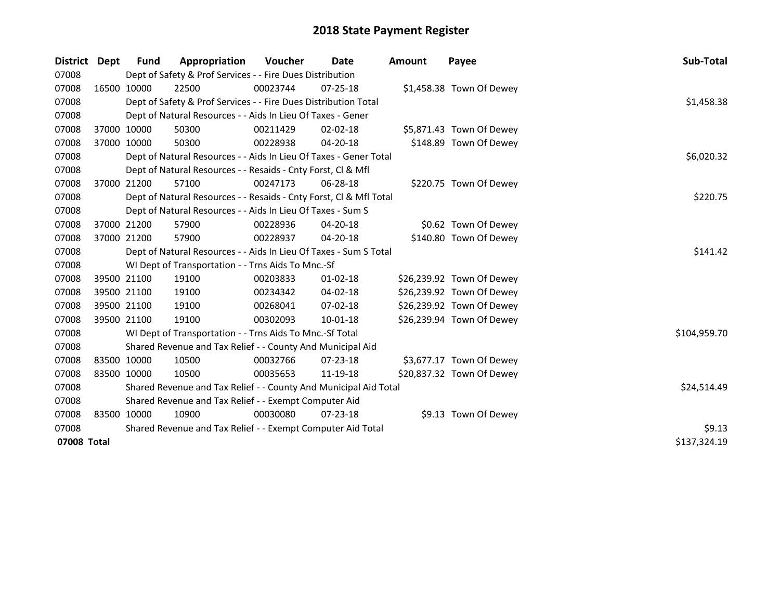| District    | Dept | Fund                                                        | Appropriation                                                      | <b>Voucher</b> | Date           | <b>Amount</b> | Payee                     | Sub-Total    |
|-------------|------|-------------------------------------------------------------|--------------------------------------------------------------------|----------------|----------------|---------------|---------------------------|--------------|
| 07008       |      |                                                             | Dept of Safety & Prof Services - - Fire Dues Distribution          |                |                |               |                           |              |
| 07008       |      | 16500 10000                                                 | 22500                                                              | 00023744       | $07 - 25 - 18$ |               | \$1,458.38 Town Of Dewey  |              |
| 07008       |      |                                                             | Dept of Safety & Prof Services - - Fire Dues Distribution Total    |                |                |               |                           | \$1,458.38   |
| 07008       |      |                                                             | Dept of Natural Resources - - Aids In Lieu Of Taxes - Gener        |                |                |               |                           |              |
| 07008       |      | 37000 10000                                                 | 50300                                                              | 00211429       | $02 - 02 - 18$ |               | \$5,871.43 Town Of Dewey  |              |
| 07008       |      | 37000 10000                                                 | 50300                                                              | 00228938       | 04-20-18       |               | \$148.89 Town Of Dewey    |              |
| 07008       |      |                                                             | Dept of Natural Resources - - Aids In Lieu Of Taxes - Gener Total  |                | \$6,020.32     |               |                           |              |
| 07008       |      |                                                             | Dept of Natural Resources - - Resaids - Cnty Forst, CI & Mfl       |                |                |               |                           |              |
| 07008       |      | 37000 21200                                                 | 57100                                                              | 00247173       | $06 - 28 - 18$ |               | \$220.75 Town Of Dewey    |              |
| 07008       |      |                                                             | Dept of Natural Resources - - Resaids - Cnty Forst, CI & Mfl Total |                |                |               |                           | \$220.75     |
| 07008       |      |                                                             | Dept of Natural Resources - - Aids In Lieu Of Taxes - Sum S        |                |                |               |                           |              |
| 07008       |      | 37000 21200                                                 | 57900                                                              | 00228936       | 04-20-18       |               | \$0.62 Town Of Dewey      |              |
| 07008       |      | 37000 21200                                                 | 57900                                                              | 00228937       | $04 - 20 - 18$ |               | \$140.80 Town Of Dewey    |              |
| 07008       |      |                                                             | Dept of Natural Resources - - Aids In Lieu Of Taxes - Sum S Total  |                |                |               |                           | \$141.42     |
| 07008       |      |                                                             | WI Dept of Transportation - - Trns Aids To Mnc.-Sf                 |                |                |               |                           |              |
| 07008       |      | 39500 21100                                                 | 19100                                                              | 00203833       | $01 - 02 - 18$ |               | \$26,239.92 Town Of Dewey |              |
| 07008       |      | 39500 21100                                                 | 19100                                                              | 00234342       | $04 - 02 - 18$ |               | \$26,239.92 Town Of Dewey |              |
| 07008       |      | 39500 21100                                                 | 19100                                                              | 00268041       | 07-02-18       |               | \$26,239.92 Town Of Dewey |              |
| 07008       |      | 39500 21100                                                 | 19100                                                              | 00302093       | $10 - 01 - 18$ |               | \$26,239.94 Town Of Dewey |              |
| 07008       |      |                                                             | WI Dept of Transportation - - Trns Aids To Mnc.-Sf Total           |                |                |               |                           | \$104,959.70 |
| 07008       |      |                                                             | Shared Revenue and Tax Relief - - County And Municipal Aid         |                |                |               |                           |              |
| 07008       |      | 83500 10000                                                 | 10500                                                              | 00032766       | 07-23-18       |               | \$3,677.17 Town Of Dewey  |              |
| 07008       |      | 83500 10000                                                 | 10500                                                              | 00035653       | 11-19-18       |               | \$20,837.32 Town Of Dewey |              |
| 07008       |      |                                                             | Shared Revenue and Tax Relief - - County And Municipal Aid Total   |                |                |               |                           | \$24,514.49  |
| 07008       |      |                                                             | Shared Revenue and Tax Relief - - Exempt Computer Aid              |                |                |               |                           |              |
| 07008       |      | 83500 10000                                                 | 10900                                                              | 00030080       | 07-23-18       |               | \$9.13 Town Of Dewey      |              |
| 07008       |      | Shared Revenue and Tax Relief - - Exempt Computer Aid Total | \$9.13                                                             |                |                |               |                           |              |
| 07008 Total |      |                                                             |                                                                    |                |                |               |                           | \$137,324.19 |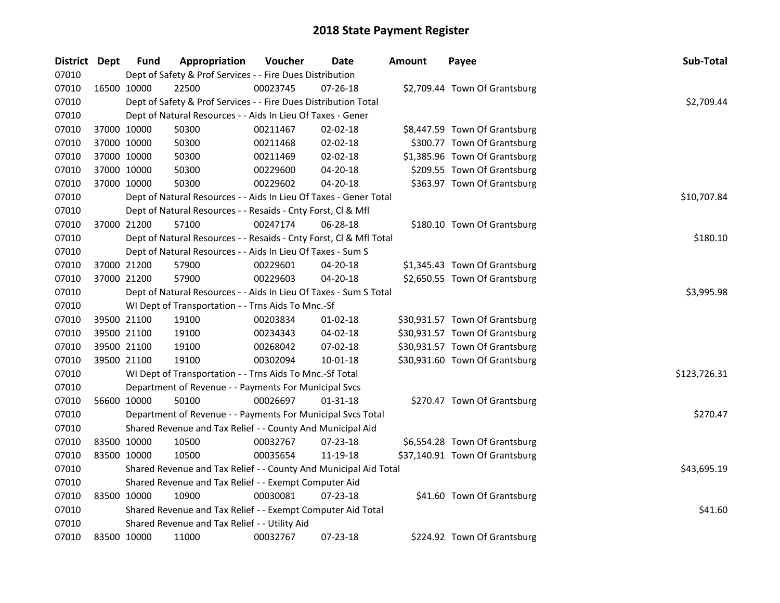| District Dept |             | <b>Fund</b> | Appropriation                                                      | Voucher  | Date           | <b>Amount</b> | Payee                          | Sub-Total    |  |  |  |
|---------------|-------------|-------------|--------------------------------------------------------------------|----------|----------------|---------------|--------------------------------|--------------|--|--|--|
| 07010         |             |             | Dept of Safety & Prof Services - - Fire Dues Distribution          |          |                |               |                                |              |  |  |  |
| 07010         |             | 16500 10000 | 22500                                                              | 00023745 | 07-26-18       |               | \$2,709.44 Town Of Grantsburg  |              |  |  |  |
| 07010         |             |             | Dept of Safety & Prof Services - - Fire Dues Distribution Total    |          |                |               |                                | \$2,709.44   |  |  |  |
| 07010         |             |             | Dept of Natural Resources - - Aids In Lieu Of Taxes - Gener        |          |                |               |                                |              |  |  |  |
| 07010         |             | 37000 10000 | 50300                                                              | 00211467 | $02 - 02 - 18$ |               | \$8,447.59 Town Of Grantsburg  |              |  |  |  |
| 07010         |             | 37000 10000 | 50300                                                              | 00211468 | 02-02-18       |               | \$300.77 Town Of Grantsburg    |              |  |  |  |
| 07010         | 37000 10000 |             | 50300                                                              | 00211469 | 02-02-18       |               | \$1,385.96 Town Of Grantsburg  |              |  |  |  |
| 07010         | 37000 10000 |             | 50300                                                              | 00229600 | 04-20-18       |               | \$209.55 Town Of Grantsburg    |              |  |  |  |
| 07010         |             | 37000 10000 | 50300                                                              | 00229602 | 04-20-18       |               | \$363.97 Town Of Grantsburg    |              |  |  |  |
| 07010         |             |             | Dept of Natural Resources - - Aids In Lieu Of Taxes - Gener Total  |          |                |               |                                | \$10,707.84  |  |  |  |
| 07010         |             |             | Dept of Natural Resources - - Resaids - Cnty Forst, Cl & Mfl       |          |                |               |                                |              |  |  |  |
| 07010         |             | 37000 21200 | 57100                                                              | 00247174 | 06-28-18       |               | \$180.10 Town Of Grantsburg    |              |  |  |  |
| 07010         |             |             | Dept of Natural Resources - - Resaids - Cnty Forst, Cl & Mfl Total |          |                |               |                                | \$180.10     |  |  |  |
| 07010         |             |             | Dept of Natural Resources - - Aids In Lieu Of Taxes - Sum S        |          |                |               |                                |              |  |  |  |
| 07010         |             | 37000 21200 | 57900                                                              | 00229601 | 04-20-18       |               | \$1,345.43 Town Of Grantsburg  |              |  |  |  |
| 07010         |             | 37000 21200 | 57900                                                              | 00229603 | 04-20-18       |               | \$2,650.55 Town Of Grantsburg  |              |  |  |  |
| 07010         |             |             | Dept of Natural Resources - - Aids In Lieu Of Taxes - Sum S Total  |          |                |               |                                | \$3,995.98   |  |  |  |
| 07010         |             |             | WI Dept of Transportation - - Trns Aids To Mnc.-Sf                 |          |                |               |                                |              |  |  |  |
| 07010         |             | 39500 21100 | 19100                                                              | 00203834 | $01 - 02 - 18$ |               | \$30,931.57 Town Of Grantsburg |              |  |  |  |
| 07010         |             | 39500 21100 | 19100                                                              | 00234343 | 04-02-18       |               | \$30,931.57 Town Of Grantsburg |              |  |  |  |
| 07010         |             | 39500 21100 | 19100                                                              | 00268042 | 07-02-18       |               | \$30,931.57 Town Of Grantsburg |              |  |  |  |
| 07010         |             | 39500 21100 | 19100                                                              | 00302094 | 10-01-18       |               | \$30,931.60 Town Of Grantsburg |              |  |  |  |
| 07010         |             |             | WI Dept of Transportation - - Trns Aids To Mnc.-Sf Total           |          |                |               |                                | \$123,726.31 |  |  |  |
| 07010         |             |             | Department of Revenue - - Payments For Municipal Svcs              |          |                |               |                                |              |  |  |  |
| 07010         |             | 56600 10000 | 50100                                                              | 00026697 | 01-31-18       |               | \$270.47 Town Of Grantsburg    |              |  |  |  |
| 07010         |             |             | Department of Revenue - - Payments For Municipal Svcs Total        |          |                |               |                                | \$270.47     |  |  |  |
| 07010         |             |             | Shared Revenue and Tax Relief - - County And Municipal Aid         |          |                |               |                                |              |  |  |  |
| 07010         | 83500 10000 |             | 10500                                                              | 00032767 | $07 - 23 - 18$ |               | \$6,554.28 Town Of Grantsburg  |              |  |  |  |
| 07010         |             | 83500 10000 | 10500                                                              | 00035654 | 11-19-18       |               | \$37,140.91 Town Of Grantsburg |              |  |  |  |
| 07010         |             |             | Shared Revenue and Tax Relief - - County And Municipal Aid Total   |          |                |               |                                | \$43,695.19  |  |  |  |
| 07010         |             |             | Shared Revenue and Tax Relief - - Exempt Computer Aid              |          |                |               |                                |              |  |  |  |
| 07010         |             | 83500 10000 | 10900                                                              | 00030081 | $07 - 23 - 18$ |               | \$41.60 Town Of Grantsburg     |              |  |  |  |
| 07010         |             |             | Shared Revenue and Tax Relief - - Exempt Computer Aid Total        |          |                |               |                                | \$41.60      |  |  |  |
| 07010         |             |             | Shared Revenue and Tax Relief - - Utility Aid                      |          |                |               |                                |              |  |  |  |
| 07010         |             | 83500 10000 | 11000                                                              | 00032767 | 07-23-18       |               | \$224.92 Town Of Grantsburg    |              |  |  |  |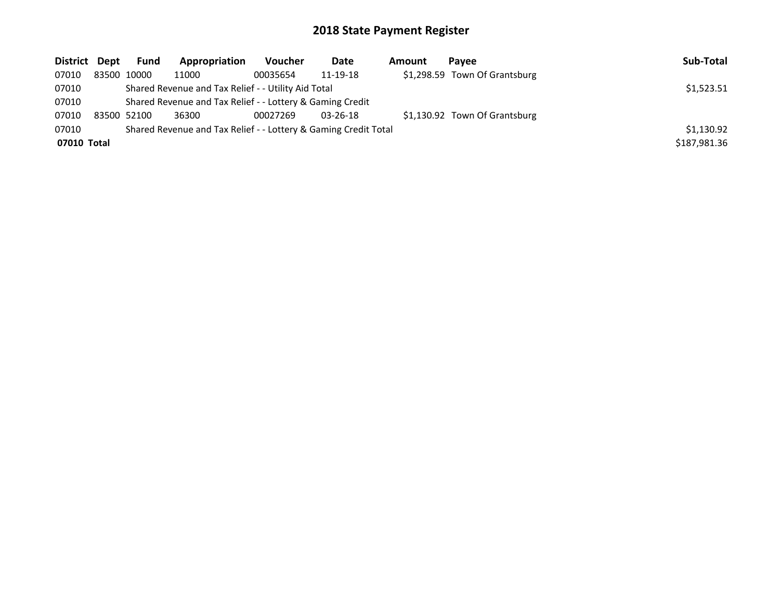| District Dept | <b>Fund</b> | Appropriation                                                   | Voucher    | Date           | Amount | Pavee                         | Sub-Total    |
|---------------|-------------|-----------------------------------------------------------------|------------|----------------|--------|-------------------------------|--------------|
| 07010         | 83500 10000 | 11000                                                           | 00035654   | 11-19-18       |        | \$1,298.59 Town Of Grantsburg |              |
| 07010         |             | Shared Revenue and Tax Relief - - Utility Aid Total             | \$1,523.51 |                |        |                               |              |
| 07010         |             | Shared Revenue and Tax Relief - - Lottery & Gaming Credit       |            |                |        |                               |              |
| 07010         | 83500 52100 | 36300                                                           | 00027269   | $03 - 26 - 18$ |        | \$1,130.92 Town Of Grantsburg |              |
| 07010         |             | Shared Revenue and Tax Relief - - Lottery & Gaming Credit Total | \$1,130.92 |                |        |                               |              |
| 07010 Total   |             |                                                                 |            |                |        |                               | \$187,981.36 |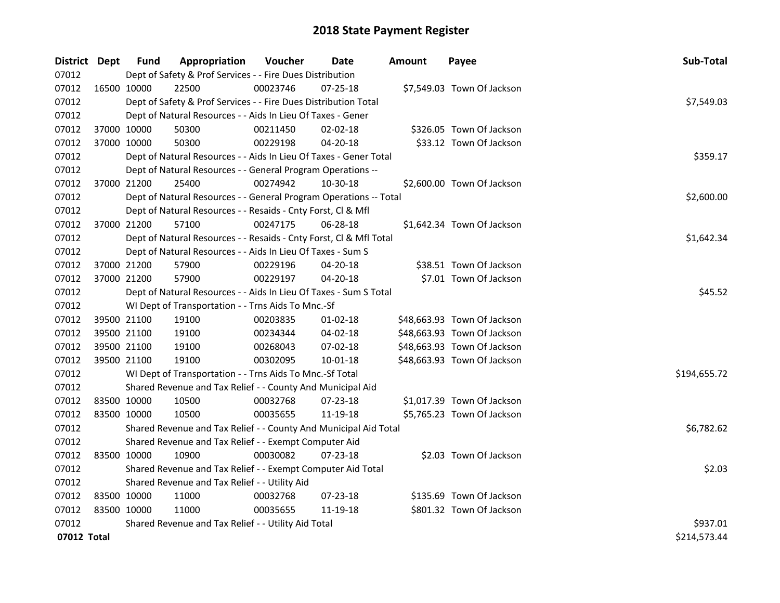| District Dept | <b>Fund</b>                                   | Appropriation                                                      | Voucher  | Date           | <b>Amount</b> | Payee                       | Sub-Total    |  |  |  |
|---------------|-----------------------------------------------|--------------------------------------------------------------------|----------|----------------|---------------|-----------------------------|--------------|--|--|--|
| 07012         |                                               | Dept of Safety & Prof Services - - Fire Dues Distribution          |          |                |               |                             |              |  |  |  |
| 07012         | 16500 10000                                   | 22500                                                              | 00023746 | $07 - 25 - 18$ |               | \$7,549.03 Town Of Jackson  |              |  |  |  |
| 07012         |                                               | Dept of Safety & Prof Services - - Fire Dues Distribution Total    |          |                |               |                             | \$7,549.03   |  |  |  |
| 07012         |                                               | Dept of Natural Resources - - Aids In Lieu Of Taxes - Gener        |          |                |               |                             |              |  |  |  |
| 07012         | 37000 10000                                   | 50300                                                              | 00211450 | $02 - 02 - 18$ |               | \$326.05 Town Of Jackson    |              |  |  |  |
| 07012         | 37000 10000                                   | 50300                                                              | 00229198 | 04-20-18       |               | \$33.12 Town Of Jackson     |              |  |  |  |
| 07012         |                                               | Dept of Natural Resources - - Aids In Lieu Of Taxes - Gener Total  |          |                |               |                             | \$359.17     |  |  |  |
| 07012         |                                               | Dept of Natural Resources - - General Program Operations --        |          |                |               |                             |              |  |  |  |
| 07012         | 37000 21200                                   | 25400                                                              | 00274942 | 10-30-18       |               | \$2,600.00 Town Of Jackson  |              |  |  |  |
| 07012         |                                               | Dept of Natural Resources - - General Program Operations -- Total  |          |                |               |                             | \$2,600.00   |  |  |  |
| 07012         |                                               | Dept of Natural Resources - - Resaids - Cnty Forst, Cl & Mfl       |          |                |               |                             |              |  |  |  |
| 07012         | 37000 21200                                   | 57100                                                              | 00247175 | 06-28-18       |               | \$1,642.34 Town Of Jackson  |              |  |  |  |
| 07012         |                                               | Dept of Natural Resources - - Resaids - Cnty Forst, CI & Mfl Total |          |                |               |                             | \$1,642.34   |  |  |  |
| 07012         |                                               | Dept of Natural Resources - - Aids In Lieu Of Taxes - Sum S        |          |                |               |                             |              |  |  |  |
| 07012         | 37000 21200                                   | 57900                                                              | 00229196 | 04-20-18       |               | \$38.51 Town Of Jackson     |              |  |  |  |
| 07012         | 37000 21200                                   | 57900                                                              | 00229197 | 04-20-18       |               | \$7.01 Town Of Jackson      |              |  |  |  |
| 07012         |                                               | Dept of Natural Resources - - Aids In Lieu Of Taxes - Sum S Total  | \$45.52  |                |               |                             |              |  |  |  |
| 07012         |                                               | WI Dept of Transportation - - Trns Aids To Mnc.-Sf                 |          |                |               |                             |              |  |  |  |
| 07012         | 39500 21100                                   | 19100                                                              | 00203835 | $01 - 02 - 18$ |               | \$48,663.93 Town Of Jackson |              |  |  |  |
| 07012         | 39500 21100                                   | 19100                                                              | 00234344 | 04-02-18       |               | \$48,663.93 Town Of Jackson |              |  |  |  |
| 07012         | 39500 21100                                   | 19100                                                              | 00268043 | 07-02-18       |               | \$48,663.93 Town Of Jackson |              |  |  |  |
| 07012         | 39500 21100                                   | 19100                                                              | 00302095 | 10-01-18       |               | \$48,663.93 Town Of Jackson |              |  |  |  |
| 07012         |                                               | WI Dept of Transportation - - Trns Aids To Mnc.-Sf Total           |          |                |               |                             | \$194,655.72 |  |  |  |
| 07012         |                                               | Shared Revenue and Tax Relief - - County And Municipal Aid         |          |                |               |                             |              |  |  |  |
| 07012         | 83500 10000                                   | 10500                                                              | 00032768 | 07-23-18       |               | \$1,017.39 Town Of Jackson  |              |  |  |  |
| 07012         | 83500 10000                                   | 10500                                                              | 00035655 | 11-19-18       |               | \$5,765.23 Town Of Jackson  |              |  |  |  |
| 07012         |                                               | Shared Revenue and Tax Relief - - County And Municipal Aid Total   |          |                |               |                             | \$6,782.62   |  |  |  |
| 07012         |                                               | Shared Revenue and Tax Relief - - Exempt Computer Aid              |          |                |               |                             |              |  |  |  |
| 07012         | 83500 10000                                   | 10900                                                              | 00030082 | $07 - 23 - 18$ |               | \$2.03 Town Of Jackson      |              |  |  |  |
| 07012         |                                               | Shared Revenue and Tax Relief - - Exempt Computer Aid Total        |          |                |               |                             | \$2.03       |  |  |  |
| 07012         | Shared Revenue and Tax Relief - - Utility Aid |                                                                    |          |                |               |                             |              |  |  |  |
| 07012         | 83500 10000                                   | 11000                                                              | 00032768 | $07 - 23 - 18$ |               | \$135.69 Town Of Jackson    |              |  |  |  |
| 07012         | 83500 10000                                   | 11000                                                              | 00035655 | 11-19-18       |               | \$801.32 Town Of Jackson    |              |  |  |  |
| 07012         |                                               | Shared Revenue and Tax Relief - - Utility Aid Total                |          |                |               |                             | \$937.01     |  |  |  |
| 07012 Total   |                                               |                                                                    |          |                |               |                             | \$214,573.44 |  |  |  |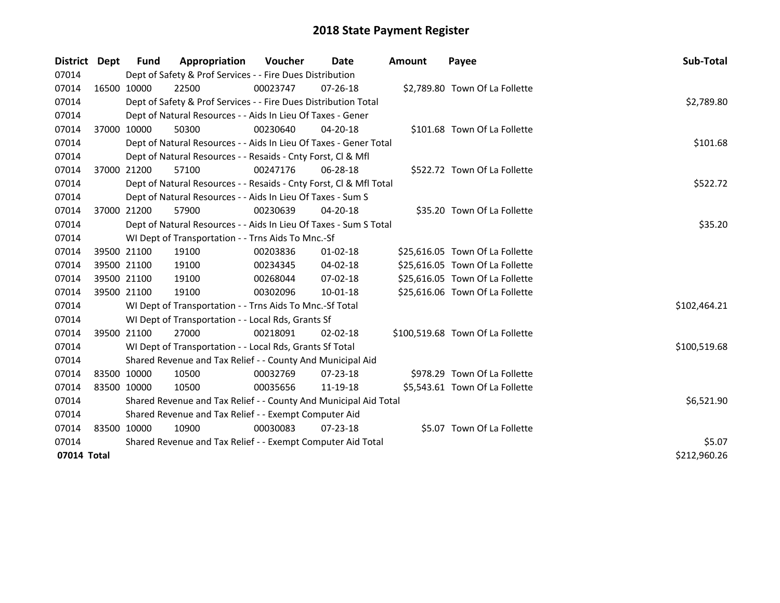| District    | <b>Dept</b> | <b>Fund</b>                                                 | Appropriation                                                      | Voucher  | Date           | <b>Amount</b> | Payee                            | Sub-Total    |  |  |  |
|-------------|-------------|-------------------------------------------------------------|--------------------------------------------------------------------|----------|----------------|---------------|----------------------------------|--------------|--|--|--|
| 07014       |             |                                                             | Dept of Safety & Prof Services - - Fire Dues Distribution          |          |                |               |                                  |              |  |  |  |
| 07014       |             | 16500 10000                                                 | 22500                                                              | 00023747 | 07-26-18       |               | \$2,789.80 Town Of La Follette   |              |  |  |  |
| 07014       |             |                                                             | Dept of Safety & Prof Services - - Fire Dues Distribution Total    |          |                |               |                                  | \$2,789.80   |  |  |  |
| 07014       |             |                                                             | Dept of Natural Resources - - Aids In Lieu Of Taxes - Gener        |          |                |               |                                  |              |  |  |  |
| 07014       |             | 37000 10000                                                 | 50300                                                              | 00230640 | $04 - 20 - 18$ |               | \$101.68 Town Of La Follette     |              |  |  |  |
| 07014       |             |                                                             | Dept of Natural Resources - - Aids In Lieu Of Taxes - Gener Total  |          |                |               |                                  | \$101.68     |  |  |  |
| 07014       |             |                                                             | Dept of Natural Resources - - Resaids - Cnty Forst, Cl & Mfl       |          |                |               |                                  |              |  |  |  |
| 07014       |             | 37000 21200                                                 | 57100                                                              | 00247176 | 06-28-18       |               | \$522.72 Town Of La Follette     |              |  |  |  |
| 07014       |             |                                                             | Dept of Natural Resources - - Resaids - Cnty Forst, Cl & Mfl Total |          |                |               |                                  | \$522.72     |  |  |  |
| 07014       |             |                                                             | Dept of Natural Resources - - Aids In Lieu Of Taxes - Sum S        |          |                |               |                                  |              |  |  |  |
| 07014       |             | 37000 21200                                                 | 57900                                                              | 00230639 | 04-20-18       |               | \$35.20 Town Of La Follette      |              |  |  |  |
| 07014       |             |                                                             | Dept of Natural Resources - - Aids In Lieu Of Taxes - Sum S Total  |          |                |               |                                  | \$35.20      |  |  |  |
| 07014       |             |                                                             | WI Dept of Transportation - - Trns Aids To Mnc.-Sf                 |          |                |               |                                  |              |  |  |  |
| 07014       |             | 39500 21100                                                 | 19100                                                              | 00203836 | $01 - 02 - 18$ |               | \$25,616.05 Town Of La Follette  |              |  |  |  |
| 07014       | 39500 21100 |                                                             | 19100                                                              | 00234345 | 04-02-18       |               | \$25,616.05 Town Of La Follette  |              |  |  |  |
| 07014       | 39500 21100 |                                                             | 19100                                                              | 00268044 | 07-02-18       |               | \$25,616.05 Town Of La Follette  |              |  |  |  |
| 07014       |             | 39500 21100                                                 | 19100                                                              | 00302096 | $10 - 01 - 18$ |               | \$25,616.06 Town Of La Follette  |              |  |  |  |
| 07014       |             |                                                             | WI Dept of Transportation - - Trns Aids To Mnc.-Sf Total           |          |                |               |                                  | \$102,464.21 |  |  |  |
| 07014       |             |                                                             | WI Dept of Transportation - - Local Rds, Grants Sf                 |          |                |               |                                  |              |  |  |  |
| 07014       |             | 39500 21100                                                 | 27000                                                              | 00218091 | $02 - 02 - 18$ |               | \$100,519.68 Town Of La Follette |              |  |  |  |
| 07014       |             |                                                             | WI Dept of Transportation - - Local Rds, Grants Sf Total           |          |                |               |                                  | \$100,519.68 |  |  |  |
| 07014       |             |                                                             | Shared Revenue and Tax Relief - - County And Municipal Aid         |          |                |               |                                  |              |  |  |  |
| 07014       | 83500 10000 |                                                             | 10500                                                              | 00032769 | 07-23-18       |               | \$978.29 Town Of La Follette     |              |  |  |  |
| 07014       | 83500 10000 |                                                             | 10500                                                              | 00035656 | 11-19-18       |               | \$5,543.61 Town Of La Follette   |              |  |  |  |
| 07014       |             |                                                             | Shared Revenue and Tax Relief - - County And Municipal Aid Total   |          |                |               |                                  | \$6,521.90   |  |  |  |
| 07014       |             | Shared Revenue and Tax Relief - - Exempt Computer Aid       |                                                                    |          |                |               |                                  |              |  |  |  |
| 07014       | 83500 10000 |                                                             | 10900                                                              | 00030083 | 07-23-18       |               | \$5.07 Town Of La Follette       |              |  |  |  |
| 07014       |             | Shared Revenue and Tax Relief - - Exempt Computer Aid Total |                                                                    |          |                |               |                                  |              |  |  |  |
| 07014 Total |             |                                                             |                                                                    |          |                |               |                                  | \$212,960.26 |  |  |  |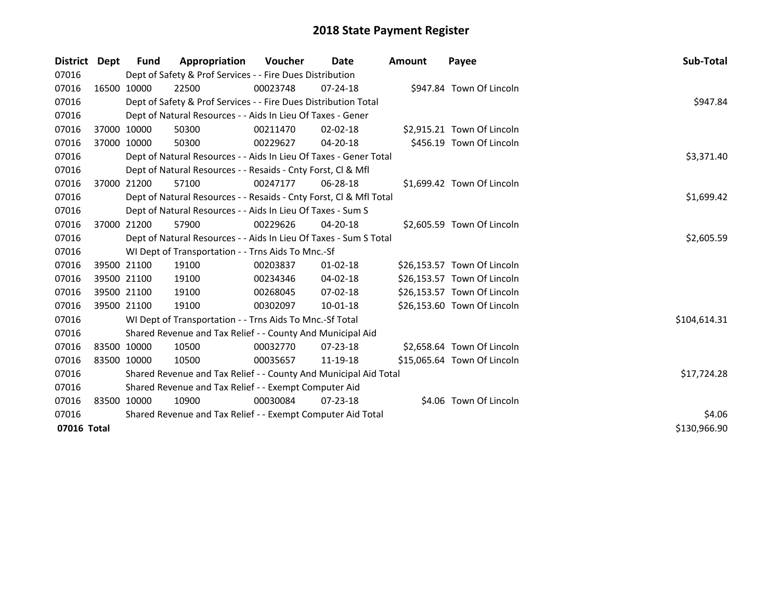| District Dept |             | <b>Fund</b> | Appropriation                                                      | Voucher    | Date           | Amount | Payee                       | Sub-Total    |
|---------------|-------------|-------------|--------------------------------------------------------------------|------------|----------------|--------|-----------------------------|--------------|
| 07016         |             |             | Dept of Safety & Prof Services - - Fire Dues Distribution          |            |                |        |                             |              |
| 07016         |             | 16500 10000 | 22500                                                              | 00023748   | $07 - 24 - 18$ |        | \$947.84 Town Of Lincoln    |              |
| 07016         |             |             | Dept of Safety & Prof Services - - Fire Dues Distribution Total    |            |                |        |                             | \$947.84     |
| 07016         |             |             | Dept of Natural Resources - - Aids In Lieu Of Taxes - Gener        |            |                |        |                             |              |
| 07016         |             | 37000 10000 | 50300                                                              | 00211470   | $02 - 02 - 18$ |        | \$2,915.21 Town Of Lincoln  |              |
| 07016         | 37000 10000 |             | 50300                                                              | 00229627   | 04-20-18       |        | \$456.19 Town Of Lincoln    |              |
| 07016         |             |             | Dept of Natural Resources - - Aids In Lieu Of Taxes - Gener Total  | \$3,371.40 |                |        |                             |              |
| 07016         |             |             | Dept of Natural Resources - - Resaids - Cnty Forst, CI & Mfl       |            |                |        |                             |              |
| 07016         |             | 37000 21200 | 57100                                                              | 00247177   | 06-28-18       |        | \$1,699.42 Town Of Lincoln  |              |
| 07016         |             |             | Dept of Natural Resources - - Resaids - Cnty Forst, CI & Mfl Total |            |                |        |                             | \$1,699.42   |
| 07016         |             |             | Dept of Natural Resources - - Aids In Lieu Of Taxes - Sum S        |            |                |        |                             |              |
| 07016         |             | 37000 21200 | 57900                                                              | 00229626   | $04 - 20 - 18$ |        | \$2,605.59 Town Of Lincoln  |              |
| 07016         |             |             | Dept of Natural Resources - - Aids In Lieu Of Taxes - Sum S Total  |            |                |        |                             | \$2,605.59   |
| 07016         |             |             | WI Dept of Transportation - - Trns Aids To Mnc.-Sf                 |            |                |        |                             |              |
| 07016         |             | 39500 21100 | 19100                                                              | 00203837   | $01 - 02 - 18$ |        | \$26,153.57 Town Of Lincoln |              |
| 07016         |             | 39500 21100 | 19100                                                              | 00234346   | 04-02-18       |        | \$26,153.57 Town Of Lincoln |              |
| 07016         |             | 39500 21100 | 19100                                                              | 00268045   | $07 - 02 - 18$ |        | \$26,153.57 Town Of Lincoln |              |
| 07016         |             | 39500 21100 | 19100                                                              | 00302097   | 10-01-18       |        | \$26,153.60 Town Of Lincoln |              |
| 07016         |             |             | WI Dept of Transportation - - Trns Aids To Mnc.-Sf Total           |            |                |        |                             | \$104,614.31 |
| 07016         |             |             | Shared Revenue and Tax Relief - - County And Municipal Aid         |            |                |        |                             |              |
| 07016         |             | 83500 10000 | 10500                                                              | 00032770   | $07 - 23 - 18$ |        | \$2,658.64 Town Of Lincoln  |              |
| 07016         | 83500 10000 |             | 10500                                                              | 00035657   | 11-19-18       |        | \$15,065.64 Town Of Lincoln |              |
| 07016         |             |             | Shared Revenue and Tax Relief - - County And Municipal Aid Total   |            |                |        |                             | \$17,724.28  |
| 07016         |             |             | Shared Revenue and Tax Relief - - Exempt Computer Aid              |            |                |        |                             |              |
| 07016         |             | 83500 10000 | 10900                                                              | 00030084   | $07 - 23 - 18$ |        | \$4.06 Town Of Lincoln      |              |
| 07016         |             |             | Shared Revenue and Tax Relief - - Exempt Computer Aid Total        | \$4.06     |                |        |                             |              |
| 07016 Total   |             |             |                                                                    |            |                |        |                             | \$130,966.90 |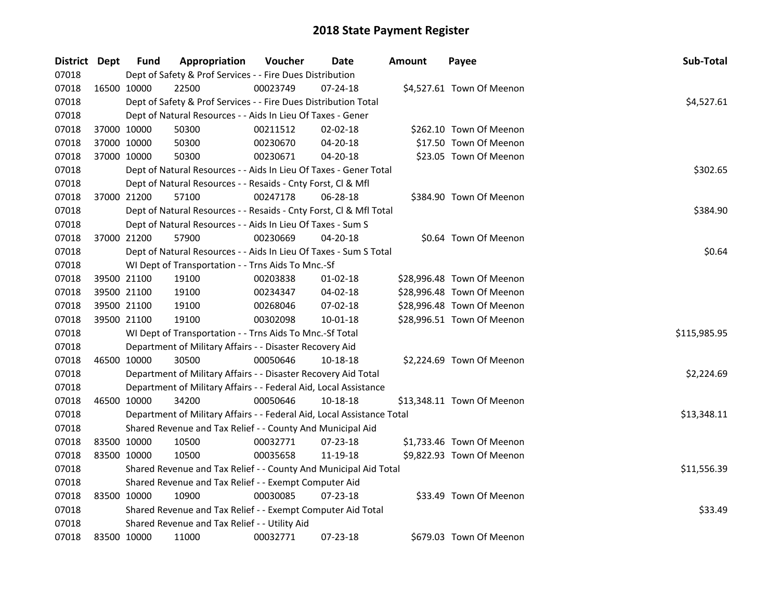| District Dept | <b>Fund</b>                                                            | Appropriation                                                          | Voucher  | Date           | <b>Amount</b> | Payee                      | Sub-Total    |  |  |
|---------------|------------------------------------------------------------------------|------------------------------------------------------------------------|----------|----------------|---------------|----------------------------|--------------|--|--|
| 07018         |                                                                        | Dept of Safety & Prof Services - - Fire Dues Distribution              |          |                |               |                            |              |  |  |
| 07018         | 16500 10000                                                            | 22500                                                                  | 00023749 | $07 - 24 - 18$ |               | \$4,527.61 Town Of Meenon  |              |  |  |
| 07018         |                                                                        | Dept of Safety & Prof Services - - Fire Dues Distribution Total        |          |                |               |                            | \$4,527.61   |  |  |
| 07018         |                                                                        | Dept of Natural Resources - - Aids In Lieu Of Taxes - Gener            |          |                |               |                            |              |  |  |
| 07018         | 37000 10000                                                            | 50300                                                                  | 00211512 | $02 - 02 - 18$ |               | \$262.10 Town Of Meenon    |              |  |  |
| 07018         | 37000 10000                                                            | 50300                                                                  | 00230670 | 04-20-18       |               | \$17.50 Town Of Meenon     |              |  |  |
| 07018         | 37000 10000                                                            | 50300                                                                  | 00230671 | 04-20-18       |               | \$23.05 Town Of Meenon     |              |  |  |
| 07018         |                                                                        | Dept of Natural Resources - - Aids In Lieu Of Taxes - Gener Total      |          |                |               |                            | \$302.65     |  |  |
| 07018         |                                                                        | Dept of Natural Resources - - Resaids - Cnty Forst, Cl & Mfl           |          |                |               |                            |              |  |  |
| 07018         | 37000 21200                                                            | 57100                                                                  | 00247178 | 06-28-18       |               | \$384.90 Town Of Meenon    |              |  |  |
| 07018         |                                                                        | Dept of Natural Resources - - Resaids - Cnty Forst, CI & Mfl Total     |          |                |               |                            | \$384.90     |  |  |
| 07018         |                                                                        | Dept of Natural Resources - - Aids In Lieu Of Taxes - Sum S            |          |                |               |                            |              |  |  |
| 07018         | 37000 21200                                                            | 57900                                                                  | 00230669 | 04-20-18       |               | \$0.64 Town Of Meenon      |              |  |  |
| 07018         |                                                                        | Dept of Natural Resources - - Aids In Lieu Of Taxes - Sum S Total      |          |                |               |                            | \$0.64       |  |  |
| 07018         |                                                                        | WI Dept of Transportation - - Trns Aids To Mnc.-Sf                     |          |                |               |                            |              |  |  |
| 07018         | 39500 21100                                                            | 19100                                                                  | 00203838 | 01-02-18       |               | \$28,996.48 Town Of Meenon |              |  |  |
| 07018         | 39500 21100                                                            | 19100                                                                  | 00234347 | 04-02-18       |               | \$28,996.48 Town Of Meenon |              |  |  |
| 07018         | 39500 21100                                                            | 19100                                                                  | 00268046 | 07-02-18       |               | \$28,996.48 Town Of Meenon |              |  |  |
| 07018         | 39500 21100                                                            | 19100                                                                  | 00302098 | 10-01-18       |               | \$28,996.51 Town Of Meenon |              |  |  |
| 07018         |                                                                        | WI Dept of Transportation - - Trns Aids To Mnc.-Sf Total               |          |                |               |                            | \$115,985.95 |  |  |
| 07018         |                                                                        | Department of Military Affairs - - Disaster Recovery Aid               |          |                |               |                            |              |  |  |
| 07018         | 46500 10000                                                            | 30500                                                                  | 00050646 | 10-18-18       |               | \$2,224.69 Town Of Meenon  |              |  |  |
| 07018         |                                                                        | Department of Military Affairs - - Disaster Recovery Aid Total         |          |                |               |                            | \$2,224.69   |  |  |
| 07018         |                                                                        | Department of Military Affairs - - Federal Aid, Local Assistance       |          |                |               |                            |              |  |  |
| 07018         | 46500 10000                                                            | 34200                                                                  | 00050646 | 10-18-18       |               | \$13,348.11 Town Of Meenon |              |  |  |
| 07018         |                                                                        | Department of Military Affairs - - Federal Aid, Local Assistance Total |          |                |               |                            | \$13,348.11  |  |  |
| 07018         |                                                                        | Shared Revenue and Tax Relief - - County And Municipal Aid             |          |                |               |                            |              |  |  |
| 07018         | 83500 10000                                                            | 10500                                                                  | 00032771 | $07 - 23 - 18$ |               | \$1,733.46 Town Of Meenon  |              |  |  |
| 07018         | 83500 10000                                                            | 10500                                                                  | 00035658 | 11-19-18       |               | \$9,822.93 Town Of Meenon  |              |  |  |
| 07018         |                                                                        | Shared Revenue and Tax Relief - - County And Municipal Aid Total       |          |                |               |                            | \$11,556.39  |  |  |
| 07018         |                                                                        | Shared Revenue and Tax Relief - - Exempt Computer Aid                  |          |                |               |                            |              |  |  |
| 07018         | 83500 10000                                                            | 10900                                                                  | 00030085 | $07 - 23 - 18$ |               | \$33.49 Town Of Meenon     |              |  |  |
| 07018         | \$33.49<br>Shared Revenue and Tax Relief - - Exempt Computer Aid Total |                                                                        |          |                |               |                            |              |  |  |
| 07018         |                                                                        | Shared Revenue and Tax Relief - - Utility Aid                          |          |                |               |                            |              |  |  |
| 07018         | 83500 10000                                                            | 11000                                                                  | 00032771 | 07-23-18       |               | \$679.03 Town Of Meenon    |              |  |  |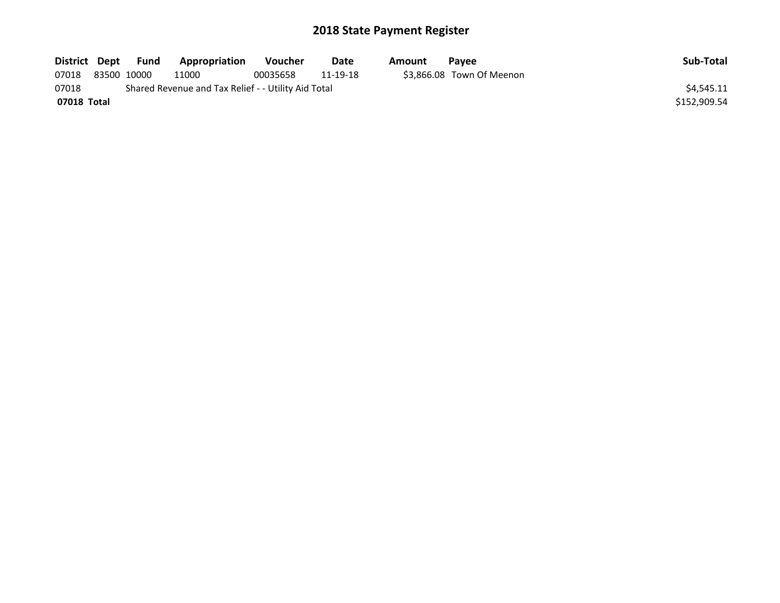| District Dept                                                |  | Fund        | Appropriation | <b>Voucher</b> | Date     | Amount | <b>Pavee</b>              | Sub-Total    |
|--------------------------------------------------------------|--|-------------|---------------|----------------|----------|--------|---------------------------|--------------|
| 07018                                                        |  | 83500 10000 | 11000         | 00035658       | 11-19-18 |        | \$3.866.08 Town Of Meenon |              |
| 07018<br>Shared Revenue and Tax Relief - - Utility Aid Total |  |             |               |                |          |        |                           | \$4.545.11   |
| 07018 Total                                                  |  |             |               |                |          |        |                           | \$152,909.54 |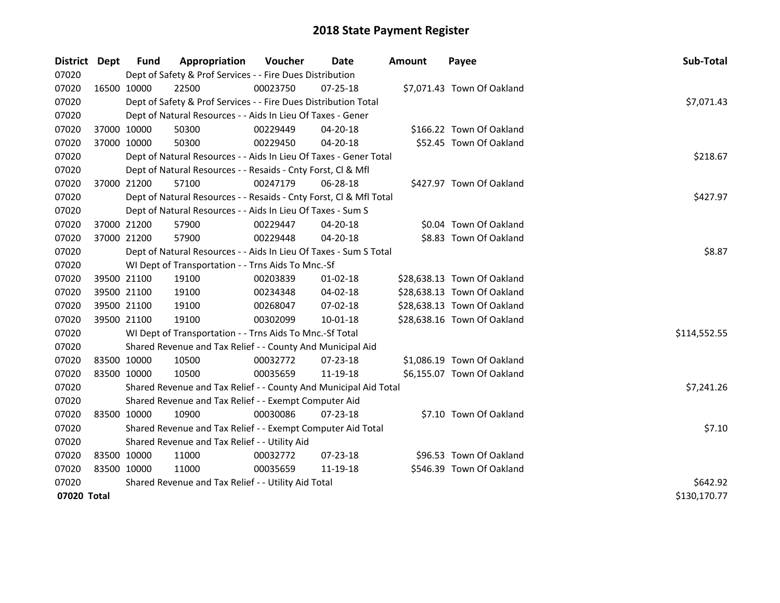| District Dept |             | Fund        | Appropriation                                                                  | <b>Voucher</b> | Date           | Amount | Payee                       | Sub-Total    |  |  |  |
|---------------|-------------|-------------|--------------------------------------------------------------------------------|----------------|----------------|--------|-----------------------------|--------------|--|--|--|
| 07020         |             |             | Dept of Safety & Prof Services - - Fire Dues Distribution                      |                |                |        |                             |              |  |  |  |
| 07020         |             | 16500 10000 | 22500                                                                          | 00023750       | $07 - 25 - 18$ |        | \$7,071.43 Town Of Oakland  |              |  |  |  |
| 07020         |             |             | Dept of Safety & Prof Services - - Fire Dues Distribution Total                |                |                |        |                             | \$7,071.43   |  |  |  |
| 07020         |             |             | Dept of Natural Resources - - Aids In Lieu Of Taxes - Gener                    |                |                |        |                             |              |  |  |  |
| 07020         |             | 37000 10000 | 50300                                                                          | 00229449       | 04-20-18       |        | \$166.22 Town Of Oakland    |              |  |  |  |
| 07020         |             | 37000 10000 | 50300                                                                          | 00229450       | 04-20-18       |        | \$52.45 Town Of Oakland     |              |  |  |  |
| 07020         |             |             | Dept of Natural Resources - - Aids In Lieu Of Taxes - Gener Total              |                |                |        |                             | \$218.67     |  |  |  |
| 07020         |             |             | Dept of Natural Resources - - Resaids - Cnty Forst, Cl & Mfl                   |                |                |        |                             |              |  |  |  |
| 07020         |             | 37000 21200 | 57100                                                                          | 00247179       | 06-28-18       |        | \$427.97 Town Of Oakland    |              |  |  |  |
| 07020         |             |             | \$427.97<br>Dept of Natural Resources - - Resaids - Cnty Forst, Cl & Mfl Total |                |                |        |                             |              |  |  |  |
| 07020         |             |             | Dept of Natural Resources - - Aids In Lieu Of Taxes - Sum S                    |                |                |        |                             |              |  |  |  |
| 07020         |             | 37000 21200 | 57900                                                                          | 00229447       | 04-20-18       |        | \$0.04 Town Of Oakland      |              |  |  |  |
| 07020         |             | 37000 21200 | 57900                                                                          | 00229448       | 04-20-18       |        | \$8.83 Town Of Oakland      |              |  |  |  |
| 07020         |             |             | Dept of Natural Resources - - Aids In Lieu Of Taxes - Sum S Total              |                |                |        |                             | \$8.87       |  |  |  |
| 07020         |             |             | WI Dept of Transportation - - Trns Aids To Mnc.-Sf                             |                |                |        |                             |              |  |  |  |
| 07020         |             | 39500 21100 | 19100                                                                          | 00203839       | $01-02-18$     |        | \$28,638.13 Town Of Oakland |              |  |  |  |
| 07020         |             | 39500 21100 | 19100                                                                          | 00234348       | 04-02-18       |        | \$28,638.13 Town Of Oakland |              |  |  |  |
| 07020         |             | 39500 21100 | 19100                                                                          | 00268047       | 07-02-18       |        | \$28,638.13 Town Of Oakland |              |  |  |  |
| 07020         |             | 39500 21100 | 19100                                                                          | 00302099       | 10-01-18       |        | \$28,638.16 Town Of Oakland |              |  |  |  |
| 07020         |             |             | WI Dept of Transportation - - Trns Aids To Mnc.-Sf Total                       |                |                |        |                             | \$114,552.55 |  |  |  |
| 07020         |             |             | Shared Revenue and Tax Relief - - County And Municipal Aid                     |                |                |        |                             |              |  |  |  |
| 07020         |             | 83500 10000 | 10500                                                                          | 00032772       | 07-23-18       |        | \$1,086.19 Town Of Oakland  |              |  |  |  |
| 07020         |             | 83500 10000 | 10500                                                                          | 00035659       | 11-19-18       |        | \$6,155.07 Town Of Oakland  |              |  |  |  |
| 07020         |             |             | Shared Revenue and Tax Relief - - County And Municipal Aid Total               |                |                |        |                             | \$7,241.26   |  |  |  |
| 07020         |             |             | Shared Revenue and Tax Relief - - Exempt Computer Aid                          |                |                |        |                             |              |  |  |  |
| 07020         |             | 83500 10000 | 10900                                                                          | 00030086       | 07-23-18       |        | \$7.10 Town Of Oakland      |              |  |  |  |
| 07020         |             |             | Shared Revenue and Tax Relief - - Exempt Computer Aid Total                    |                |                |        |                             | \$7.10       |  |  |  |
| 07020         |             |             | Shared Revenue and Tax Relief - - Utility Aid                                  |                |                |        |                             |              |  |  |  |
| 07020         | 83500 10000 |             | 11000                                                                          | 00032772       | 07-23-18       |        | \$96.53 Town Of Oakland     |              |  |  |  |
| 07020         |             | 83500 10000 | 11000                                                                          | 00035659       | 11-19-18       |        | \$546.39 Town Of Oakland    |              |  |  |  |
| 07020         |             |             | Shared Revenue and Tax Relief - - Utility Aid Total                            |                |                |        |                             | \$642.92     |  |  |  |
| 07020 Total   |             |             |                                                                                |                |                |        |                             |              |  |  |  |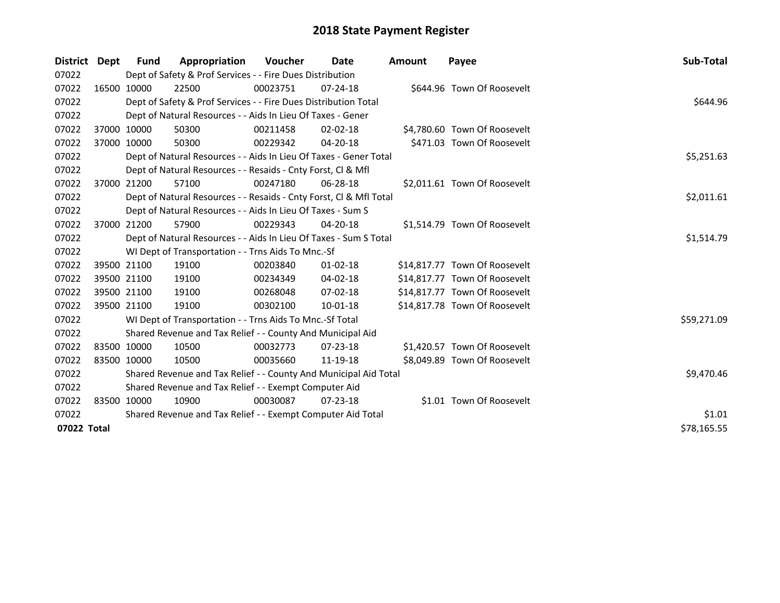| District Dept | Fund                                                  | Appropriation                                                      | Voucher    | Date           | <b>Amount</b> | Payee                         | <b>Sub-Total</b> |  |  |  |
|---------------|-------------------------------------------------------|--------------------------------------------------------------------|------------|----------------|---------------|-------------------------------|------------------|--|--|--|
| 07022         |                                                       | Dept of Safety & Prof Services - - Fire Dues Distribution          |            |                |               |                               |                  |  |  |  |
| 07022         | 16500 10000                                           | 22500                                                              | 00023751   | $07 - 24 - 18$ |               | \$644.96 Town Of Roosevelt    |                  |  |  |  |
| 07022         |                                                       | Dept of Safety & Prof Services - - Fire Dues Distribution Total    |            |                |               |                               | \$644.96         |  |  |  |
| 07022         |                                                       | Dept of Natural Resources - - Aids In Lieu Of Taxes - Gener        |            |                |               |                               |                  |  |  |  |
| 07022         | 37000 10000                                           | 50300                                                              | 00211458   | $02 - 02 - 18$ |               | \$4,780.60 Town Of Roosevelt  |                  |  |  |  |
| 07022         | 37000 10000                                           | 50300                                                              | 00229342   | 04-20-18       |               | \$471.03 Town Of Roosevelt    |                  |  |  |  |
| 07022         |                                                       | Dept of Natural Resources - - Aids In Lieu Of Taxes - Gener Total  | \$5,251.63 |                |               |                               |                  |  |  |  |
| 07022         |                                                       | Dept of Natural Resources - - Resaids - Cnty Forst, CI & Mfl       |            |                |               |                               |                  |  |  |  |
| 07022         | 37000 21200                                           | 57100                                                              | 00247180   | 06-28-18       |               | \$2,011.61 Town Of Roosevelt  |                  |  |  |  |
| 07022         |                                                       | Dept of Natural Resources - - Resaids - Cnty Forst, CI & Mfl Total |            |                |               |                               | \$2,011.61       |  |  |  |
| 07022         |                                                       | Dept of Natural Resources - - Aids In Lieu Of Taxes - Sum S        |            |                |               |                               |                  |  |  |  |
| 07022         | 37000 21200                                           | 57900                                                              | 00229343   | $04 - 20 - 18$ |               | \$1,514.79 Town Of Roosevelt  |                  |  |  |  |
| 07022         |                                                       | Dept of Natural Resources - - Aids In Lieu Of Taxes - Sum S Total  |            |                |               |                               | \$1,514.79       |  |  |  |
| 07022         |                                                       | WI Dept of Transportation - - Trns Aids To Mnc.-Sf                 |            |                |               |                               |                  |  |  |  |
| 07022         | 39500 21100                                           | 19100                                                              | 00203840   | $01 - 02 - 18$ |               | \$14,817.77 Town Of Roosevelt |                  |  |  |  |
| 07022         | 39500 21100                                           | 19100                                                              | 00234349   | 04-02-18       |               | \$14,817.77 Town Of Roosevelt |                  |  |  |  |
| 07022         | 39500 21100                                           | 19100                                                              | 00268048   | $07 - 02 - 18$ |               | \$14,817.77 Town Of Roosevelt |                  |  |  |  |
| 07022         | 39500 21100                                           | 19100                                                              | 00302100   | 10-01-18       |               | \$14,817.78 Town Of Roosevelt |                  |  |  |  |
| 07022         |                                                       | WI Dept of Transportation - - Trns Aids To Mnc.-Sf Total           |            |                |               |                               | \$59,271.09      |  |  |  |
| 07022         |                                                       | Shared Revenue and Tax Relief - - County And Municipal Aid         |            |                |               |                               |                  |  |  |  |
| 07022         | 83500 10000                                           | 10500                                                              | 00032773   | $07 - 23 - 18$ |               | \$1,420.57 Town Of Roosevelt  |                  |  |  |  |
| 07022         | 83500 10000                                           | 10500                                                              | 00035660   | 11-19-18       |               | \$8,049.89 Town Of Roosevelt  |                  |  |  |  |
| 07022         |                                                       | Shared Revenue and Tax Relief - - County And Municipal Aid Total   |            |                |               |                               | \$9,470.46       |  |  |  |
| 07022         | Shared Revenue and Tax Relief - - Exempt Computer Aid |                                                                    |            |                |               |                               |                  |  |  |  |
| 07022         | 83500 10000                                           | 10900                                                              | 00030087   | $07 - 23 - 18$ |               | \$1.01 Town Of Roosevelt      |                  |  |  |  |
| 07022         |                                                       | Shared Revenue and Tax Relief - - Exempt Computer Aid Total        |            |                |               |                               | \$1.01           |  |  |  |
| 07022 Total   |                                                       |                                                                    |            |                |               |                               | \$78,165.55      |  |  |  |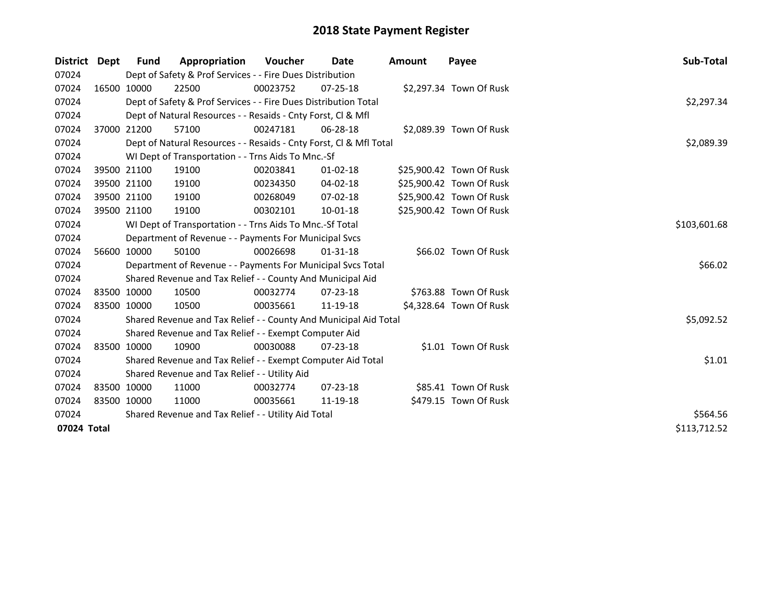| District    | Dept | Fund                                                | Appropriation                                                      | Voucher    | Date           | <b>Amount</b> | Payee                    | <b>Sub-Total</b> |  |
|-------------|------|-----------------------------------------------------|--------------------------------------------------------------------|------------|----------------|---------------|--------------------------|------------------|--|
| 07024       |      |                                                     | Dept of Safety & Prof Services - - Fire Dues Distribution          |            |                |               |                          |                  |  |
| 07024       |      | 16500 10000                                         | 22500                                                              | 00023752   | $07 - 25 - 18$ |               | \$2,297.34 Town Of Rusk  |                  |  |
| 07024       |      |                                                     | Dept of Safety & Prof Services - - Fire Dues Distribution Total    |            |                |               |                          | \$2,297.34       |  |
| 07024       |      |                                                     | Dept of Natural Resources - - Resaids - Cnty Forst, Cl & Mfl       |            |                |               |                          |                  |  |
| 07024       |      | 37000 21200                                         | 57100                                                              | 00247181   | 06-28-18       |               | \$2,089.39 Town Of Rusk  |                  |  |
| 07024       |      |                                                     | Dept of Natural Resources - - Resaids - Cnty Forst, Cl & Mfl Total | \$2,089.39 |                |               |                          |                  |  |
| 07024       |      |                                                     | WI Dept of Transportation - - Trns Aids To Mnc.-Sf                 |            |                |               |                          |                  |  |
| 07024       |      | 39500 21100                                         | 19100                                                              | 00203841   | $01 - 02 - 18$ |               | \$25,900.42 Town Of Rusk |                  |  |
| 07024       |      | 39500 21100                                         | 19100                                                              | 00234350   | 04-02-18       |               | \$25,900.42 Town Of Rusk |                  |  |
| 07024       |      | 39500 21100                                         | 19100                                                              | 00268049   | 07-02-18       |               | \$25,900.42 Town Of Rusk |                  |  |
| 07024       |      | 39500 21100                                         | 19100                                                              | 00302101   | 10-01-18       |               | \$25,900.42 Town Of Rusk |                  |  |
| 07024       |      |                                                     | WI Dept of Transportation - - Trns Aids To Mnc.-Sf Total           |            |                |               |                          | \$103,601.68     |  |
| 07024       |      |                                                     | Department of Revenue - - Payments For Municipal Svcs              |            |                |               |                          |                  |  |
| 07024       |      | 56600 10000                                         | 50100                                                              | 00026698   | 01-31-18       |               | \$66.02 Town Of Rusk     |                  |  |
| 07024       |      |                                                     | Department of Revenue - - Payments For Municipal Svcs Total        |            |                |               |                          | \$66.02          |  |
| 07024       |      |                                                     | Shared Revenue and Tax Relief - - County And Municipal Aid         |            |                |               |                          |                  |  |
| 07024       |      | 83500 10000                                         | 10500                                                              | 00032774   | $07 - 23 - 18$ |               | \$763.88 Town Of Rusk    |                  |  |
| 07024       |      | 83500 10000                                         | 10500                                                              | 00035661   | 11-19-18       |               | \$4,328.64 Town Of Rusk  |                  |  |
| 07024       |      |                                                     | Shared Revenue and Tax Relief - - County And Municipal Aid Total   |            |                |               |                          | \$5,092.52       |  |
| 07024       |      |                                                     | Shared Revenue and Tax Relief - - Exempt Computer Aid              |            |                |               |                          |                  |  |
| 07024       |      | 83500 10000                                         | 10900                                                              | 00030088   | $07 - 23 - 18$ |               | \$1.01 Town Of Rusk      |                  |  |
| 07024       |      |                                                     | Shared Revenue and Tax Relief - - Exempt Computer Aid Total        |            |                |               |                          | \$1.01           |  |
| 07024       |      |                                                     | Shared Revenue and Tax Relief - - Utility Aid                      |            |                |               |                          |                  |  |
| 07024       |      | 83500 10000                                         | 11000                                                              | 00032774   | $07 - 23 - 18$ |               | \$85.41 Town Of Rusk     |                  |  |
| 07024       |      | 83500 10000                                         | 11000                                                              | 00035661   | 11-19-18       |               | \$479.15 Town Of Rusk    |                  |  |
| 07024       |      | Shared Revenue and Tax Relief - - Utility Aid Total |                                                                    |            |                |               |                          |                  |  |
| 07024 Total |      |                                                     |                                                                    |            |                |               |                          | \$113,712.52     |  |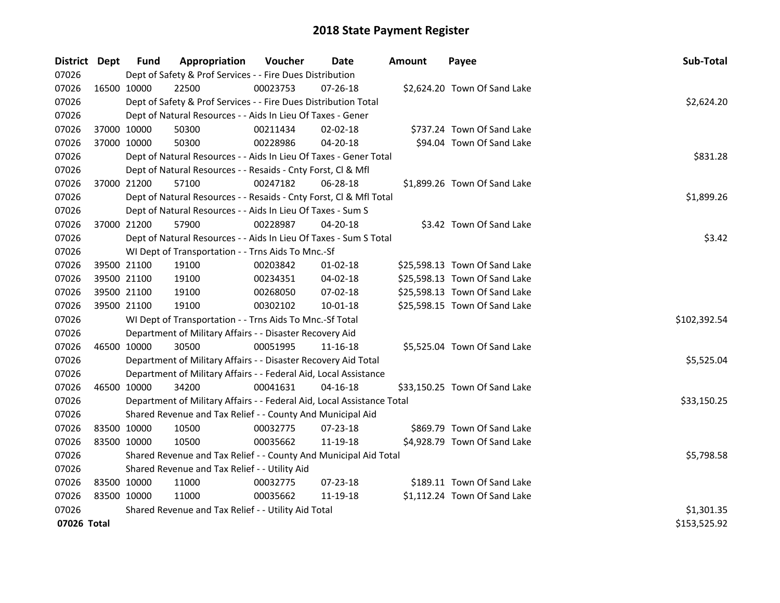| District Dept |             | Fund                                          | Appropriation                                                          | Voucher  | Date           | <b>Amount</b> | Payee                         | Sub-Total    |  |  |  |
|---------------|-------------|-----------------------------------------------|------------------------------------------------------------------------|----------|----------------|---------------|-------------------------------|--------------|--|--|--|
| 07026         |             |                                               | Dept of Safety & Prof Services - - Fire Dues Distribution              |          |                |               |                               |              |  |  |  |
| 07026         | 16500 10000 |                                               | 22500                                                                  | 00023753 | $07 - 26 - 18$ |               | \$2,624.20 Town Of Sand Lake  |              |  |  |  |
| 07026         |             |                                               | Dept of Safety & Prof Services - - Fire Dues Distribution Total        |          |                |               |                               | \$2,624.20   |  |  |  |
| 07026         |             |                                               | Dept of Natural Resources - - Aids In Lieu Of Taxes - Gener            |          |                |               |                               |              |  |  |  |
| 07026         |             | 37000 10000                                   | 50300                                                                  | 00211434 | 02-02-18       |               | \$737.24 Town Of Sand Lake    |              |  |  |  |
| 07026         | 37000 10000 |                                               | 50300                                                                  | 00228986 | 04-20-18       |               | \$94.04 Town Of Sand Lake     |              |  |  |  |
| 07026         |             |                                               | Dept of Natural Resources - - Aids In Lieu Of Taxes - Gener Total      |          |                |               |                               | \$831.28     |  |  |  |
| 07026         |             |                                               | Dept of Natural Resources - - Resaids - Cnty Forst, Cl & Mfl           |          |                |               |                               |              |  |  |  |
| 07026         |             | 37000 21200                                   | 57100                                                                  | 00247182 | 06-28-18       |               | \$1,899.26 Town Of Sand Lake  |              |  |  |  |
| 07026         |             |                                               | Dept of Natural Resources - - Resaids - Cnty Forst, Cl & Mfl Total     |          |                |               |                               | \$1,899.26   |  |  |  |
| 07026         |             |                                               | Dept of Natural Resources - - Aids In Lieu Of Taxes - Sum S            |          |                |               |                               |              |  |  |  |
| 07026         | 37000 21200 |                                               | 57900                                                                  | 00228987 | 04-20-18       |               | \$3.42 Town Of Sand Lake      |              |  |  |  |
| 07026         |             |                                               | Dept of Natural Resources - - Aids In Lieu Of Taxes - Sum S Total      |          |                |               |                               | \$3.42       |  |  |  |
| 07026         |             |                                               | WI Dept of Transportation - - Trns Aids To Mnc.-Sf                     |          |                |               |                               |              |  |  |  |
| 07026         |             | 39500 21100                                   | 19100                                                                  | 00203842 | 01-02-18       |               | \$25,598.13 Town Of Sand Lake |              |  |  |  |
| 07026         |             | 39500 21100                                   | 19100                                                                  | 00234351 | 04-02-18       |               | \$25,598.13 Town Of Sand Lake |              |  |  |  |
| 07026         |             | 39500 21100                                   | 19100                                                                  | 00268050 | 07-02-18       |               | \$25,598.13 Town Of Sand Lake |              |  |  |  |
| 07026         |             | 39500 21100                                   | 19100                                                                  | 00302102 | 10-01-18       |               | \$25,598.15 Town Of Sand Lake |              |  |  |  |
| 07026         |             |                                               | WI Dept of Transportation - - Trns Aids To Mnc.-Sf Total               |          |                |               |                               | \$102,392.54 |  |  |  |
| 07026         |             |                                               | Department of Military Affairs - - Disaster Recovery Aid               |          |                |               |                               |              |  |  |  |
| 07026         |             | 46500 10000                                   | 30500                                                                  | 00051995 | 11-16-18       |               | \$5,525.04 Town Of Sand Lake  |              |  |  |  |
| 07026         |             |                                               | Department of Military Affairs - - Disaster Recovery Aid Total         |          |                |               |                               | \$5,525.04   |  |  |  |
| 07026         |             |                                               | Department of Military Affairs - - Federal Aid, Local Assistance       |          |                |               |                               |              |  |  |  |
| 07026         |             | 46500 10000                                   | 34200                                                                  | 00041631 | $04 - 16 - 18$ |               | \$33,150.25 Town Of Sand Lake |              |  |  |  |
| 07026         |             |                                               | Department of Military Affairs - - Federal Aid, Local Assistance Total |          |                |               |                               | \$33,150.25  |  |  |  |
| 07026         |             |                                               | Shared Revenue and Tax Relief - - County And Municipal Aid             |          |                |               |                               |              |  |  |  |
| 07026         |             | 83500 10000                                   | 10500                                                                  | 00032775 | 07-23-18       |               | \$869.79 Town Of Sand Lake    |              |  |  |  |
| 07026         | 83500 10000 |                                               | 10500                                                                  | 00035662 | 11-19-18       |               | \$4,928.79 Town Of Sand Lake  |              |  |  |  |
| 07026         |             |                                               | Shared Revenue and Tax Relief - - County And Municipal Aid Total       |          |                |               |                               | \$5,798.58   |  |  |  |
| 07026         |             | Shared Revenue and Tax Relief - - Utility Aid |                                                                        |          |                |               |                               |              |  |  |  |
| 07026         |             | 83500 10000                                   | 11000                                                                  | 00032775 | 07-23-18       |               | \$189.11 Town Of Sand Lake    |              |  |  |  |
| 07026         | 83500 10000 |                                               | 11000                                                                  | 00035662 | 11-19-18       |               | \$1,112.24 Town Of Sand Lake  |              |  |  |  |
| 07026         |             |                                               | Shared Revenue and Tax Relief - - Utility Aid Total                    |          |                |               |                               | \$1,301.35   |  |  |  |
| 07026 Total   |             |                                               |                                                                        |          |                |               |                               | \$153,525.92 |  |  |  |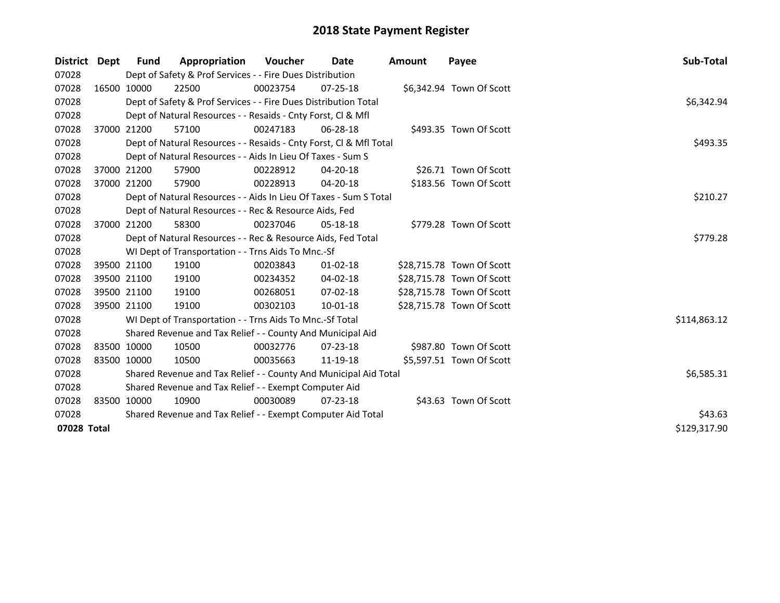| District Dept | <b>Fund</b> | Appropriation                                                      | Voucher  | Date           | <b>Amount</b> | Payee                     | Sub-Total    |
|---------------|-------------|--------------------------------------------------------------------|----------|----------------|---------------|---------------------------|--------------|
| 07028         |             | Dept of Safety & Prof Services - - Fire Dues Distribution          |          |                |               |                           |              |
| 07028         | 16500 10000 | 22500                                                              | 00023754 | $07 - 25 - 18$ |               | \$6,342.94 Town Of Scott  |              |
| 07028         |             | Dept of Safety & Prof Services - - Fire Dues Distribution Total    |          |                |               |                           | \$6,342.94   |
| 07028         |             | Dept of Natural Resources - - Resaids - Cnty Forst, CI & Mfl       |          |                |               |                           |              |
| 07028         | 37000 21200 | 57100                                                              | 00247183 | 06-28-18       |               | \$493.35 Town Of Scott    |              |
| 07028         |             | Dept of Natural Resources - - Resaids - Cnty Forst, Cl & Mfl Total |          |                |               |                           | \$493.35     |
| 07028         |             | Dept of Natural Resources - - Aids In Lieu Of Taxes - Sum S        |          |                |               |                           |              |
| 07028         | 37000 21200 | 57900                                                              | 00228912 | 04-20-18       |               | \$26.71 Town Of Scott     |              |
| 07028         | 37000 21200 | 57900                                                              | 00228913 | 04-20-18       |               | \$183.56 Town Of Scott    |              |
| 07028         |             | Dept of Natural Resources - - Aids In Lieu Of Taxes - Sum S Total  |          |                |               |                           | \$210.27     |
| 07028         |             | Dept of Natural Resources - - Rec & Resource Aids, Fed             |          |                |               |                           |              |
| 07028         | 37000 21200 | 58300                                                              | 00237046 | 05-18-18       |               | \$779.28 Town Of Scott    |              |
| 07028         |             | Dept of Natural Resources - - Rec & Resource Aids, Fed Total       |          |                |               |                           | \$779.28     |
| 07028         |             | WI Dept of Transportation - - Trns Aids To Mnc.-Sf                 |          |                |               |                           |              |
| 07028         | 39500 21100 | 19100                                                              | 00203843 | $01 - 02 - 18$ |               | \$28,715.78 Town Of Scott |              |
| 07028         | 39500 21100 | 19100                                                              | 00234352 | 04-02-18       |               | \$28,715.78 Town Of Scott |              |
| 07028         | 39500 21100 | 19100                                                              | 00268051 | $07 - 02 - 18$ |               | \$28,715.78 Town Of Scott |              |
| 07028         | 39500 21100 | 19100                                                              | 00302103 | 10-01-18       |               | \$28,715.78 Town Of Scott |              |
| 07028         |             | WI Dept of Transportation - - Trns Aids To Mnc.-Sf Total           |          |                |               |                           | \$114,863.12 |
| 07028         |             | Shared Revenue and Tax Relief - - County And Municipal Aid         |          |                |               |                           |              |
| 07028         | 83500 10000 | 10500                                                              | 00032776 | $07 - 23 - 18$ |               | \$987.80 Town Of Scott    |              |
| 07028         | 83500 10000 | 10500                                                              | 00035663 | 11-19-18       |               | \$5,597.51 Town Of Scott  |              |
| 07028         |             | Shared Revenue and Tax Relief - - County And Municipal Aid Total   |          |                |               |                           | \$6,585.31   |
| 07028         |             | Shared Revenue and Tax Relief - - Exempt Computer Aid              |          |                |               |                           |              |
| 07028         | 83500 10000 | 10900                                                              | 00030089 | $07 - 23 - 18$ |               | \$43.63 Town Of Scott     |              |
| 07028         |             | Shared Revenue and Tax Relief - - Exempt Computer Aid Total        | \$43.63  |                |               |                           |              |
| 07028 Total   |             |                                                                    |          |                |               |                           | \$129,317.90 |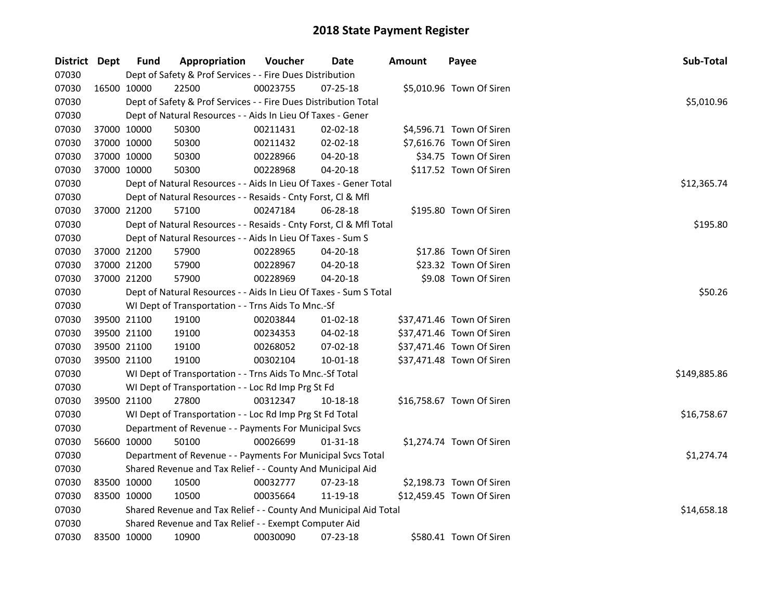| District Dept |             | <b>Fund</b> | Appropriation                                                      | Voucher  | Date           | <b>Amount</b> | Payee                     | Sub-Total    |  |  |  |  |
|---------------|-------------|-------------|--------------------------------------------------------------------|----------|----------------|---------------|---------------------------|--------------|--|--|--|--|
| 07030         |             |             | Dept of Safety & Prof Services - - Fire Dues Distribution          |          |                |               |                           |              |  |  |  |  |
| 07030         |             | 16500 10000 | 22500                                                              | 00023755 | $07 - 25 - 18$ |               | \$5,010.96 Town Of Siren  |              |  |  |  |  |
| 07030         |             |             | Dept of Safety & Prof Services - - Fire Dues Distribution Total    |          |                |               |                           | \$5,010.96   |  |  |  |  |
| 07030         |             |             | Dept of Natural Resources - - Aids In Lieu Of Taxes - Gener        |          |                |               |                           |              |  |  |  |  |
| 07030         |             | 37000 10000 | 50300                                                              | 00211431 | $02 - 02 - 18$ |               | \$4,596.71 Town Of Siren  |              |  |  |  |  |
| 07030         | 37000 10000 |             | 50300                                                              | 00211432 | 02-02-18       |               | \$7,616.76 Town Of Siren  |              |  |  |  |  |
| 07030         | 37000 10000 |             | 50300                                                              | 00228966 | 04-20-18       |               | \$34.75 Town Of Siren     |              |  |  |  |  |
| 07030         | 37000 10000 |             | 50300                                                              | 00228968 | 04-20-18       |               | \$117.52 Town Of Siren    |              |  |  |  |  |
| 07030         |             |             | Dept of Natural Resources - - Aids In Lieu Of Taxes - Gener Total  |          |                |               |                           | \$12,365.74  |  |  |  |  |
| 07030         |             |             | Dept of Natural Resources - - Resaids - Cnty Forst, Cl & Mfl       |          |                |               |                           |              |  |  |  |  |
| 07030         |             | 37000 21200 | 57100                                                              | 00247184 | 06-28-18       |               | \$195.80 Town Of Siren    |              |  |  |  |  |
| 07030         |             |             | Dept of Natural Resources - - Resaids - Cnty Forst, Cl & Mfl Total |          |                |               |                           | \$195.80     |  |  |  |  |
| 07030         |             |             | Dept of Natural Resources - - Aids In Lieu Of Taxes - Sum S        |          |                |               |                           |              |  |  |  |  |
| 07030         | 37000 21200 |             | 57900                                                              | 00228965 | 04-20-18       |               | \$17.86 Town Of Siren     |              |  |  |  |  |
| 07030         | 37000 21200 |             | 57900                                                              | 00228967 | 04-20-18       |               | \$23.32 Town Of Siren     |              |  |  |  |  |
| 07030         |             | 37000 21200 | 57900                                                              | 00228969 | 04-20-18       |               | \$9.08 Town Of Siren      |              |  |  |  |  |
| 07030         |             |             | Dept of Natural Resources - - Aids In Lieu Of Taxes - Sum S Total  |          |                |               |                           | \$50.26      |  |  |  |  |
| 07030         |             |             | WI Dept of Transportation - - Trns Aids To Mnc.-Sf                 |          |                |               |                           |              |  |  |  |  |
| 07030         |             | 39500 21100 | 19100                                                              | 00203844 | $01-02-18$     |               | \$37,471.46 Town Of Siren |              |  |  |  |  |
| 07030         | 39500 21100 |             | 19100                                                              | 00234353 | 04-02-18       |               | \$37,471.46 Town Of Siren |              |  |  |  |  |
| 07030         | 39500 21100 |             | 19100                                                              | 00268052 | 07-02-18       |               | \$37,471.46 Town Of Siren |              |  |  |  |  |
| 07030         | 39500 21100 |             | 19100                                                              | 00302104 | 10-01-18       |               | \$37,471.48 Town Of Siren |              |  |  |  |  |
| 07030         |             |             | WI Dept of Transportation - - Trns Aids To Mnc.-Sf Total           |          |                |               |                           | \$149,885.86 |  |  |  |  |
| 07030         |             |             | WI Dept of Transportation - - Loc Rd Imp Prg St Fd                 |          |                |               |                           |              |  |  |  |  |
| 07030         |             | 39500 21100 | 27800                                                              | 00312347 | 10-18-18       |               | \$16,758.67 Town Of Siren |              |  |  |  |  |
| 07030         |             |             | WI Dept of Transportation - - Loc Rd Imp Prg St Fd Total           |          |                |               |                           | \$16,758.67  |  |  |  |  |
| 07030         |             |             | Department of Revenue - - Payments For Municipal Svcs              |          |                |               |                           |              |  |  |  |  |
| 07030         |             | 56600 10000 | 50100                                                              | 00026699 | $01 - 31 - 18$ |               | \$1,274.74 Town Of Siren  |              |  |  |  |  |
| 07030         |             |             | Department of Revenue - - Payments For Municipal Svcs Total        |          |                |               |                           | \$1,274.74   |  |  |  |  |
| 07030         |             |             | Shared Revenue and Tax Relief - - County And Municipal Aid         |          |                |               |                           |              |  |  |  |  |
| 07030         | 83500 10000 |             | 10500                                                              | 00032777 | $07 - 23 - 18$ |               | \$2,198.73 Town Of Siren  |              |  |  |  |  |
| 07030         | 83500 10000 |             | 10500                                                              | 00035664 | 11-19-18       |               | \$12,459.45 Town Of Siren |              |  |  |  |  |
| 07030         |             |             | Shared Revenue and Tax Relief - - County And Municipal Aid Total   |          |                |               |                           | \$14,658.18  |  |  |  |  |
| 07030         |             |             | Shared Revenue and Tax Relief - - Exempt Computer Aid              |          |                |               |                           |              |  |  |  |  |
| 07030         | 83500 10000 |             | 10900                                                              | 00030090 | 07-23-18       |               | \$580.41 Town Of Siren    |              |  |  |  |  |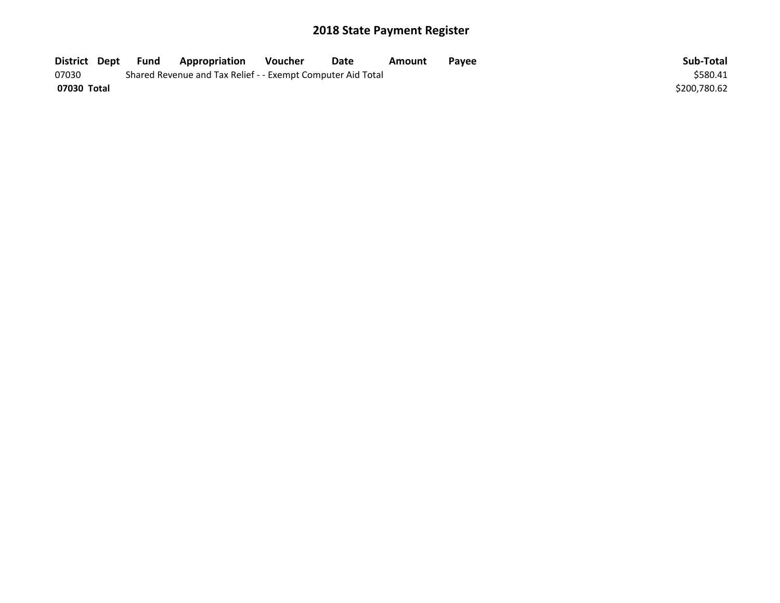| District Dept | Fund | Appropriation                                               | Voucher | Date | Amount | Pavee | Sub-Total    |
|---------------|------|-------------------------------------------------------------|---------|------|--------|-------|--------------|
| 07030         |      | Shared Revenue and Tax Relief - - Exempt Computer Aid Total |         |      |        |       | \$580.41     |
| 07030 Total   |      |                                                             |         |      |        |       | \$200,780.62 |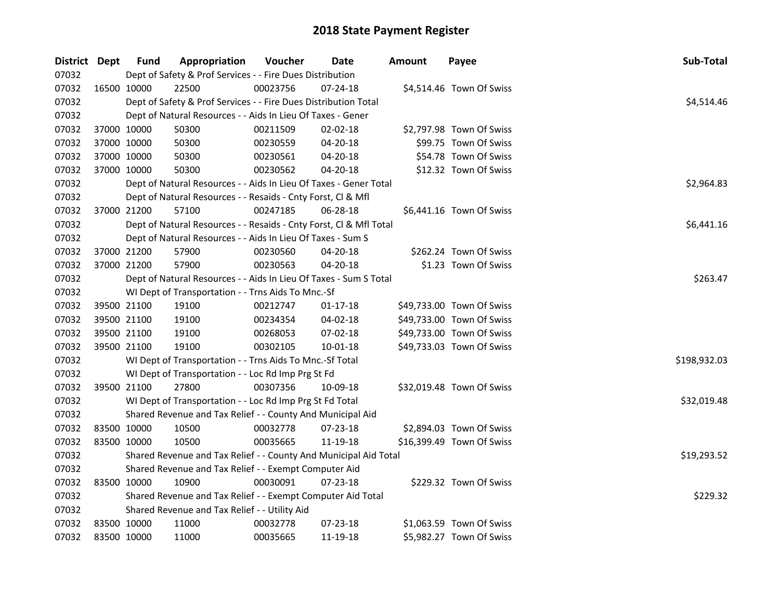| District Dept |             | <b>Fund</b>                                                 | Appropriation                                                      | Voucher  | Date           | <b>Amount</b> | Payee                     | Sub-Total    |  |
|---------------|-------------|-------------------------------------------------------------|--------------------------------------------------------------------|----------|----------------|---------------|---------------------------|--------------|--|
| 07032         |             |                                                             | Dept of Safety & Prof Services - - Fire Dues Distribution          |          |                |               |                           |              |  |
| 07032         |             | 16500 10000                                                 | 22500                                                              | 00023756 | $07 - 24 - 18$ |               | \$4,514.46 Town Of Swiss  |              |  |
| 07032         |             |                                                             | Dept of Safety & Prof Services - - Fire Dues Distribution Total    |          |                |               |                           | \$4,514.46   |  |
| 07032         |             |                                                             | Dept of Natural Resources - - Aids In Lieu Of Taxes - Gener        |          |                |               |                           |              |  |
| 07032         |             | 37000 10000                                                 | 50300                                                              | 00211509 | 02-02-18       |               | \$2,797.98 Town Of Swiss  |              |  |
| 07032         |             | 37000 10000                                                 | 50300                                                              | 00230559 | 04-20-18       |               | \$99.75 Town Of Swiss     |              |  |
| 07032         | 37000 10000 |                                                             | 50300                                                              | 00230561 | 04-20-18       |               | \$54.78 Town Of Swiss     |              |  |
| 07032         | 37000 10000 |                                                             | 50300                                                              | 00230562 | 04-20-18       |               | \$12.32 Town Of Swiss     |              |  |
| 07032         |             |                                                             | Dept of Natural Resources - - Aids In Lieu Of Taxes - Gener Total  |          |                |               |                           | \$2,964.83   |  |
| 07032         |             |                                                             | Dept of Natural Resources - - Resaids - Cnty Forst, Cl & Mfl       |          |                |               |                           |              |  |
| 07032         |             | 37000 21200                                                 | 57100                                                              | 00247185 | 06-28-18       |               | \$6,441.16 Town Of Swiss  |              |  |
| 07032         |             |                                                             | Dept of Natural Resources - - Resaids - Cnty Forst, Cl & Mfl Total |          |                |               |                           | \$6,441.16   |  |
| 07032         |             |                                                             | Dept of Natural Resources - - Aids In Lieu Of Taxes - Sum S        |          |                |               |                           |              |  |
| 07032         | 37000 21200 |                                                             | 57900                                                              | 00230560 | 04-20-18       |               | \$262.24 Town Of Swiss    |              |  |
| 07032         |             | 37000 21200                                                 | 57900                                                              | 00230563 | 04-20-18       |               | \$1.23 Town Of Swiss      |              |  |
| 07032         |             |                                                             | Dept of Natural Resources - - Aids In Lieu Of Taxes - Sum S Total  |          |                |               |                           | \$263.47     |  |
| 07032         |             |                                                             | WI Dept of Transportation - - Trns Aids To Mnc.-Sf                 |          |                |               |                           |              |  |
| 07032         |             | 39500 21100                                                 | 19100                                                              | 00212747 | $01 - 17 - 18$ |               | \$49,733.00 Town Of Swiss |              |  |
| 07032         |             | 39500 21100                                                 | 19100                                                              | 00234354 | 04-02-18       |               | \$49,733.00 Town Of Swiss |              |  |
| 07032         |             | 39500 21100                                                 | 19100                                                              | 00268053 | $07 - 02 - 18$ |               | \$49,733.00 Town Of Swiss |              |  |
| 07032         | 39500 21100 |                                                             | 19100                                                              | 00302105 | 10-01-18       |               | \$49,733.03 Town Of Swiss |              |  |
| 07032         |             |                                                             | WI Dept of Transportation - - Trns Aids To Mnc.-Sf Total           |          |                |               |                           | \$198,932.03 |  |
| 07032         |             |                                                             | WI Dept of Transportation - - Loc Rd Imp Prg St Fd                 |          |                |               |                           |              |  |
| 07032         |             | 39500 21100                                                 | 27800                                                              | 00307356 | 10-09-18       |               | \$32,019.48 Town Of Swiss |              |  |
| 07032         |             |                                                             | WI Dept of Transportation - - Loc Rd Imp Prg St Fd Total           |          |                |               |                           | \$32,019.48  |  |
| 07032         |             |                                                             | Shared Revenue and Tax Relief - - County And Municipal Aid         |          |                |               |                           |              |  |
| 07032         | 83500 10000 |                                                             | 10500                                                              | 00032778 | 07-23-18       |               | \$2,894.03 Town Of Swiss  |              |  |
| 07032         | 83500 10000 |                                                             | 10500                                                              | 00035665 | 11-19-18       |               | \$16,399.49 Town Of Swiss |              |  |
| 07032         |             |                                                             | Shared Revenue and Tax Relief - - County And Municipal Aid Total   |          |                |               |                           | \$19,293.52  |  |
| 07032         |             |                                                             | Shared Revenue and Tax Relief - - Exempt Computer Aid              |          |                |               |                           |              |  |
| 07032         | 83500 10000 |                                                             | 10900                                                              | 00030091 | $07 - 23 - 18$ |               | \$229.32 Town Of Swiss    |              |  |
| 07032         |             | Shared Revenue and Tax Relief - - Exempt Computer Aid Total |                                                                    |          |                |               |                           |              |  |
| 07032         |             |                                                             | Shared Revenue and Tax Relief - - Utility Aid                      |          |                |               |                           |              |  |
| 07032         | 83500 10000 |                                                             | 11000                                                              | 00032778 | 07-23-18       |               | \$1,063.59 Town Of Swiss  |              |  |
| 07032         | 83500 10000 |                                                             | 11000                                                              | 00035665 | 11-19-18       |               | \$5,982.27 Town Of Swiss  |              |  |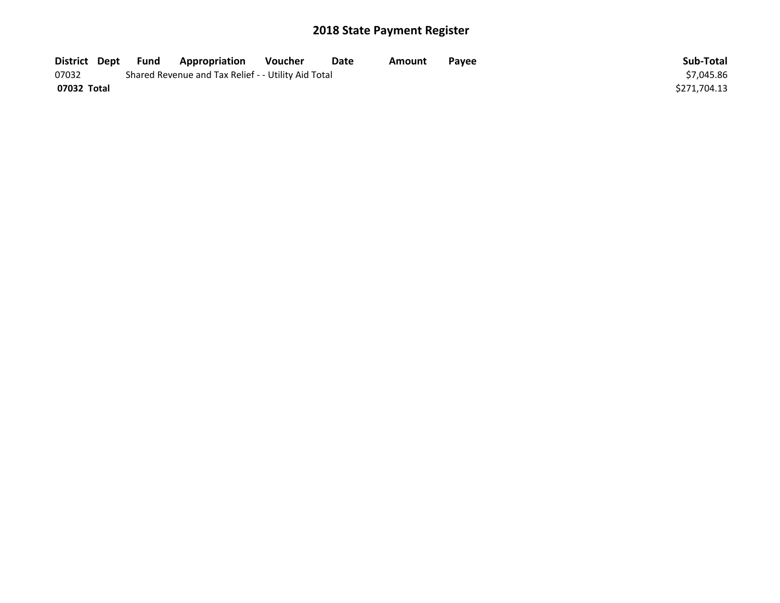| District Dept | Fund | <b>Appropriation</b>                                | Voucher    | Date | Amount | Payee | Sub-Total    |
|---------------|------|-----------------------------------------------------|------------|------|--------|-------|--------------|
| 07032         |      | Shared Revenue and Tax Relief - - Utility Aid Total | \$7.045.86 |      |        |       |              |
| 07032 Total   |      |                                                     |            |      |        |       | \$271.704.13 |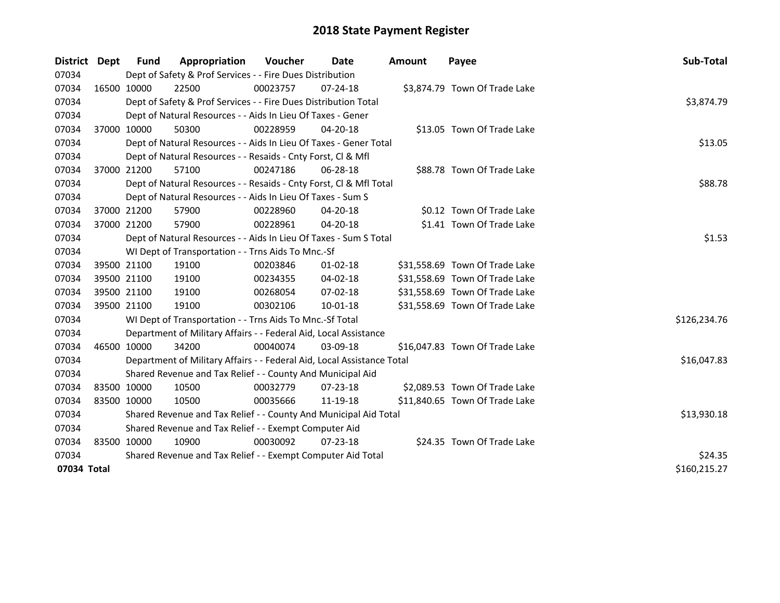| <b>District</b> | <b>Dept</b> | Fund        | Appropriation                                                          | Voucher  | Date           | <b>Amount</b> | Payee                          | Sub-Total    |  |  |
|-----------------|-------------|-------------|------------------------------------------------------------------------|----------|----------------|---------------|--------------------------------|--------------|--|--|
| 07034           |             |             | Dept of Safety & Prof Services - - Fire Dues Distribution              |          |                |               |                                |              |  |  |
| 07034           |             | 16500 10000 | 22500                                                                  | 00023757 | 07-24-18       |               | \$3,874.79 Town Of Trade Lake  |              |  |  |
| 07034           |             |             | Dept of Safety & Prof Services - - Fire Dues Distribution Total        |          |                |               |                                | \$3,874.79   |  |  |
| 07034           |             |             | Dept of Natural Resources - - Aids In Lieu Of Taxes - Gener            |          |                |               |                                |              |  |  |
| 07034           |             | 37000 10000 | 50300                                                                  | 00228959 | 04-20-18       |               | \$13.05 Town Of Trade Lake     |              |  |  |
| 07034           |             |             | Dept of Natural Resources - - Aids In Lieu Of Taxes - Gener Total      |          |                |               |                                | \$13.05      |  |  |
| 07034           |             |             | Dept of Natural Resources - - Resaids - Cnty Forst, Cl & Mfl           |          |                |               |                                |              |  |  |
| 07034           |             | 37000 21200 | 57100                                                                  | 00247186 | 06-28-18       |               | \$88.78 Town Of Trade Lake     |              |  |  |
| 07034           |             |             | Dept of Natural Resources - - Resaids - Cnty Forst, Cl & Mfl Total     |          |                |               |                                | \$88.78      |  |  |
| 07034           |             |             | Dept of Natural Resources - - Aids In Lieu Of Taxes - Sum S            |          |                |               |                                |              |  |  |
| 07034           |             | 37000 21200 | 57900                                                                  | 00228960 | $04 - 20 - 18$ |               | \$0.12 Town Of Trade Lake      |              |  |  |
| 07034           |             | 37000 21200 | 57900                                                                  | 00228961 | 04-20-18       |               | \$1.41 Town Of Trade Lake      |              |  |  |
| 07034           |             |             | Dept of Natural Resources - - Aids In Lieu Of Taxes - Sum S Total      |          |                |               |                                | \$1.53       |  |  |
| 07034           |             |             | WI Dept of Transportation - - Trns Aids To Mnc.-Sf                     |          |                |               |                                |              |  |  |
| 07034           |             | 39500 21100 | 19100                                                                  | 00203846 | $01 - 02 - 18$ |               | \$31,558.69 Town Of Trade Lake |              |  |  |
| 07034           |             | 39500 21100 | 19100                                                                  | 00234355 | 04-02-18       |               | \$31,558.69 Town Of Trade Lake |              |  |  |
| 07034           |             | 39500 21100 | 19100                                                                  | 00268054 | 07-02-18       |               | \$31,558.69 Town Of Trade Lake |              |  |  |
| 07034           |             | 39500 21100 | 19100                                                                  | 00302106 | 10-01-18       |               | \$31,558.69 Town Of Trade Lake |              |  |  |
| 07034           |             |             | WI Dept of Transportation - - Trns Aids To Mnc.-Sf Total               |          |                |               |                                | \$126,234.76 |  |  |
| 07034           |             |             | Department of Military Affairs - - Federal Aid, Local Assistance       |          |                |               |                                |              |  |  |
| 07034           |             | 46500 10000 | 34200                                                                  | 00040074 | 03-09-18       |               | \$16,047.83 Town Of Trade Lake |              |  |  |
| 07034           |             |             | Department of Military Affairs - - Federal Aid, Local Assistance Total |          |                |               |                                | \$16,047.83  |  |  |
| 07034           |             |             | Shared Revenue and Tax Relief - - County And Municipal Aid             |          |                |               |                                |              |  |  |
| 07034           |             | 83500 10000 | 10500                                                                  | 00032779 | 07-23-18       |               | \$2,089.53 Town Of Trade Lake  |              |  |  |
| 07034           |             | 83500 10000 | 10500                                                                  | 00035666 | 11-19-18       |               | \$11,840.65 Town Of Trade Lake |              |  |  |
| 07034           |             |             | Shared Revenue and Tax Relief - - County And Municipal Aid Total       |          |                |               |                                | \$13,930.18  |  |  |
| 07034           |             |             | Shared Revenue and Tax Relief - - Exempt Computer Aid                  |          |                |               |                                |              |  |  |
| 07034           |             | 83500 10000 | 10900                                                                  | 00030092 | 07-23-18       |               | \$24.35 Town Of Trade Lake     |              |  |  |
| 07034           |             |             | Shared Revenue and Tax Relief - - Exempt Computer Aid Total            | \$24.35  |                |               |                                |              |  |  |
| 07034 Total     |             |             |                                                                        |          |                |               |                                | \$160,215.27 |  |  |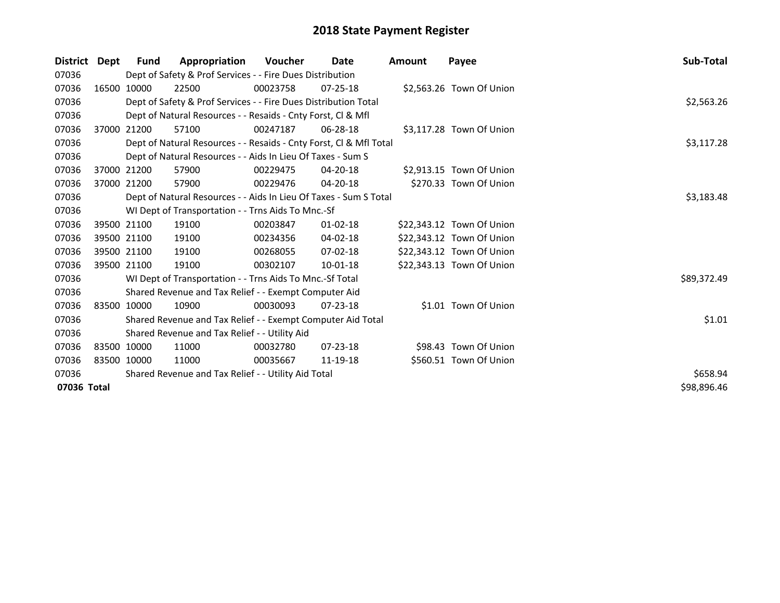| <b>District</b> | Dept        | Fund        | Appropriation                                                      | <b>Voucher</b> | Date           | Amount | Payee                     | <b>Sub-Total</b> |
|-----------------|-------------|-------------|--------------------------------------------------------------------|----------------|----------------|--------|---------------------------|------------------|
| 07036           |             |             | Dept of Safety & Prof Services - - Fire Dues Distribution          |                |                |        |                           |                  |
| 07036           |             | 16500 10000 | 22500                                                              | 00023758       | $07 - 25 - 18$ |        | \$2,563.26 Town Of Union  |                  |
| 07036           |             |             | Dept of Safety & Prof Services - - Fire Dues Distribution Total    |                |                |        |                           | \$2,563.26       |
| 07036           |             |             | Dept of Natural Resources - - Resaids - Cnty Forst, CI & Mfl       |                |                |        |                           |                  |
| 07036           |             | 37000 21200 | 57100                                                              | 00247187       | $06 - 28 - 18$ |        | \$3,117.28 Town Of Union  |                  |
| 07036           |             |             | Dept of Natural Resources - - Resaids - Cnty Forst, Cl & Mfl Total |                |                |        |                           | \$3,117.28       |
| 07036           |             |             | Dept of Natural Resources - - Aids In Lieu Of Taxes - Sum S        |                |                |        |                           |                  |
| 07036           |             | 37000 21200 | 57900                                                              | 00229475       | 04-20-18       |        | \$2,913.15 Town Of Union  |                  |
| 07036           | 37000 21200 |             | 57900                                                              | 00229476       | $04 - 20 - 18$ |        | \$270.33 Town Of Union    |                  |
| 07036           |             |             | Dept of Natural Resources - - Aids In Lieu Of Taxes - Sum S Total  |                |                |        |                           | \$3,183.48       |
| 07036           |             |             | WI Dept of Transportation - - Trns Aids To Mnc.-Sf                 |                |                |        |                           |                  |
| 07036           |             | 39500 21100 | 19100                                                              | 00203847       | $01 - 02 - 18$ |        | \$22,343.12 Town Of Union |                  |
| 07036           |             | 39500 21100 | 19100                                                              | 00234356       | 04-02-18       |        | \$22,343.12 Town Of Union |                  |
| 07036           |             | 39500 21100 | 19100                                                              | 00268055       | $07-02-18$     |        | \$22,343.12 Town Of Union |                  |
| 07036           | 39500 21100 |             | 19100                                                              | 00302107       | $10 - 01 - 18$ |        | \$22,343.13 Town Of Union |                  |
| 07036           |             |             | WI Dept of Transportation - - Trns Aids To Mnc.-Sf Total           |                |                |        |                           | \$89,372.49      |
| 07036           |             |             | Shared Revenue and Tax Relief - - Exempt Computer Aid              |                |                |        |                           |                  |
| 07036           |             | 83500 10000 | 10900                                                              | 00030093       | $07 - 23 - 18$ |        | \$1.01 Town Of Union      |                  |
| 07036           |             |             | Shared Revenue and Tax Relief - - Exempt Computer Aid Total        |                |                |        |                           | \$1.01           |
| 07036           |             |             | Shared Revenue and Tax Relief - - Utility Aid                      |                |                |        |                           |                  |
| 07036           | 83500 10000 |             | 11000                                                              | 00032780       | $07 - 23 - 18$ |        | \$98.43 Town Of Union     |                  |
| 07036           | 83500 10000 |             | 11000                                                              | 00035667       | 11-19-18       |        | \$560.51 Town Of Union    |                  |
| 07036           |             |             | Shared Revenue and Tax Relief - - Utility Aid Total                |                |                |        |                           | \$658.94         |
| 07036 Total     |             |             |                                                                    |                |                |        |                           | \$98,896.46      |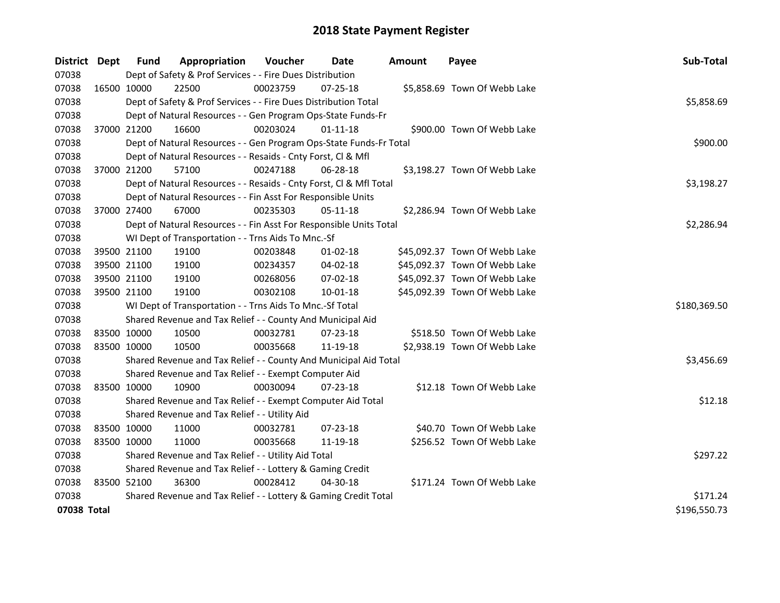| District    | <b>Dept</b> | <b>Fund</b> | Appropriation                                                      | Voucher  | Date           | <b>Amount</b> | Payee                         | Sub-Total    |
|-------------|-------------|-------------|--------------------------------------------------------------------|----------|----------------|---------------|-------------------------------|--------------|
| 07038       |             |             | Dept of Safety & Prof Services - - Fire Dues Distribution          |          |                |               |                               |              |
| 07038       |             | 16500 10000 | 22500                                                              | 00023759 | $07 - 25 - 18$ |               | \$5,858.69 Town Of Webb Lake  |              |
| 07038       |             |             | Dept of Safety & Prof Services - - Fire Dues Distribution Total    |          |                |               |                               | \$5,858.69   |
| 07038       |             |             | Dept of Natural Resources - - Gen Program Ops-State Funds-Fr       |          |                |               |                               |              |
| 07038       |             | 37000 21200 | 16600                                                              | 00203024 | $01 - 11 - 18$ |               | \$900.00 Town Of Webb Lake    |              |
| 07038       |             |             | Dept of Natural Resources - - Gen Program Ops-State Funds-Fr Total |          |                |               |                               | \$900.00     |
| 07038       |             |             | Dept of Natural Resources - - Resaids - Cnty Forst, Cl & Mfl       |          |                |               |                               |              |
| 07038       |             | 37000 21200 | 57100                                                              | 00247188 | 06-28-18       |               | \$3,198.27 Town Of Webb Lake  |              |
| 07038       |             |             | Dept of Natural Resources - - Resaids - Cnty Forst, Cl & Mfl Total |          |                |               |                               | \$3,198.27   |
| 07038       |             |             | Dept of Natural Resources - - Fin Asst For Responsible Units       |          |                |               |                               |              |
| 07038       |             | 37000 27400 | 67000                                                              | 00235303 | 05-11-18       |               | \$2,286.94 Town Of Webb Lake  |              |
| 07038       |             |             | Dept of Natural Resources - - Fin Asst For Responsible Units Total |          |                |               |                               | \$2,286.94   |
| 07038       |             |             | WI Dept of Transportation - - Trns Aids To Mnc.-Sf                 |          |                |               |                               |              |
| 07038       |             | 39500 21100 | 19100                                                              | 00203848 | 01-02-18       |               | \$45,092.37 Town Of Webb Lake |              |
| 07038       |             | 39500 21100 | 19100                                                              | 00234357 | 04-02-18       |               | \$45,092.37 Town Of Webb Lake |              |
| 07038       |             | 39500 21100 | 19100                                                              | 00268056 | 07-02-18       |               | \$45,092.37 Town Of Webb Lake |              |
| 07038       |             | 39500 21100 | 19100                                                              | 00302108 | $10 - 01 - 18$ |               | \$45,092.39 Town Of Webb Lake |              |
| 07038       |             |             | WI Dept of Transportation - - Trns Aids To Mnc.-Sf Total           |          |                |               |                               | \$180,369.50 |
| 07038       |             |             | Shared Revenue and Tax Relief - - County And Municipal Aid         |          |                |               |                               |              |
| 07038       |             | 83500 10000 | 10500                                                              | 00032781 | 07-23-18       |               | \$518.50 Town Of Webb Lake    |              |
| 07038       |             | 83500 10000 | 10500                                                              | 00035668 | 11-19-18       |               | \$2,938.19 Town Of Webb Lake  |              |
| 07038       |             |             | Shared Revenue and Tax Relief - - County And Municipal Aid Total   |          |                |               |                               | \$3,456.69   |
| 07038       |             |             | Shared Revenue and Tax Relief - - Exempt Computer Aid              |          |                |               |                               |              |
| 07038       |             | 83500 10000 | 10900                                                              | 00030094 | 07-23-18       |               | \$12.18 Town Of Webb Lake     |              |
| 07038       |             |             | Shared Revenue and Tax Relief - - Exempt Computer Aid Total        |          |                |               |                               | \$12.18      |
| 07038       |             |             | Shared Revenue and Tax Relief - - Utility Aid                      |          |                |               |                               |              |
| 07038       |             | 83500 10000 | 11000                                                              | 00032781 | 07-23-18       |               | \$40.70 Town Of Webb Lake     |              |
| 07038       |             | 83500 10000 | 11000                                                              | 00035668 | 11-19-18       |               | \$256.52 Town Of Webb Lake    |              |
| 07038       |             |             | Shared Revenue and Tax Relief - - Utility Aid Total                |          |                |               |                               | \$297.22     |
| 07038       |             |             | Shared Revenue and Tax Relief - - Lottery & Gaming Credit          |          |                |               |                               |              |
| 07038       |             | 83500 52100 | 36300                                                              | 00028412 | 04-30-18       |               | \$171.24 Town Of Webb Lake    |              |
| 07038       |             |             | Shared Revenue and Tax Relief - - Lottery & Gaming Credit Total    |          |                |               |                               | \$171.24     |
| 07038 Total |             |             |                                                                    |          |                |               |                               | \$196,550.73 |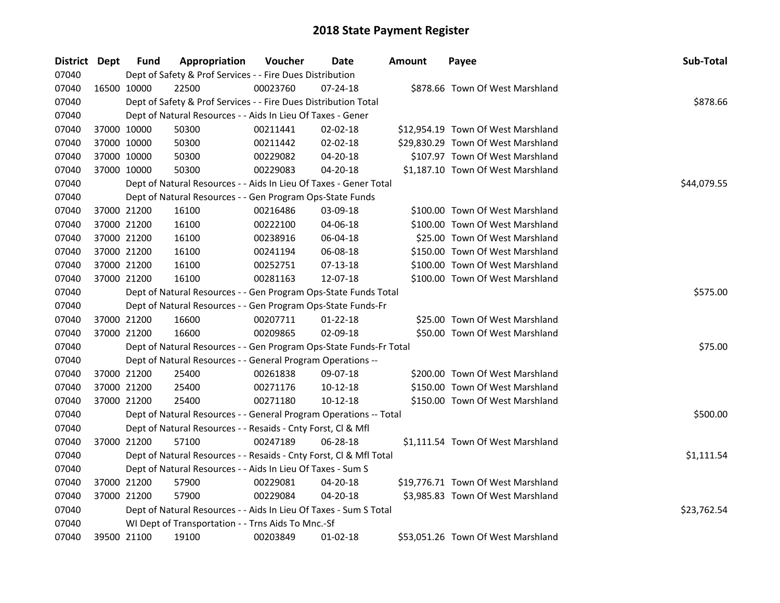| District Dept | Fund        | Appropriation                                                      | Voucher  | Date           | Amount | Payee                              | Sub-Total   |
|---------------|-------------|--------------------------------------------------------------------|----------|----------------|--------|------------------------------------|-------------|
| 07040         |             | Dept of Safety & Prof Services - - Fire Dues Distribution          |          |                |        |                                    |             |
| 07040         | 16500 10000 | 22500                                                              | 00023760 | $07 - 24 - 18$ |        | \$878.66 Town Of West Marshland    |             |
| 07040         |             | Dept of Safety & Prof Services - - Fire Dues Distribution Total    |          |                |        |                                    | \$878.66    |
| 07040         |             | Dept of Natural Resources - - Aids In Lieu Of Taxes - Gener        |          |                |        |                                    |             |
| 07040         | 37000 10000 | 50300                                                              | 00211441 | $02 - 02 - 18$ |        | \$12,954.19 Town Of West Marshland |             |
| 07040         | 37000 10000 | 50300                                                              | 00211442 | $02 - 02 - 18$ |        | \$29,830.29 Town Of West Marshland |             |
| 07040         | 37000 10000 | 50300                                                              | 00229082 | 04-20-18       |        | \$107.97 Town Of West Marshland    |             |
| 07040         | 37000 10000 | 50300                                                              | 00229083 | $04 - 20 - 18$ |        | \$1,187.10 Town Of West Marshland  |             |
| 07040         |             | Dept of Natural Resources - - Aids In Lieu Of Taxes - Gener Total  |          |                |        |                                    | \$44,079.55 |
| 07040         |             | Dept of Natural Resources - - Gen Program Ops-State Funds          |          |                |        |                                    |             |
| 07040         | 37000 21200 | 16100                                                              | 00216486 | 03-09-18       |        | \$100.00 Town Of West Marshland    |             |
| 07040         | 37000 21200 | 16100                                                              | 00222100 | 04-06-18       |        | \$100.00 Town Of West Marshland    |             |
| 07040         | 37000 21200 | 16100                                                              | 00238916 | 06-04-18       |        | \$25.00 Town Of West Marshland     |             |
| 07040         | 37000 21200 | 16100                                                              | 00241194 | 06-08-18       |        | \$150.00 Town Of West Marshland    |             |
| 07040         | 37000 21200 | 16100                                                              | 00252751 | 07-13-18       |        | \$100.00 Town Of West Marshland    |             |
| 07040         | 37000 21200 | 16100                                                              | 00281163 | 12-07-18       |        | \$100.00 Town Of West Marshland    |             |
| 07040         |             | Dept of Natural Resources - - Gen Program Ops-State Funds Total    |          |                |        |                                    | \$575.00    |
| 07040         |             | Dept of Natural Resources - - Gen Program Ops-State Funds-Fr       |          |                |        |                                    |             |
| 07040         | 37000 21200 | 16600                                                              | 00207711 | $01 - 22 - 18$ |        | \$25.00 Town Of West Marshland     |             |
| 07040         | 37000 21200 | 16600                                                              | 00209865 | 02-09-18       |        | \$50.00 Town Of West Marshland     |             |
| 07040         |             | Dept of Natural Resources - - Gen Program Ops-State Funds-Fr Total |          |                |        |                                    | \$75.00     |
| 07040         |             | Dept of Natural Resources - - General Program Operations --        |          |                |        |                                    |             |
| 07040         | 37000 21200 | 25400                                                              | 00261838 | 09-07-18       |        | \$200.00 Town Of West Marshland    |             |
| 07040         | 37000 21200 | 25400                                                              | 00271176 | 10-12-18       |        | \$150.00 Town Of West Marshland    |             |
| 07040         | 37000 21200 | 25400                                                              | 00271180 | $10-12-18$     |        | \$150.00 Town Of West Marshland    |             |
| 07040         |             | Dept of Natural Resources - - General Program Operations -- Total  |          |                |        |                                    | \$500.00    |
| 07040         |             | Dept of Natural Resources - - Resaids - Cnty Forst, Cl & Mfl       |          |                |        |                                    |             |
| 07040         | 37000 21200 | 57100                                                              | 00247189 | 06-28-18       |        | \$1,111.54 Town Of West Marshland  |             |
| 07040         |             | Dept of Natural Resources - - Resaids - Cnty Forst, Cl & Mfl Total |          |                |        |                                    | \$1,111.54  |
| 07040         |             | Dept of Natural Resources - - Aids In Lieu Of Taxes - Sum S        |          |                |        |                                    |             |
| 07040         | 37000 21200 | 57900                                                              | 00229081 | 04-20-18       |        | \$19,776.71 Town Of West Marshland |             |
| 07040         | 37000 21200 | 57900                                                              | 00229084 | 04-20-18       |        | \$3,985.83 Town Of West Marshland  |             |
| 07040         |             | Dept of Natural Resources - - Aids In Lieu Of Taxes - Sum S Total  |          |                |        |                                    | \$23,762.54 |
| 07040         |             | WI Dept of Transportation - - Trns Aids To Mnc.-Sf                 |          |                |        |                                    |             |
| 07040         | 39500 21100 | 19100                                                              | 00203849 | 01-02-18       |        | \$53,051.26 Town Of West Marshland |             |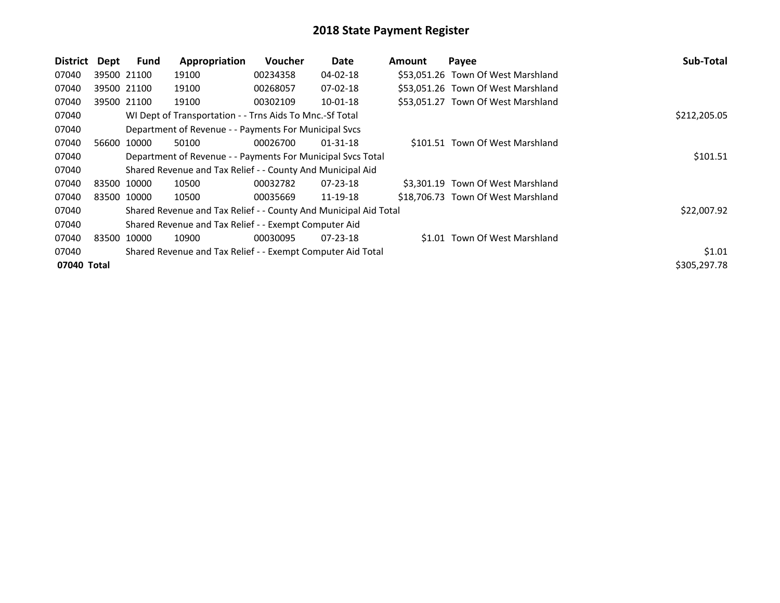| <b>District</b> | Dept | Fund        | Appropriation                                                    | <b>Voucher</b> | Date           | <b>Amount</b> | Payee                              | Sub-Total    |
|-----------------|------|-------------|------------------------------------------------------------------|----------------|----------------|---------------|------------------------------------|--------------|
| 07040           |      | 39500 21100 | 19100                                                            | 00234358       | $04 - 02 - 18$ |               | \$53,051.26 Town Of West Marshland |              |
| 07040           |      | 39500 21100 | 19100                                                            | 00268057       | $07 - 02 - 18$ |               | \$53,051.26 Town Of West Marshland |              |
| 07040           |      | 39500 21100 | 19100                                                            | 00302109       | $10-01-18$     |               | \$53,051.27 Town Of West Marshland |              |
| 07040           |      |             | WI Dept of Transportation - - Trns Aids To Mnc.-Sf Total         |                |                |               |                                    | \$212,205.05 |
| 07040           |      |             | Department of Revenue - - Payments For Municipal Svcs            |                |                |               |                                    |              |
| 07040           |      | 56600 10000 | 50100                                                            | 00026700       | 01-31-18       |               | \$101.51 Town Of West Marshland    |              |
| 07040           |      |             | Department of Revenue - - Payments For Municipal Svcs Total      |                |                |               |                                    | \$101.51     |
| 07040           |      |             | Shared Revenue and Tax Relief - - County And Municipal Aid       |                |                |               |                                    |              |
| 07040           |      | 83500 10000 | 10500                                                            | 00032782       | $07 - 23 - 18$ |               | \$3,301.19 Town Of West Marshland  |              |
| 07040           |      | 83500 10000 | 10500                                                            | 00035669       | 11-19-18       |               | \$18,706.73 Town Of West Marshland |              |
| 07040           |      |             | Shared Revenue and Tax Relief - - County And Municipal Aid Total |                |                |               |                                    | \$22,007.92  |
| 07040           |      |             | Shared Revenue and Tax Relief - - Exempt Computer Aid            |                |                |               |                                    |              |
| 07040           |      | 83500 10000 | 10900                                                            | 00030095       | $07 - 23 - 18$ |               | \$1.01 Town Of West Marshland      |              |
| 07040           |      |             | Shared Revenue and Tax Relief - - Exempt Computer Aid Total      |                |                |               |                                    | \$1.01       |
| 07040 Total     |      |             |                                                                  |                |                |               |                                    | \$305,297.78 |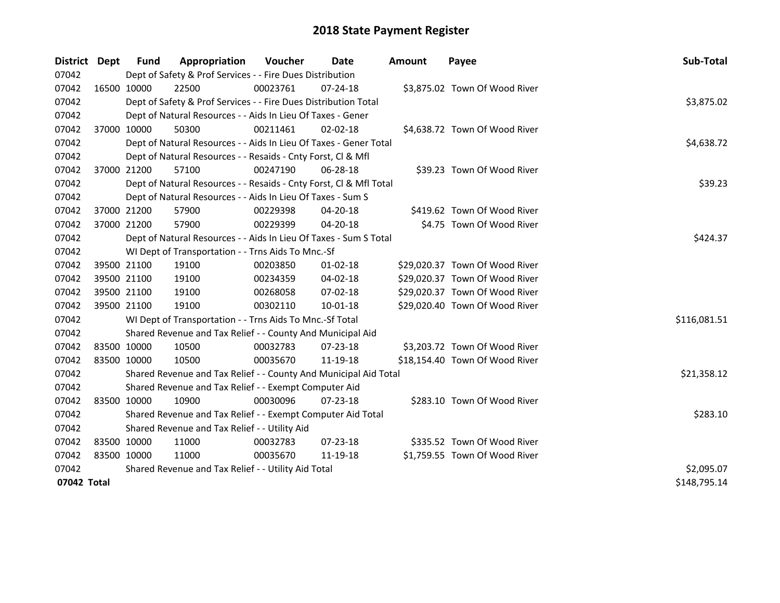| District Dept | <b>Fund</b> | Appropriation                                                      | Voucher    | Date           | <b>Amount</b> | Payee                          | Sub-Total    |
|---------------|-------------|--------------------------------------------------------------------|------------|----------------|---------------|--------------------------------|--------------|
| 07042         |             | Dept of Safety & Prof Services - - Fire Dues Distribution          |            |                |               |                                |              |
| 07042         | 16500 10000 | 22500                                                              | 00023761   | $07 - 24 - 18$ |               | \$3,875.02 Town Of Wood River  |              |
| 07042         |             | Dept of Safety & Prof Services - - Fire Dues Distribution Total    |            |                |               |                                | \$3,875.02   |
| 07042         |             | Dept of Natural Resources - - Aids In Lieu Of Taxes - Gener        |            |                |               |                                |              |
| 07042         | 37000 10000 | 50300                                                              | 00211461   | $02 - 02 - 18$ |               | \$4,638.72 Town Of Wood River  |              |
| 07042         |             | Dept of Natural Resources - - Aids In Lieu Of Taxes - Gener Total  |            |                |               |                                | \$4,638.72   |
| 07042         |             | Dept of Natural Resources - - Resaids - Cnty Forst, Cl & Mfl       |            |                |               |                                |              |
| 07042         | 37000 21200 | 57100                                                              | 00247190   | 06-28-18       |               | \$39.23 Town Of Wood River     |              |
| 07042         |             | Dept of Natural Resources - - Resaids - Cnty Forst, Cl & Mfl Total |            |                |               |                                | \$39.23      |
| 07042         |             | Dept of Natural Resources - - Aids In Lieu Of Taxes - Sum S        |            |                |               |                                |              |
| 07042         | 37000 21200 | 57900                                                              | 00229398   | 04-20-18       |               | \$419.62 Town Of Wood River    |              |
| 07042         | 37000 21200 | 57900                                                              | 00229399   | 04-20-18       |               | \$4.75 Town Of Wood River      |              |
| 07042         |             | Dept of Natural Resources - - Aids In Lieu Of Taxes - Sum S Total  |            |                |               |                                | \$424.37     |
| 07042         |             | WI Dept of Transportation - - Trns Aids To Mnc.-Sf                 |            |                |               |                                |              |
| 07042         | 39500 21100 | 19100                                                              | 00203850   | $01 - 02 - 18$ |               | \$29,020.37 Town Of Wood River |              |
| 07042         | 39500 21100 | 19100                                                              | 00234359   | 04-02-18       |               | \$29,020.37 Town Of Wood River |              |
| 07042         | 39500 21100 | 19100                                                              | 00268058   | 07-02-18       |               | \$29,020.37 Town Of Wood River |              |
| 07042         | 39500 21100 | 19100                                                              | 00302110   | $10 - 01 - 18$ |               | \$29,020.40 Town Of Wood River |              |
| 07042         |             | WI Dept of Transportation - - Trns Aids To Mnc.-Sf Total           |            |                |               |                                | \$116,081.51 |
| 07042         |             | Shared Revenue and Tax Relief - - County And Municipal Aid         |            |                |               |                                |              |
| 07042         | 83500 10000 | 10500                                                              | 00032783   | 07-23-18       |               | \$3,203.72 Town Of Wood River  |              |
| 07042         | 83500 10000 | 10500                                                              | 00035670   | 11-19-18       |               | \$18,154.40 Town Of Wood River |              |
| 07042         |             | Shared Revenue and Tax Relief - - County And Municipal Aid Total   |            |                |               |                                | \$21,358.12  |
| 07042         |             | Shared Revenue and Tax Relief - - Exempt Computer Aid              |            |                |               |                                |              |
| 07042         | 83500 10000 | 10900                                                              | 00030096   | 07-23-18       |               | \$283.10 Town Of Wood River    |              |
| 07042         |             | Shared Revenue and Tax Relief - - Exempt Computer Aid Total        |            |                |               |                                | \$283.10     |
| 07042         |             | Shared Revenue and Tax Relief - - Utility Aid                      |            |                |               |                                |              |
| 07042         | 83500 10000 | 11000                                                              | 00032783   | $07 - 23 - 18$ |               | \$335.52 Town Of Wood River    |              |
| 07042         | 83500 10000 | 11000                                                              | 00035670   | 11-19-18       |               | \$1,759.55 Town Of Wood River  |              |
| 07042         |             | Shared Revenue and Tax Relief - - Utility Aid Total                | \$2,095.07 |                |               |                                |              |
| 07042 Total   |             |                                                                    |            |                |               |                                | \$148,795.14 |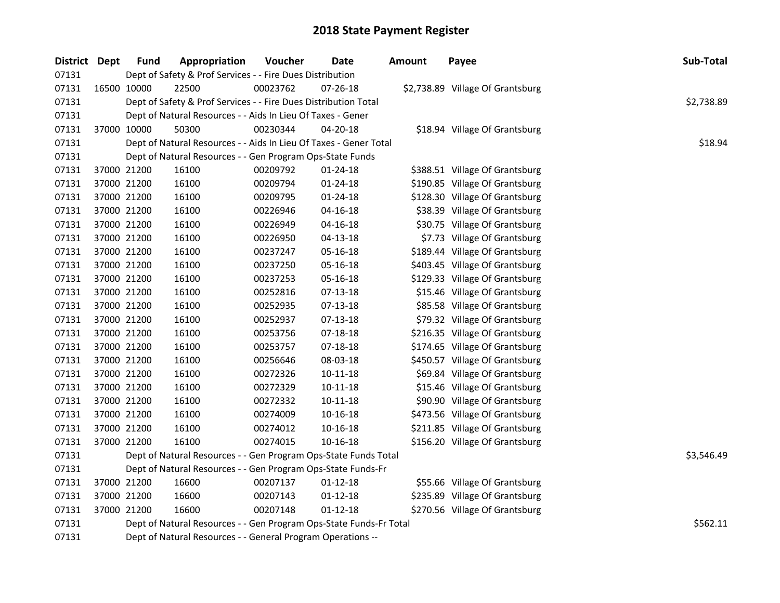| District Dept | Fund        | Appropriation                                                      | Voucher  | <b>Date</b>    | Amount | Payee                            | Sub-Total  |
|---------------|-------------|--------------------------------------------------------------------|----------|----------------|--------|----------------------------------|------------|
| 07131         |             | Dept of Safety & Prof Services - - Fire Dues Distribution          |          |                |        |                                  |            |
| 07131         | 16500 10000 | 22500                                                              | 00023762 | 07-26-18       |        | \$2,738.89 Village Of Grantsburg |            |
| 07131         |             | Dept of Safety & Prof Services - - Fire Dues Distribution Total    |          |                |        |                                  | \$2,738.89 |
| 07131         |             | Dept of Natural Resources - - Aids In Lieu Of Taxes - Gener        |          |                |        |                                  |            |
| 07131         | 37000 10000 | 50300                                                              | 00230344 | 04-20-18       |        | \$18.94 Village Of Grantsburg    |            |
| 07131         |             | Dept of Natural Resources - - Aids In Lieu Of Taxes - Gener Total  |          |                |        |                                  | \$18.94    |
| 07131         |             | Dept of Natural Resources - - Gen Program Ops-State Funds          |          |                |        |                                  |            |
| 07131         | 37000 21200 | 16100                                                              | 00209792 | 01-24-18       |        | \$388.51 Village Of Grantsburg   |            |
| 07131         | 37000 21200 | 16100                                                              | 00209794 | 01-24-18       |        | \$190.85 Village Of Grantsburg   |            |
| 07131         | 37000 21200 | 16100                                                              | 00209795 | 01-24-18       |        | \$128.30 Village Of Grantsburg   |            |
| 07131         | 37000 21200 | 16100                                                              | 00226946 | 04-16-18       |        | \$38.39 Village Of Grantsburg    |            |
| 07131         | 37000 21200 | 16100                                                              | 00226949 | 04-16-18       |        | \$30.75 Village Of Grantsburg    |            |
| 07131         | 37000 21200 | 16100                                                              | 00226950 | $04 - 13 - 18$ |        | \$7.73 Village Of Grantsburg     |            |
| 07131         | 37000 21200 | 16100                                                              | 00237247 | 05-16-18       |        | \$189.44 Village Of Grantsburg   |            |
| 07131         | 37000 21200 | 16100                                                              | 00237250 | 05-16-18       |        | \$403.45 Village Of Grantsburg   |            |
| 07131         | 37000 21200 | 16100                                                              | 00237253 | 05-16-18       |        | \$129.33 Village Of Grantsburg   |            |
| 07131         | 37000 21200 | 16100                                                              | 00252816 | $07-13-18$     |        | \$15.46 Village Of Grantsburg    |            |
| 07131         | 37000 21200 | 16100                                                              | 00252935 | $07 - 13 - 18$ |        | \$85.58 Village Of Grantsburg    |            |
| 07131         | 37000 21200 | 16100                                                              | 00252937 | 07-13-18       |        | \$79.32 Village Of Grantsburg    |            |
| 07131         | 37000 21200 | 16100                                                              | 00253756 | 07-18-18       |        | \$216.35 Village Of Grantsburg   |            |
| 07131         | 37000 21200 | 16100                                                              | 00253757 | 07-18-18       |        | \$174.65 Village Of Grantsburg   |            |
| 07131         | 37000 21200 | 16100                                                              | 00256646 | 08-03-18       |        | \$450.57 Village Of Grantsburg   |            |
| 07131         | 37000 21200 | 16100                                                              | 00272326 | $10 - 11 - 18$ |        | \$69.84 Village Of Grantsburg    |            |
| 07131         | 37000 21200 | 16100                                                              | 00272329 | $10 - 11 - 18$ |        | \$15.46 Village Of Grantsburg    |            |
| 07131         | 37000 21200 | 16100                                                              | 00272332 | 10-11-18       |        | \$90.90 Village Of Grantsburg    |            |
| 07131         | 37000 21200 | 16100                                                              | 00274009 | 10-16-18       |        | \$473.56 Village Of Grantsburg   |            |
| 07131         | 37000 21200 | 16100                                                              | 00274012 | 10-16-18       |        | \$211.85 Village Of Grantsburg   |            |
| 07131         | 37000 21200 | 16100                                                              | 00274015 | 10-16-18       |        | \$156.20 Village Of Grantsburg   |            |
| 07131         |             | Dept of Natural Resources - - Gen Program Ops-State Funds Total    |          |                |        |                                  | \$3,546.49 |
| 07131         |             | Dept of Natural Resources - - Gen Program Ops-State Funds-Fr       |          |                |        |                                  |            |
| 07131         | 37000 21200 | 16600                                                              | 00207137 | $01 - 12 - 18$ |        | \$55.66 Village Of Grantsburg    |            |
| 07131         | 37000 21200 | 16600                                                              | 00207143 | $01 - 12 - 18$ |        | \$235.89 Village Of Grantsburg   |            |
| 07131         | 37000 21200 | 16600                                                              | 00207148 | $01-12-18$     |        | \$270.56 Village Of Grantsburg   |            |
| 07131         |             | Dept of Natural Resources - - Gen Program Ops-State Funds-Fr Total | \$562.11 |                |        |                                  |            |
| 07131         |             | Dept of Natural Resources - - General Program Operations --        |          |                |        |                                  |            |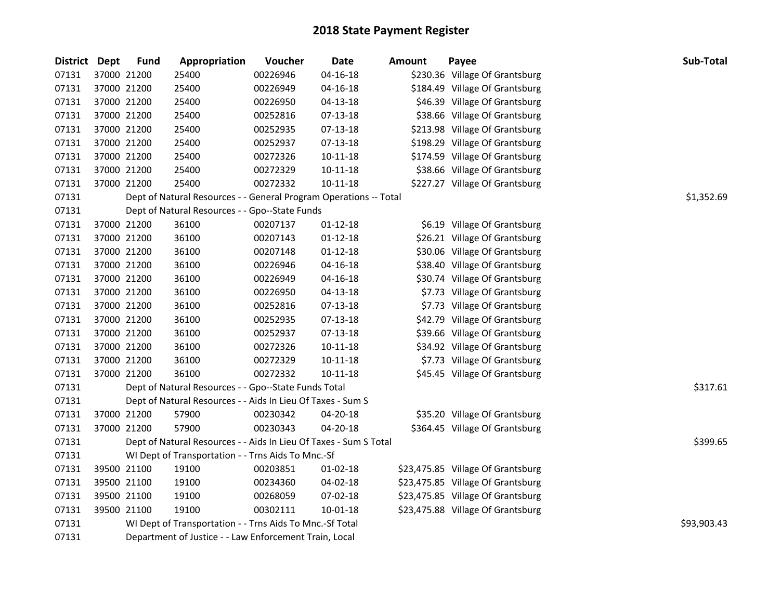| <b>District Dept</b> |             | <b>Fund</b>                                              | Appropriation                                                     | Voucher  | Date           | <b>Amount</b> | Payee                             | Sub-Total  |
|----------------------|-------------|----------------------------------------------------------|-------------------------------------------------------------------|----------|----------------|---------------|-----------------------------------|------------|
| 07131                |             | 37000 21200                                              | 25400                                                             | 00226946 | $04 - 16 - 18$ |               | \$230.36 Village Of Grantsburg    |            |
| 07131                | 37000 21200 |                                                          | 25400                                                             | 00226949 | $04 - 16 - 18$ |               | \$184.49 Village Of Grantsburg    |            |
| 07131                | 37000 21200 |                                                          | 25400                                                             | 00226950 | 04-13-18       |               | \$46.39 Village Of Grantsburg     |            |
| 07131                | 37000 21200 |                                                          | 25400                                                             | 00252816 | 07-13-18       |               | \$38.66 Village Of Grantsburg     |            |
| 07131                | 37000 21200 |                                                          | 25400                                                             | 00252935 | 07-13-18       |               | \$213.98 Village Of Grantsburg    |            |
| 07131                | 37000 21200 |                                                          | 25400                                                             | 00252937 | $07-13-18$     |               | \$198.29 Village Of Grantsburg    |            |
| 07131                | 37000 21200 |                                                          | 25400                                                             | 00272326 | $10 - 11 - 18$ |               | \$174.59 Village Of Grantsburg    |            |
| 07131                | 37000 21200 |                                                          | 25400                                                             | 00272329 | $10 - 11 - 18$ |               | \$38.66 Village Of Grantsburg     |            |
| 07131                |             | 37000 21200                                              | 25400                                                             | 00272332 | $10 - 11 - 18$ |               | \$227.27 Village Of Grantsburg    |            |
| 07131                |             |                                                          | Dept of Natural Resources - - General Program Operations -- Total |          |                |               |                                   | \$1,352.69 |
| 07131                |             |                                                          | Dept of Natural Resources - - Gpo--State Funds                    |          |                |               |                                   |            |
| 07131                | 37000 21200 |                                                          | 36100                                                             | 00207137 | 01-12-18       |               | \$6.19 Village Of Grantsburg      |            |
| 07131                | 37000 21200 |                                                          | 36100                                                             | 00207143 | $01 - 12 - 18$ |               | \$26.21 Village Of Grantsburg     |            |
| 07131                | 37000 21200 |                                                          | 36100                                                             | 00207148 | $01-12-18$     |               | \$30.06 Village Of Grantsburg     |            |
| 07131                | 37000 21200 |                                                          | 36100                                                             | 00226946 | $04 - 16 - 18$ |               | \$38.40 Village Of Grantsburg     |            |
| 07131                | 37000 21200 |                                                          | 36100                                                             | 00226949 | $04 - 16 - 18$ |               | \$30.74 Village Of Grantsburg     |            |
| 07131                | 37000 21200 |                                                          | 36100                                                             | 00226950 | 04-13-18       |               | \$7.73 Village Of Grantsburg      |            |
| 07131                | 37000 21200 |                                                          | 36100                                                             | 00252816 | $07-13-18$     |               | \$7.73 Village Of Grantsburg      |            |
| 07131                | 37000 21200 |                                                          | 36100                                                             | 00252935 | 07-13-18       |               | \$42.79 Village Of Grantsburg     |            |
| 07131                | 37000 21200 |                                                          | 36100                                                             | 00252937 | $07-13-18$     |               | \$39.66 Village Of Grantsburg     |            |
| 07131                | 37000 21200 |                                                          | 36100                                                             | 00272326 | $10 - 11 - 18$ |               | \$34.92 Village Of Grantsburg     |            |
| 07131                | 37000 21200 |                                                          | 36100                                                             | 00272329 | 10-11-18       |               | \$7.73 Village Of Grantsburg      |            |
| 07131                |             | 37000 21200                                              | 36100                                                             | 00272332 | $10 - 11 - 18$ |               | \$45.45 Village Of Grantsburg     |            |
| 07131                |             |                                                          | Dept of Natural Resources - - Gpo--State Funds Total              |          |                |               |                                   | \$317.61   |
| 07131                |             |                                                          | Dept of Natural Resources - - Aids In Lieu Of Taxes - Sum S       |          |                |               |                                   |            |
| 07131                | 37000 21200 |                                                          | 57900                                                             | 00230342 | 04-20-18       |               | \$35.20 Village Of Grantsburg     |            |
| 07131                |             | 37000 21200                                              | 57900                                                             | 00230343 | 04-20-18       |               | \$364.45 Village Of Grantsburg    |            |
| 07131                |             |                                                          | Dept of Natural Resources - - Aids In Lieu Of Taxes - Sum S Total |          |                |               |                                   | \$399.65   |
| 07131                |             |                                                          | WI Dept of Transportation - - Trns Aids To Mnc.-Sf                |          |                |               |                                   |            |
| 07131                |             | 39500 21100                                              | 19100                                                             | 00203851 | $01 - 02 - 18$ |               | \$23,475.85 Village Of Grantsburg |            |
| 07131                | 39500 21100 |                                                          | 19100                                                             | 00234360 | 04-02-18       |               | \$23,475.85 Village Of Grantsburg |            |
| 07131                | 39500 21100 |                                                          | 19100                                                             | 00268059 | 07-02-18       |               | \$23,475.85 Village Of Grantsburg |            |
| 07131                |             | 39500 21100                                              | 19100                                                             | 00302111 | $10 - 01 - 18$ |               | \$23,475.88 Village Of Grantsburg |            |
| 07131                |             | WI Dept of Transportation - - Trns Aids To Mnc.-Sf Total | \$93,903.43                                                       |          |                |               |                                   |            |
| 07131                |             |                                                          | Department of Justice - - Law Enforcement Train, Local            |          |                |               |                                   |            |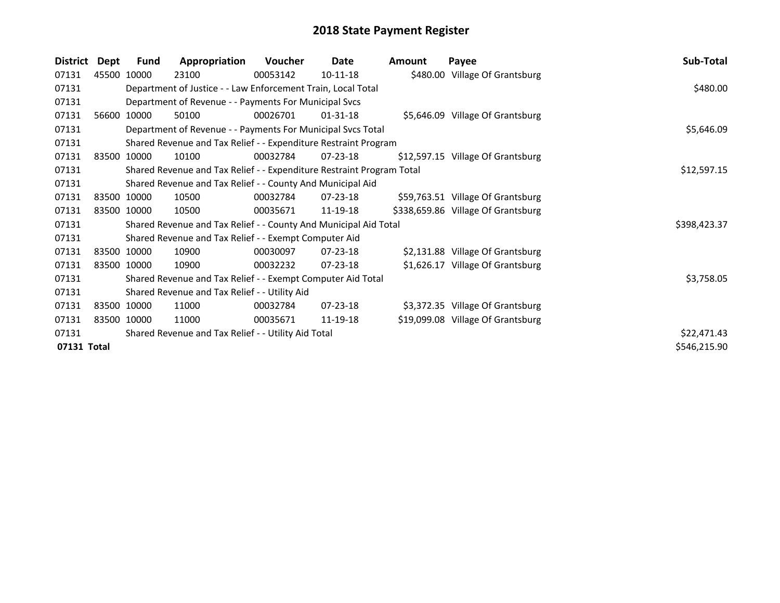| <b>District</b> | Dept  | <b>Fund</b> | Appropriation                                                         | Voucher  | Date           | <b>Amount</b> | Payee                              | Sub-Total    |
|-----------------|-------|-------------|-----------------------------------------------------------------------|----------|----------------|---------------|------------------------------------|--------------|
| 07131           | 45500 | 10000       | 23100                                                                 | 00053142 | 10-11-18       |               | \$480.00 Village Of Grantsburg     |              |
| 07131           |       |             | Department of Justice - - Law Enforcement Train, Local Total          |          |                |               |                                    | \$480.00     |
| 07131           |       |             | Department of Revenue - - Payments For Municipal Svcs                 |          |                |               |                                    |              |
| 07131           | 56600 | 10000       | 50100                                                                 | 00026701 | $01 - 31 - 18$ |               | \$5,646.09 Village Of Grantsburg   |              |
| 07131           |       |             | Department of Revenue - - Payments For Municipal Svcs Total           |          |                |               |                                    | \$5,646.09   |
| 07131           |       |             | Shared Revenue and Tax Relief - - Expenditure Restraint Program       |          |                |               |                                    |              |
| 07131           |       | 83500 10000 | 10100                                                                 | 00032784 | $07 - 23 - 18$ |               | \$12,597.15 Village Of Grantsburg  |              |
| 07131           |       |             | Shared Revenue and Tax Relief - - Expenditure Restraint Program Total |          |                |               |                                    | \$12,597.15  |
| 07131           |       |             | Shared Revenue and Tax Relief - - County And Municipal Aid            |          |                |               |                                    |              |
| 07131           |       | 83500 10000 | 10500                                                                 | 00032784 | $07 - 23 - 18$ |               | \$59,763.51 Village Of Grantsburg  |              |
| 07131           |       | 83500 10000 | 10500                                                                 | 00035671 | 11-19-18       |               | \$338,659.86 Village Of Grantsburg |              |
| 07131           |       |             | Shared Revenue and Tax Relief - - County And Municipal Aid Total      |          |                |               |                                    | \$398,423.37 |
| 07131           |       |             | Shared Revenue and Tax Relief - - Exempt Computer Aid                 |          |                |               |                                    |              |
| 07131           |       | 83500 10000 | 10900                                                                 | 00030097 | 07-23-18       |               | \$2,131.88 Village Of Grantsburg   |              |
| 07131           |       | 83500 10000 | 10900                                                                 | 00032232 | $07 - 23 - 18$ |               | \$1,626.17 Village Of Grantsburg   |              |
| 07131           |       |             | Shared Revenue and Tax Relief - - Exempt Computer Aid Total           |          |                |               |                                    | \$3,758.05   |
| 07131           |       |             | Shared Revenue and Tax Relief - - Utility Aid                         |          |                |               |                                    |              |
| 07131           |       | 83500 10000 | 11000                                                                 | 00032784 | 07-23-18       |               | \$3,372.35 Village Of Grantsburg   |              |
| 07131           |       | 83500 10000 | 11000                                                                 | 00035671 | 11-19-18       |               | \$19,099.08 Village Of Grantsburg  |              |
| 07131           |       |             | Shared Revenue and Tax Relief - - Utility Aid Total                   |          |                |               |                                    | \$22,471.43  |
| 07131 Total     |       |             |                                                                       |          |                |               |                                    | \$546,215.90 |
|                 |       |             |                                                                       |          |                |               |                                    |              |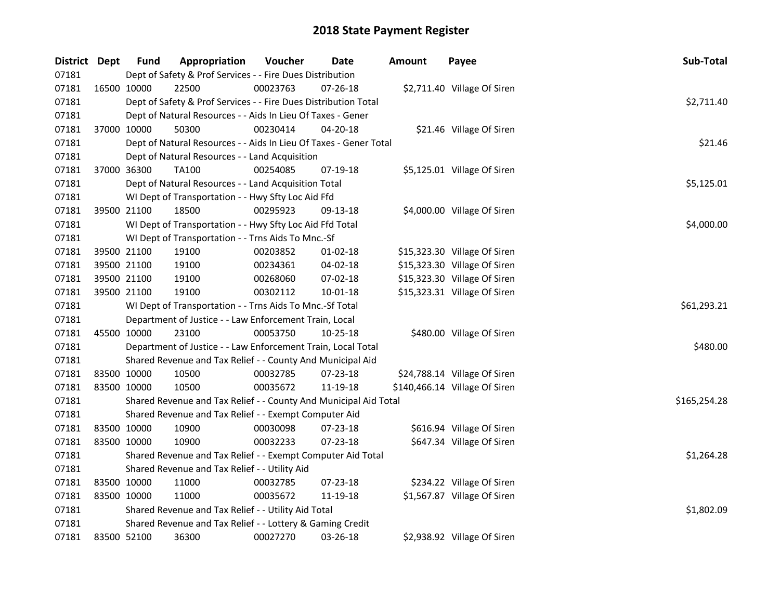| District Dept |             | <b>Fund</b> | Appropriation                                                     | Voucher  | Date           | <b>Amount</b> | Payee                         | Sub-Total    |
|---------------|-------------|-------------|-------------------------------------------------------------------|----------|----------------|---------------|-------------------------------|--------------|
| 07181         |             |             | Dept of Safety & Prof Services - - Fire Dues Distribution         |          |                |               |                               |              |
| 07181         |             | 16500 10000 | 22500                                                             | 00023763 | 07-26-18       |               | \$2,711.40 Village Of Siren   |              |
| 07181         |             |             | Dept of Safety & Prof Services - - Fire Dues Distribution Total   |          |                |               |                               | \$2,711.40   |
| 07181         |             |             | Dept of Natural Resources - - Aids In Lieu Of Taxes - Gener       |          |                |               |                               |              |
| 07181         |             | 37000 10000 | 50300                                                             | 00230414 | 04-20-18       |               | \$21.46 Village Of Siren      |              |
| 07181         |             |             | Dept of Natural Resources - - Aids In Lieu Of Taxes - Gener Total |          |                |               |                               | \$21.46      |
| 07181         |             |             | Dept of Natural Resources - - Land Acquisition                    |          |                |               |                               |              |
| 07181         |             | 37000 36300 | TA100                                                             | 00254085 | 07-19-18       |               | \$5,125.01 Village Of Siren   |              |
| 07181         |             |             | Dept of Natural Resources - - Land Acquisition Total              |          |                |               |                               | \$5,125.01   |
| 07181         |             |             | WI Dept of Transportation - - Hwy Sfty Loc Aid Ffd                |          |                |               |                               |              |
| 07181         |             | 39500 21100 | 18500                                                             | 00295923 | 09-13-18       |               | \$4,000.00 Village Of Siren   |              |
| 07181         |             |             | WI Dept of Transportation - - Hwy Sfty Loc Aid Ffd Total          |          |                |               |                               | \$4,000.00   |
| 07181         |             |             | WI Dept of Transportation - - Trns Aids To Mnc.-Sf                |          |                |               |                               |              |
| 07181         |             | 39500 21100 | 19100                                                             | 00203852 | 01-02-18       |               | \$15,323.30 Village Of Siren  |              |
| 07181         |             | 39500 21100 | 19100                                                             | 00234361 | 04-02-18       |               | \$15,323.30 Village Of Siren  |              |
| 07181         |             | 39500 21100 | 19100                                                             | 00268060 | 07-02-18       |               | \$15,323.30 Village Of Siren  |              |
| 07181         |             | 39500 21100 | 19100                                                             | 00302112 | $10 - 01 - 18$ |               | \$15,323.31 Village Of Siren  |              |
| 07181         |             |             | WI Dept of Transportation - - Trns Aids To Mnc.-Sf Total          |          |                |               |                               | \$61,293.21  |
| 07181         |             |             | Department of Justice - - Law Enforcement Train, Local            |          |                |               |                               |              |
| 07181         |             | 45500 10000 | 23100                                                             | 00053750 | 10-25-18       |               | \$480.00 Village Of Siren     |              |
| 07181         |             |             | Department of Justice - - Law Enforcement Train, Local Total      |          |                |               |                               | \$480.00     |
| 07181         |             |             | Shared Revenue and Tax Relief - - County And Municipal Aid        |          |                |               |                               |              |
| 07181         | 83500 10000 |             | 10500                                                             | 00032785 | 07-23-18       |               | \$24,788.14 Village Of Siren  |              |
| 07181         | 83500 10000 |             | 10500                                                             | 00035672 | 11-19-18       |               | \$140,466.14 Village Of Siren |              |
| 07181         |             |             | Shared Revenue and Tax Relief - - County And Municipal Aid Total  |          |                |               |                               | \$165,254.28 |
| 07181         |             |             | Shared Revenue and Tax Relief - - Exempt Computer Aid             |          |                |               |                               |              |
| 07181         | 83500 10000 |             | 10900                                                             | 00030098 | 07-23-18       |               | \$616.94 Village Of Siren     |              |
| 07181         | 83500 10000 |             | 10900                                                             | 00032233 | 07-23-18       |               | \$647.34 Village Of Siren     |              |
| 07181         |             |             | Shared Revenue and Tax Relief - - Exempt Computer Aid Total       |          |                |               |                               | \$1,264.28   |
| 07181         |             |             | Shared Revenue and Tax Relief - - Utility Aid                     |          |                |               |                               |              |
| 07181         | 83500 10000 |             | 11000                                                             | 00032785 | $07 - 23 - 18$ |               | \$234.22 Village Of Siren     |              |
| 07181         | 83500 10000 |             | 11000                                                             | 00035672 | 11-19-18       |               | \$1,567.87 Village Of Siren   |              |
| 07181         |             |             | Shared Revenue and Tax Relief - - Utility Aid Total               |          |                |               |                               | \$1,802.09   |
| 07181         |             |             | Shared Revenue and Tax Relief - - Lottery & Gaming Credit         |          |                |               |                               |              |
| 07181         | 83500 52100 |             | 36300                                                             | 00027270 | 03-26-18       |               | \$2,938.92 Village Of Siren   |              |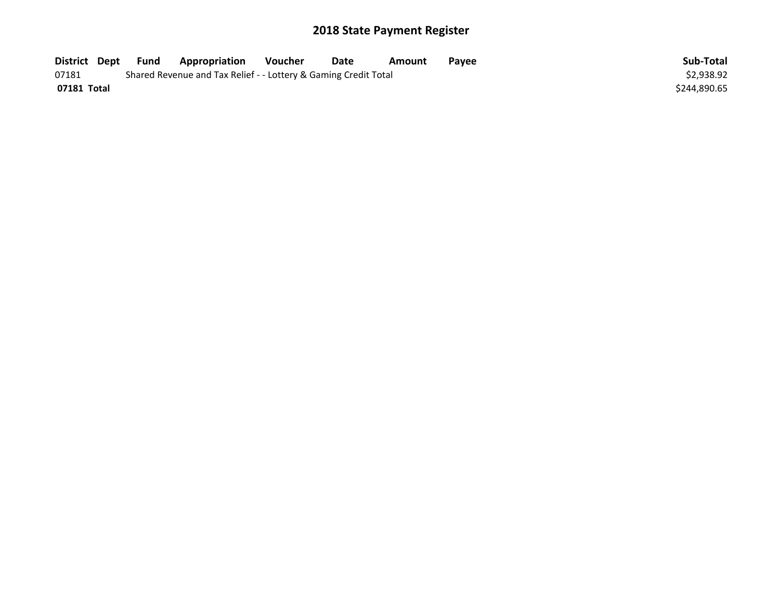| District Dept | Fund | <b>Appropriation</b>                                            | Voucher | Date | Amount | Pavee | Sub-Total    |
|---------------|------|-----------------------------------------------------------------|---------|------|--------|-------|--------------|
| 07181         |      | Shared Revenue and Tax Relief - - Lottery & Gaming Credit Total |         |      |        |       | \$2,938.92   |
| 07181 Total   |      |                                                                 |         |      |        |       | \$244.890.65 |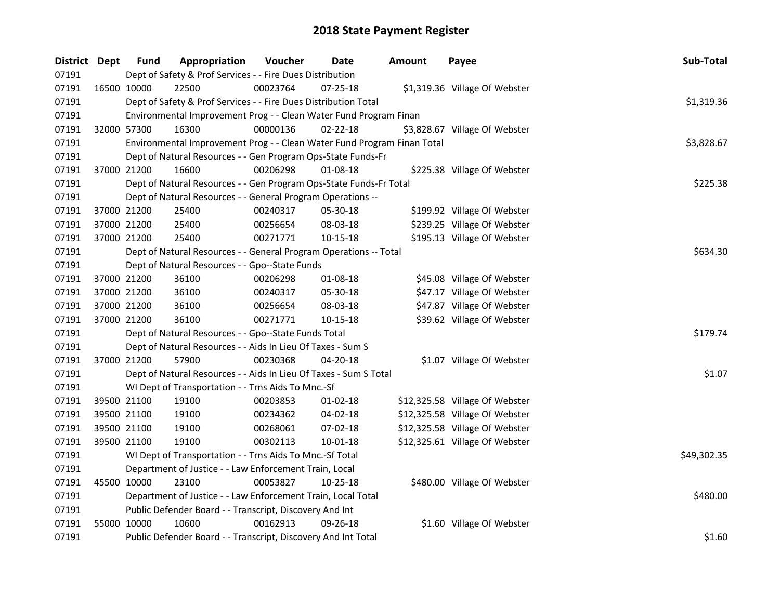| District Dept | <b>Fund</b>                                             | Appropriation                                                           | Voucher  | <b>Date</b>    | <b>Amount</b> | Payee                          | Sub-Total   |
|---------------|---------------------------------------------------------|-------------------------------------------------------------------------|----------|----------------|---------------|--------------------------------|-------------|
| 07191         |                                                         | Dept of Safety & Prof Services - - Fire Dues Distribution               |          |                |               |                                |             |
| 07191         | 16500 10000                                             | 22500                                                                   | 00023764 | $07 - 25 - 18$ |               | \$1,319.36 Village Of Webster  |             |
| 07191         |                                                         | Dept of Safety & Prof Services - - Fire Dues Distribution Total         |          |                |               |                                | \$1,319.36  |
| 07191         |                                                         | Environmental Improvement Prog - - Clean Water Fund Program Finan       |          |                |               |                                |             |
| 07191         | 32000 57300                                             | 16300                                                                   | 00000136 | $02 - 22 - 18$ |               | \$3,828.67 Village Of Webster  |             |
| 07191         |                                                         | Environmental Improvement Prog - - Clean Water Fund Program Finan Total |          |                |               |                                | \$3,828.67  |
| 07191         |                                                         | Dept of Natural Resources - - Gen Program Ops-State Funds-Fr            |          |                |               |                                |             |
| 07191         | 37000 21200                                             | 16600                                                                   | 00206298 | 01-08-18       |               | \$225.38 Village Of Webster    |             |
| 07191         |                                                         | Dept of Natural Resources - - Gen Program Ops-State Funds-Fr Total      |          |                |               |                                | \$225.38    |
| 07191         |                                                         | Dept of Natural Resources - - General Program Operations --             |          |                |               |                                |             |
| 07191         | 37000 21200                                             | 25400                                                                   | 00240317 | 05-30-18       |               | \$199.92 Village Of Webster    |             |
| 07191         | 37000 21200                                             | 25400                                                                   | 00256654 | 08-03-18       |               | \$239.25 Village Of Webster    |             |
| 07191         | 37000 21200                                             | 25400                                                                   | 00271771 | 10-15-18       |               | \$195.13 Village Of Webster    |             |
| 07191         |                                                         | Dept of Natural Resources - - General Program Operations -- Total       |          |                |               |                                | \$634.30    |
| 07191         |                                                         | Dept of Natural Resources - - Gpo--State Funds                          |          |                |               |                                |             |
| 07191         | 37000 21200                                             | 36100                                                                   | 00206298 | 01-08-18       |               | \$45.08 Village Of Webster     |             |
| 07191         | 37000 21200                                             | 36100                                                                   | 00240317 | 05-30-18       |               | \$47.17 Village Of Webster     |             |
| 07191         | 37000 21200                                             | 36100                                                                   | 00256654 | 08-03-18       |               | \$47.87 Village Of Webster     |             |
| 07191         | 37000 21200                                             | 36100                                                                   | 00271771 | 10-15-18       |               | \$39.62 Village Of Webster     |             |
| 07191         |                                                         | Dept of Natural Resources - - Gpo--State Funds Total                    |          |                |               |                                | \$179.74    |
| 07191         |                                                         | Dept of Natural Resources - - Aids In Lieu Of Taxes - Sum S             |          |                |               |                                |             |
| 07191         | 37000 21200                                             | 57900                                                                   | 00230368 | $04 - 20 - 18$ |               | \$1.07 Village Of Webster      |             |
| 07191         |                                                         | Dept of Natural Resources - - Aids In Lieu Of Taxes - Sum S Total       |          |                |               |                                | \$1.07      |
| 07191         |                                                         | WI Dept of Transportation - - Trns Aids To Mnc.-Sf                      |          |                |               |                                |             |
| 07191         | 39500 21100                                             | 19100                                                                   | 00203853 | $01 - 02 - 18$ |               | \$12,325.58 Village Of Webster |             |
| 07191         | 39500 21100                                             | 19100                                                                   | 00234362 | 04-02-18       |               | \$12,325.58 Village Of Webster |             |
| 07191         | 39500 21100                                             | 19100                                                                   | 00268061 | 07-02-18       |               | \$12,325.58 Village Of Webster |             |
| 07191         | 39500 21100                                             | 19100                                                                   | 00302113 | 10-01-18       |               | \$12,325.61 Village Of Webster |             |
| 07191         |                                                         | WI Dept of Transportation - - Trns Aids To Mnc.-Sf Total                |          |                |               |                                | \$49,302.35 |
| 07191         |                                                         | Department of Justice - - Law Enforcement Train, Local                  |          |                |               |                                |             |
| 07191         | 45500 10000                                             | 23100                                                                   | 00053827 | $10 - 25 - 18$ |               | \$480.00 Village Of Webster    |             |
| 07191         |                                                         | Department of Justice - - Law Enforcement Train, Local Total            |          |                |               |                                | \$480.00    |
| 07191         | Public Defender Board - - Transcript, Discovery And Int |                                                                         |          |                |               |                                |             |
| 07191         | 55000 10000                                             | 10600                                                                   | 00162913 | 09-26-18       |               | \$1.60 Village Of Webster      |             |
| 07191         |                                                         | Public Defender Board - - Transcript, Discovery And Int Total           |          |                |               |                                | \$1.60      |